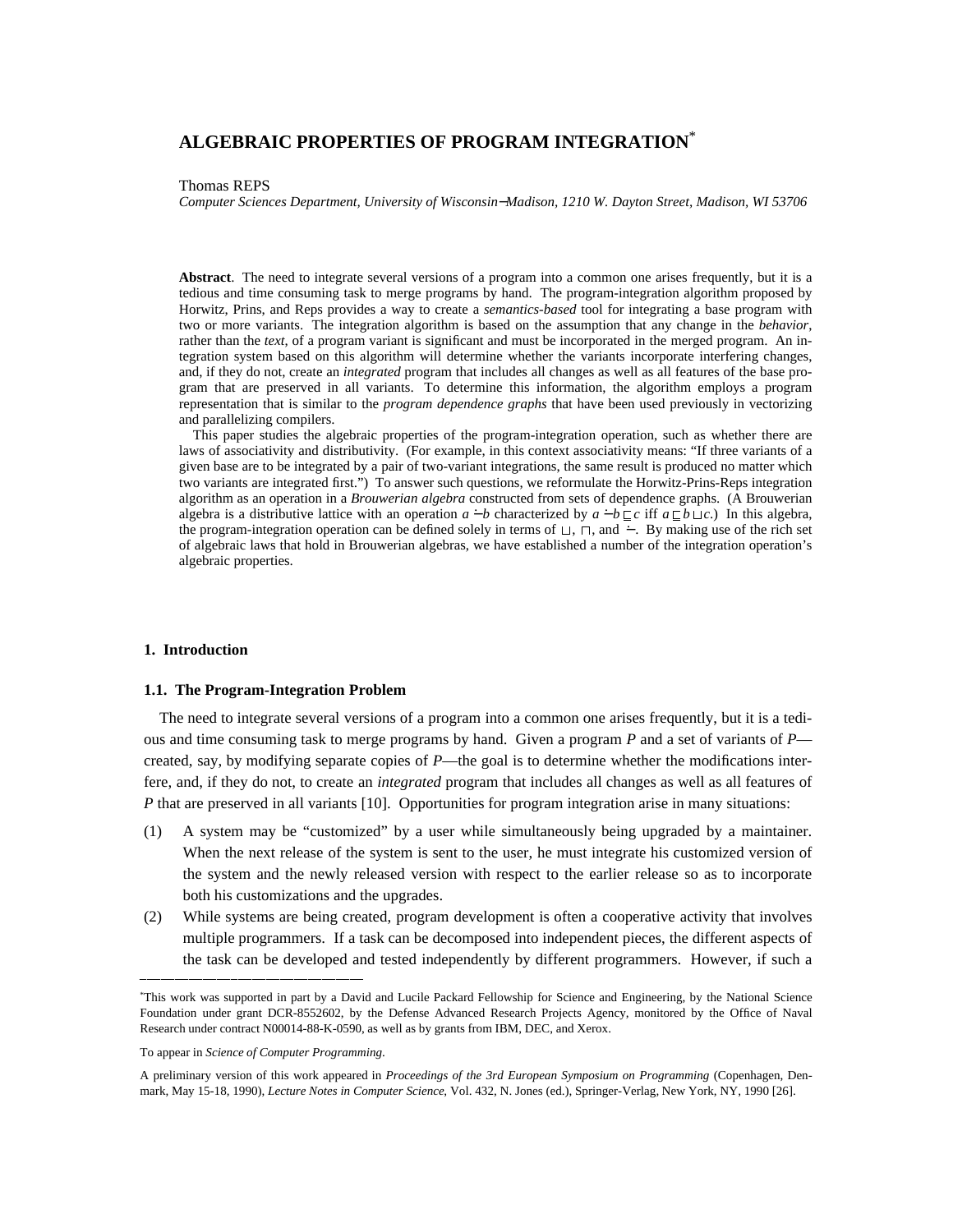# **ALGEBRAIC PROPERTIES OF PROGRAM INTEGRATION**\*

#### Thomas REPS

*Computer Sciences Department, University of Wisconsin*−*Madison, 1210 W. Dayton Street, Madison, WI 53706*

**Abstract**. The need to integrate several versions of a program into a common one arises frequently, but it is a tedious and time consuming task to merge programs by hand. The program-integration algorithm proposed by Horwitz, Prins, and Reps provides a way to create a *semantics-based* tool for integrating a base program with two or more variants. The integration algorithm is based on the assumption that any change in the *behavior*, rather than the *text*, of a program variant is significant and must be incorporated in the merged program. An integration system based on this algorithm will determine whether the variants incorporate interfering changes, and, if they do not, create an *integrated* program that includes all changes as well as all features of the base program that are preserved in all variants. To determine this information, the algorithm employs a program representation that is similar to the *program dependence graphs* that have been used previously in vectorizing and parallelizing compilers.

This paper studies the algebraic properties of the program-integration operation, such as whether there are laws of associativity and distributivity. (For example, in this context associativity means: "If three variants of a given base are to be integrated by a pair of two-variant integrations, the same result is produced no matter which two variants are integrated first.") To answer such questions, we reformulate the Horwitz-Prins-Reps integration algorithm as an operation in a *Brouwerian algebra* constructed from sets of dependence graphs. (A Brouwerian algebra is a distributive lattice with an operation  $a - b$  characterized by  $a - b \sqsubseteq c$  iff  $a \sqsubseteq b \sqcup c$ .) In this algebra, the program-integration operation can be defined solely in terms of  $\Box$ ,  $\Box$ , and  $\div$ . By making use of the rich set of algebraic laws that hold in Brouwerian algebras, we have established a number of the integration operation's algebraic properties.

# **1. Introduction**

#### **1.1. The Program-Integration Problem**

The need to integrate several versions of a program into a common one arises frequently, but it is a tedious and time consuming task to merge programs by hand. Given a program *P* and a set of variants of *P* created, say, by modifying separate copies of *P*—the goal is to determine whether the modifications interfere, and, if they do not, to create an *integrated* program that includes all changes as well as all features of *P* that are preserved in all variants [10]. Opportunities for program integration arise in many situations:

- (1) A system may be "customized" by a user while simultaneously being upgraded by a maintainer. When the next release of the system is sent to the user, he must integrate his customized version of the system and the newly released version with respect to the earlier release so as to incorporate both his customizations and the upgrades.
- (2) While systems are being created, program development is often a cooperative activity that involves multiple programmers. If a task can be decomposed into independent pieces, the different aspects of the task can be developed and tested independently by different programmers. However, if such a

<sup>\*</sup>This work was supported in part by a David and Lucile Packard Fellowship for Science and Engineering, by the National Science Foundation under grant DCR-8552602, by the Defense Advanced Research Projects Agency, monitored by the Office of Naval Research under contract N00014-88-K-0590, as well as by grants from IBM, DEC, and Xerox.

To appear in *Science of Computer Programming*.

A preliminary version of this work appeared in *Proceedings of the 3rd European Symposium on Programming* (Copenhagen, Denmark, May 15-18, 1990), *Lecture Notes in Computer Science*, Vol. 432, N. Jones (ed.), Springer-Verlag, New York, NY, 1990 [26].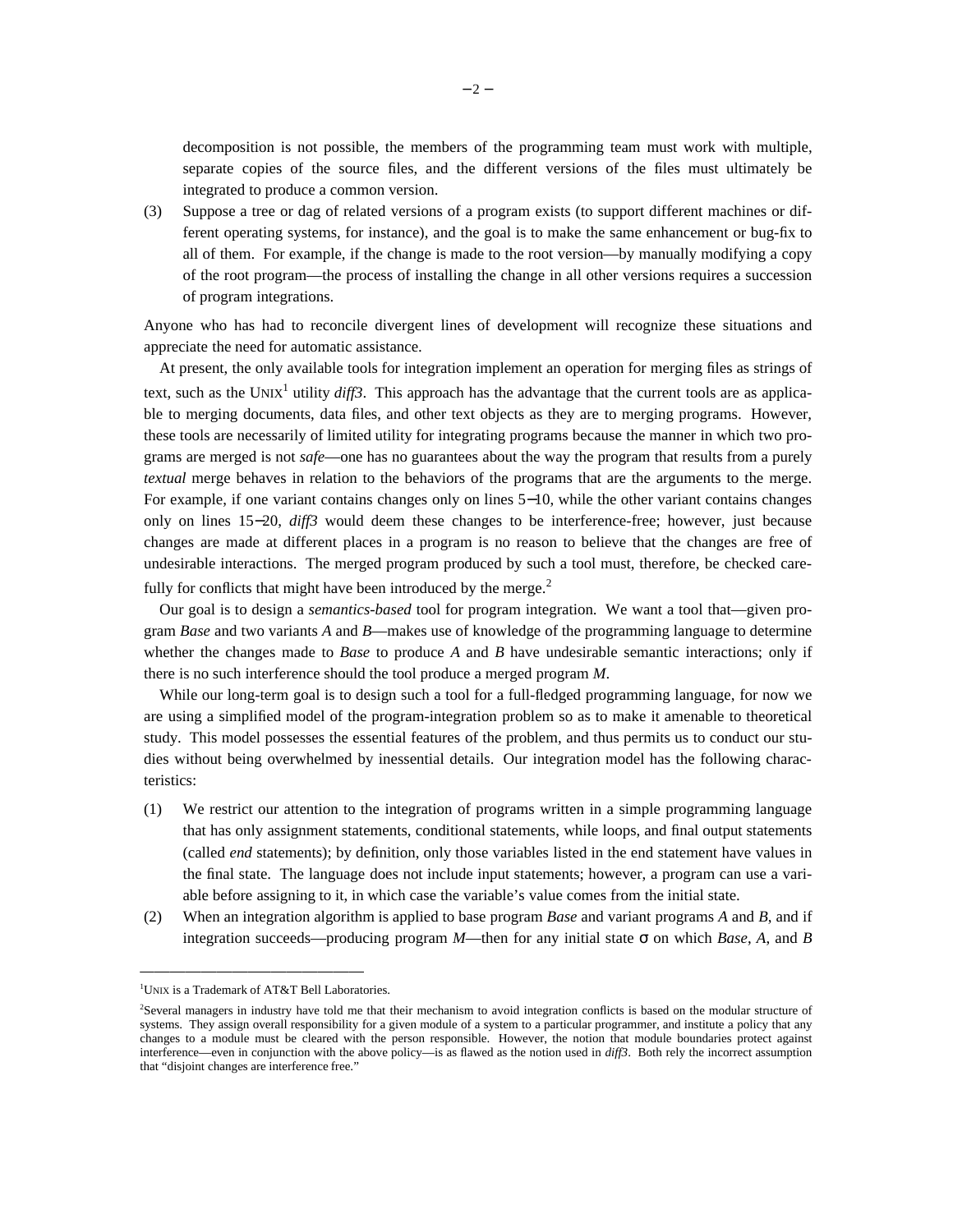decomposition is not possible, the members of the programming team must work with multiple, separate copies of the source files, and the different versions of the files must ultimately be integrated to produce a common version.

(3) Suppose a tree or dag of related versions of a program exists (to support different machines or different operating systems, for instance), and the goal is to make the same enhancement or bug-fix to all of them. For example, if the change is made to the root version—by manually modifying a copy of the root program—the process of installing the change in all other versions requires a succession of program integrations.

Anyone who has had to reconcile divergent lines of development will recognize these situations and appreciate the need for automatic assistance.

At present, the only available tools for integration implement an operation for merging files as strings of text, such as the UNIX<sup>1</sup> utility  $diff3$ . This approach has the advantage that the current tools are as applicable to merging documents, data files, and other text objects as they are to merging programs. However, these tools are necessarily of limited utility for integrating programs because the manner in which two programs are merged is not *safe*—one has no guarantees about the way the program that results from a purely *textual* merge behaves in relation to the behaviors of the programs that are the arguments to the merge. For example, if one variant contains changes only on lines 5−10, while the other variant contains changes only on lines 15−20, *diff3* would deem these changes to be interference-free; however, just because changes are made at different places in a program is no reason to believe that the changes are free of undesirable interactions. The merged program produced by such a tool must, therefore, be checked carefully for conflicts that might have been introduced by the merge. $<sup>2</sup>$ </sup>

Our goal is to design a *semantics-based* tool for program integration. We want a tool that—given program *Base* and two variants *A* and *B*—makes use of knowledge of the programming language to determine whether the changes made to *Base* to produce *A* and *B* have undesirable semantic interactions; only if there is no such interference should the tool produce a merged program *M*.

While our long-term goal is to design such a tool for a full-fledged programming language, for now we are using a simplified model of the program-integration problem so as to make it amenable to theoretical study. This model possesses the essential features of the problem, and thus permits us to conduct our studies without being overwhelmed by inessential details. Our integration model has the following characteristics:

- (1) We restrict our attention to the integration of programs written in a simple programming language that has only assignment statements, conditional statements, while loops, and final output statements (called *end* statements); by definition, only those variables listed in the end statement have values in the final state. The language does not include input statements; however, a program can use a variable before assigning to it, in which case the variable's value comes from the initial state.
- (2) When an integration algorithm is applied to base program *Base* and variant programs *A* and *B*, and if integration succeeds—producing program *M*—then for any initial state  $\sigma$  on which *Base*, *A*, and *B*

and the contract of the contract of the contract of the contract of the contract of the contract of the contract of the contract of the contract of the contract of the contract of the contract of the contract of the contra

-------

---------

<sup>-</sup>-<sup>1</sup>UNIX is a Trademark of AT&T Bell Laboratories.

<sup>2</sup>Several managers in industry have told me that their mechanism to avoid integration conflicts is based on the modular structure of systems. They assign overall responsibility for a given module of a system to a particular programmer, and institute a policy that any changes to a module must be cleared with the person responsible. However, the notion that module boundaries protect against interference—even in conjunction with the above policy—is as flawed as the notion used in *diff3*. Both rely the incorrect assumption that "disjoint changes are interference free."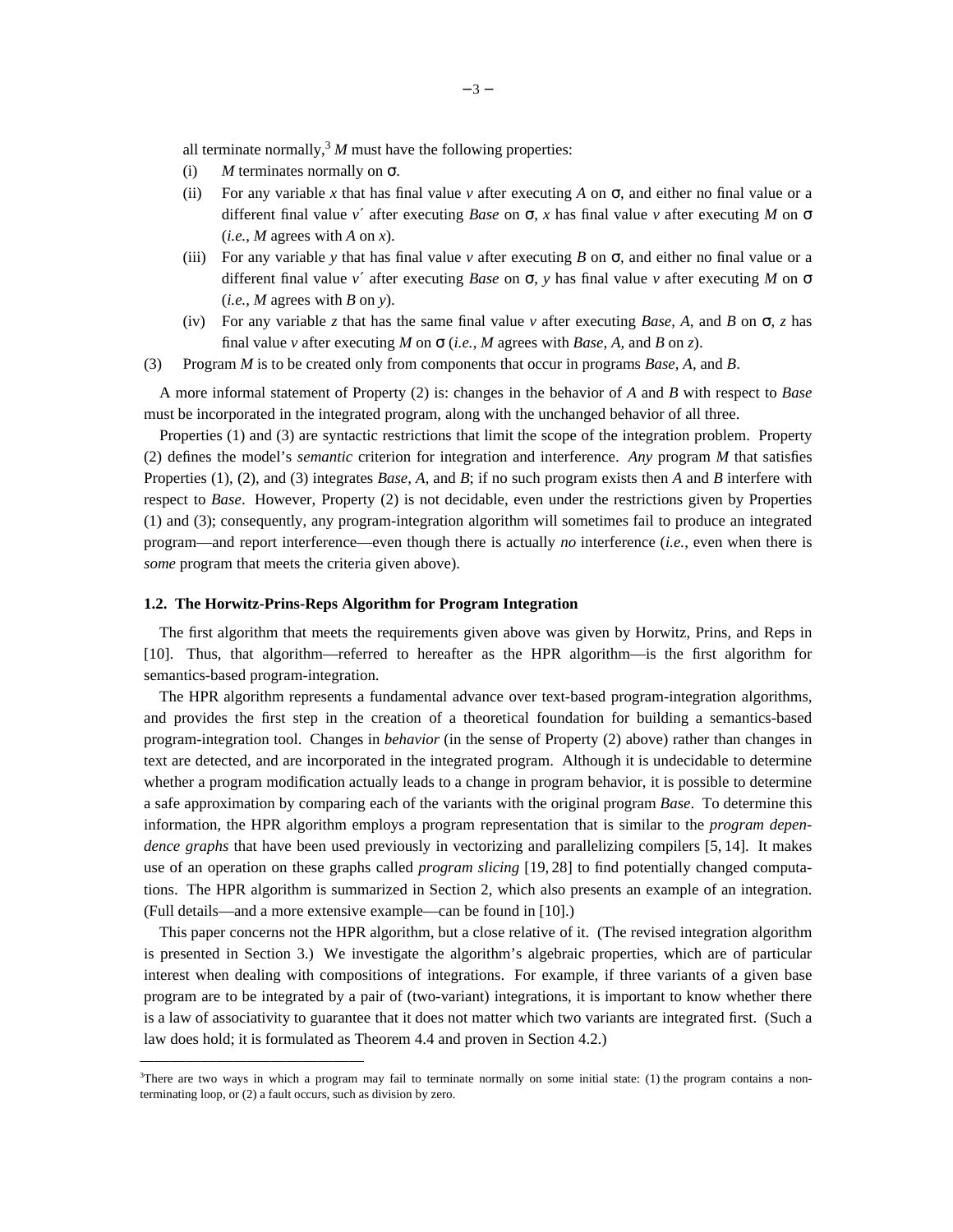all terminate normally,<sup>3</sup>  $M$  must have the following properties:

- (i) *M* terminates normally on σ.
- (ii) For any variable x that has final value  $\nu$  after executing A on  $\sigma$ , and either no final value or a different final value *v*′ after executing *Base* on σ, *x* has final value *v* after executing *M* on σ  $(i.e., M$  agrees with *A* on *x*).
- (iii) For any variable *y* that has final value *v* after executing *B* on  $\sigma$ , and either no final value or a different final value *v*′ after executing *Base* on σ, *y* has final value *v* after executing *M* on σ (*i.e.*, *M* agrees with *B* on *y*).
- (iv) For any variable *z* that has the same final value *v* after executing *Base*, *A*, and *B* on  $\sigma$ , *z* has final value *v* after executing *M* on σ (*i.e.*, *M* agrees with *Base*, *A*, and *B* on *z*).
- (3) Program *M* is to be created only from components that occur in programs *Base*, *A*, and *B*.

A more informal statement of Property (2) is: changes in the behavior of *A* and *B* with respect to *Base* must be incorporated in the integrated program, along with the unchanged behavior of all three.

Properties (1) and (3) are syntactic restrictions that limit the scope of the integration problem. Property (2) defines the model's *semantic* criterion for integration and interference. *Any* program *M* that satisfies Properties (1), (2), and (3) integrates *Base*, *A*, and *B*; if no such program exists then *A* and *B* interfere with respect to *Base*. However, Property (2) is not decidable, even under the restrictions given by Properties (1) and (3); consequently, any program-integration algorithm will sometimes fail to produce an integrated program—and report interference—even though there is actually *no* interference (*i.e.*, even when there is *some* program that meets the criteria given above).

### **1.2. The Horwitz-Prins-Reps Algorithm for Program Integration**

------------------

The first algorithm that meets the requirements given above was given by Horwitz, Prins, and Reps in [10]. Thus, that algorithm—referred to hereafter as the HPR algorithm—is the first algorithm for semantics-based program-integration.

The HPR algorithm represents a fundamental advance over text-based program-integration algorithms, and provides the first step in the creation of a theoretical foundation for building a semantics-based program-integration tool. Changes in *behavior* (in the sense of Property (2) above) rather than changes in text are detected, and are incorporated in the integrated program. Although it is undecidable to determine whether a program modification actually leads to a change in program behavior, it is possible to determine a safe approximation by comparing each of the variants with the original program *Base*. To determine this information, the HPR algorithm employs a program representation that is similar to the *program dependence graphs* that have been used previously in vectorizing and parallelizing compilers [5, 14]. It makes use of an operation on these graphs called *program slicing* [19, 28] to find potentially changed computations. The HPR algorithm is summarized in Section 2, which also presents an example of an integration. (Full details—and a more extensive example—can be found in [10].)

This paper concerns not the HPR algorithm, but a close relative of it. (The revised integration algorithm is presented in Section 3.) We investigate the algorithm's algebraic properties, which are of particular interest when dealing with compositions of integrations. For example, if three variants of a given base program are to be integrated by a pair of (two-variant) integrations, it is important to know whether there is a law of associativity to guarantee that it does not matter which two variants are integrated first. (Such a law does hold; it is formulated as Theorem 4.4 and proven in Section 4.2.)

and the contract of the contract of the contract of the contract of the contract of the contract of the contract of the contract of the contract of the contract of the contract of the contract of the contract of the contra

<sup>&</sup>lt;sup>3</sup>There are two ways in which a program may fail to terminate normally on some initial state: (1) the program contains a nonterminating loop, or (2) a fault occurs, such as division by zero.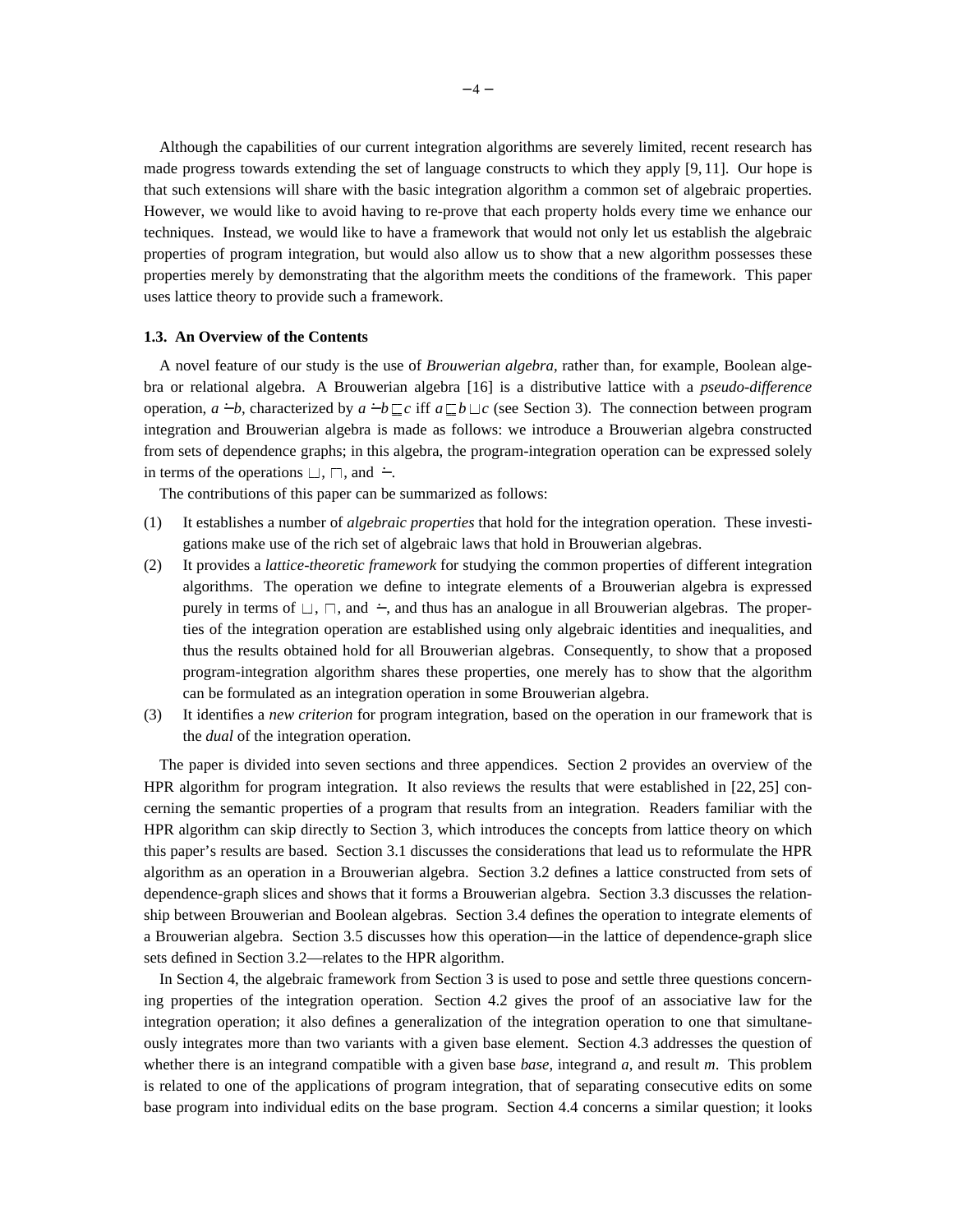Although the capabilities of our current integration algorithms are severely limited, recent research has made progress towards extending the set of language constructs to which they apply [9, 11]. Our hope is that such extensions will share with the basic integration algorithm a common set of algebraic properties. However, we would like to avoid having to re-prove that each property holds every time we enhance our techniques. Instead, we would like to have a framework that would not only let us establish the algebraic properties of program integration, but would also allow us to show that a new algorithm possesses these properties merely by demonstrating that the algorithm meets the conditions of the framework. This paper uses lattice theory to provide such a framework.

#### **1.3. An Overview of the Contents**

A novel feature of our study is the use of *Brouwerian algebra*, rather than, for example, Boolean algebra or relational algebra. A Brouwerian algebra [16] is a distributive lattice with a *pseudo-difference* operation,  $a - b$ , characterized by  $a - b \sqsubseteq c$  iff  $a \sqsubseteq b \sqcup c$  (see Section 3). The connection between program integration and Brouwerian algebra is made as follows: we introduce a Brouwerian algebra constructed from sets of dependence graphs; in this algebra, the program-integration operation can be expressed solely in terms of the operations  $\Box$ ,  $\Box$ , and  $\div$ .

The contributions of this paper can be summarized as follows:

- (1) It establishes a number of *algebraic properties* that hold for the integration operation. These investigations make use of the rich set of algebraic laws that hold in Brouwerian algebras.
- (2) It provides a *lattice-theoretic framework* for studying the common properties of different integration algorithms. The operation we define to integrate elements of a Brouwerian algebra is expressed purely in terms of  $\Box$ ,  $\Box$ , and  $\div$ , and thus has an analogue in all Brouwerian algebras. The properties of the integration operation are established using only algebraic identities and inequalities, and thus the results obtained hold for all Brouwerian algebras. Consequently, to show that a proposed program-integration algorithm shares these properties, one merely has to show that the algorithm can be formulated as an integration operation in some Brouwerian algebra.
- (3) It identifies a *new criterion* for program integration, based on the operation in our framework that is the *dual* of the integration operation.

The paper is divided into seven sections and three appendices. Section 2 provides an overview of the HPR algorithm for program integration. It also reviews the results that were established in [22, 25] concerning the semantic properties of a program that results from an integration. Readers familiar with the HPR algorithm can skip directly to Section 3, which introduces the concepts from lattice theory on which this paper's results are based. Section 3.1 discusses the considerations that lead us to reformulate the HPR algorithm as an operation in a Brouwerian algebra. Section 3.2 defines a lattice constructed from sets of dependence-graph slices and shows that it forms a Brouwerian algebra. Section 3.3 discusses the relationship between Brouwerian and Boolean algebras. Section 3.4 defines the operation to integrate elements of a Brouwerian algebra. Section 3.5 discusses how this operation—in the lattice of dependence-graph slice sets defined in Section 3.2—relates to the HPR algorithm.

In Section 4, the algebraic framework from Section 3 is used to pose and settle three questions concerning properties of the integration operation. Section 4.2 gives the proof of an associative law for the integration operation; it also defines a generalization of the integration operation to one that simultaneously integrates more than two variants with a given base element. Section 4.3 addresses the question of whether there is an integrand compatible with a given base *base*, integrand *a*, and result *m*. This problem is related to one of the applications of program integration, that of separating consecutive edits on some base program into individual edits on the base program. Section 4.4 concerns a similar question; it looks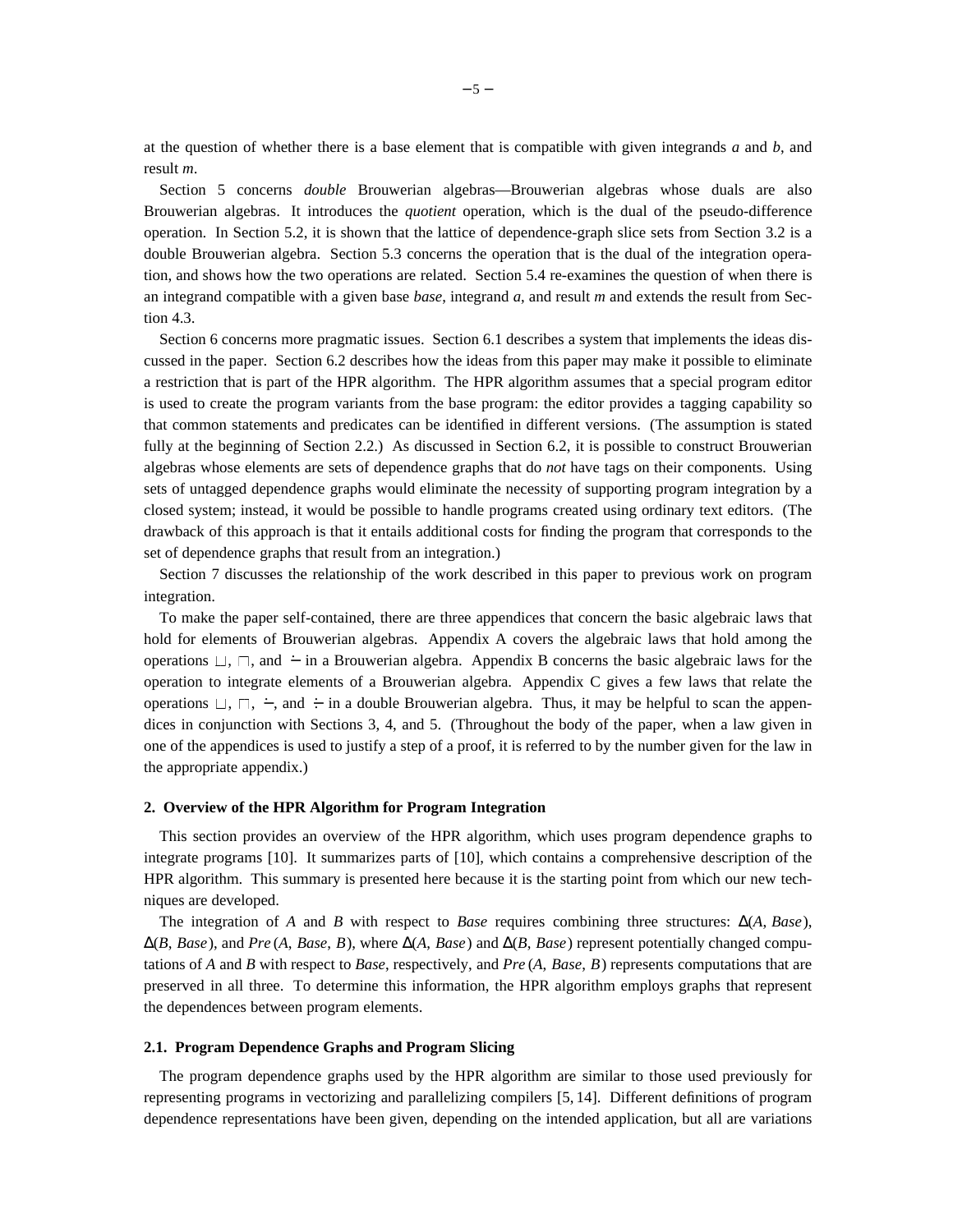at the question of whether there is a base element that is compatible with given integrands *a* and *b*, and result *m*.

Section 5 concerns *double* Brouwerian algebras—Brouwerian algebras whose duals are also Brouwerian algebras. It introduces the *quotient* operation, which is the dual of the pseudo-difference operation. In Section 5.2, it is shown that the lattice of dependence-graph slice sets from Section 3.2 is a double Brouwerian algebra. Section 5.3 concerns the operation that is the dual of the integration operation, and shows how the two operations are related. Section 5.4 re-examines the question of when there is an integrand compatible with a given base *base*, integrand *a*, and result *m* and extends the result from Section 4.3.

Section 6 concerns more pragmatic issues. Section 6.1 describes a system that implements the ideas discussed in the paper. Section 6.2 describes how the ideas from this paper may make it possible to eliminate a restriction that is part of the HPR algorithm. The HPR algorithm assumes that a special program editor is used to create the program variants from the base program: the editor provides a tagging capability so that common statements and predicates can be identified in different versions. (The assumption is stated fully at the beginning of Section 2.2.) As discussed in Section 6.2, it is possible to construct Brouwerian algebras whose elements are sets of dependence graphs that do *not* have tags on their components. Using sets of untagged dependence graphs would eliminate the necessity of supporting program integration by a closed system; instead, it would be possible to handle programs created using ordinary text editors. (The drawback of this approach is that it entails additional costs for finding the program that corresponds to the set of dependence graphs that result from an integration.)

Section 7 discusses the relationship of the work described in this paper to previous work on program integration.

To make the paper self-contained, there are three appendices that concern the basic algebraic laws that hold for elements of Brouwerian algebras. Appendix A covers the algebraic laws that hold among the operations  $\Box$ ,  $\Box$ , and  $\div$  in a Brouwerian algebra. Appendix B concerns the basic algebraic laws for the operation to integrate elements of a Brouwerian algebra. Appendix C gives a few laws that relate the  $\overline{\phantom{a}}$  operations  $\Box$ ,  $\Box$ ,  $\div$ , and  $\div$  in a double Brouwerian algebra. Thus, it may be helpful to scan the appendices in conjunction with Sections 3, 4, and 5. (Throughout the body of the paper, when a law given in one of the appendices is used to justify a step of a proof, it is referred to by the number given for the law in the appropriate appendix.)

### **2. Overview of the HPR Algorithm for Program Integration**

This section provides an overview of the HPR algorithm, which uses program dependence graphs to integrate programs [10]. It summarizes parts of [10], which contains a comprehensive description of the HPR algorithm. This summary is presented here because it is the starting point from which our new techniques are developed.

The integration of *A* and *B* with respect to *Base* requires combining three structures: ∆(*A*, *Base*), ∆(*B*, *Base*), and *Pre* (*A*, *Base*, *B*), where ∆(*A*, *Base*) and ∆(*B*, *Base*) represent potentially changed computations of *A* and *B* with respect to *Base*, respectively, and *Pre* (*A*, *Base*, *B*) represents computations that are preserved in all three. To determine this information, the HPR algorithm employs graphs that represent the dependences between program elements.

#### **2.1. Program Dependence Graphs and Program Slicing**

The program dependence graphs used by the HPR algorithm are similar to those used previously for representing programs in vectorizing and parallelizing compilers [5, 14]. Different definitions of program dependence representations have been given, depending on the intended application, but all are variations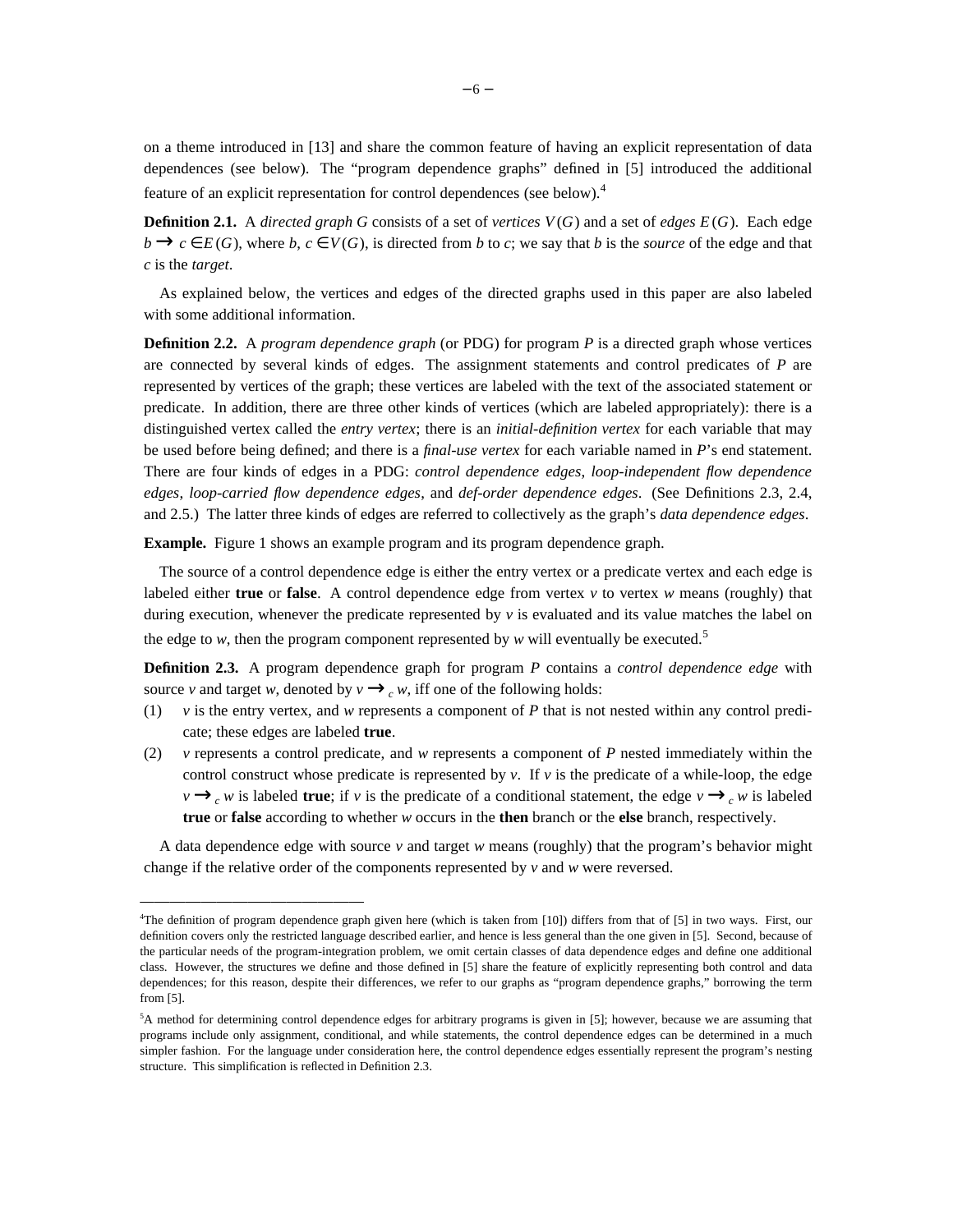on a theme introduced in [13] and share the common feature of having an explicit representation of data dependences (see below). The "program dependence graphs" defined in [5] introduced the additional feature of an explicit representation for control dependences (see below).<sup>4</sup>

**Definition 2.1.** A *directed graph G* consists of a set of *vertices*  $V(G)$  and a set of *edges*  $E(G)$ . Each edge  $b \rightarrow c \in E(G)$ , where  $b, c \in V(G)$ , is directed from *b* to *c*; we say that *b* is the *source* of the edge and that *c* is the *target*.

As explained below, the vertices and edges of the directed graphs used in this paper are also labeled with some additional information.

**Definition 2.2.** A *program dependence graph* (or PDG) for program *P* is a directed graph whose vertices are connected by several kinds of edges. The assignment statements and control predicates of *P* are represented by vertices of the graph; these vertices are labeled with the text of the associated statement or predicate. In addition, there are three other kinds of vertices (which are labeled appropriately): there is a distinguished vertex called the *entry vertex*; there is an *initial-definition vertex* for each variable that may be used before being defined; and there is a *final-use vertex* for each variable named in *P*'s end statement. There are four kinds of edges in a PDG: *control dependence edges*, *loop-independent flow dependence edges*, *loop-carried flow dependence edges*, and *def-order dependence edges*. (See Definitions 2.3, 2.4, and 2.5.) The latter three kinds of edges are referred to collectively as the graph's *data dependence edges*.

**Example.** Figure 1 shows an example program and its program dependence graph.

and the contract of the contract of the contract of the contract of the contract of the contract of the contract of the contract of the contract of the contract of the contract of the contract of the contract of the contra

------------------

The source of a control dependence edge is either the entry vertex or a predicate vertex and each edge is labeled either **true** or **false**. A control dependence edge from vertex *v* to vertex *w* means (roughly) that during execution, whenever the predicate represented by *v* is evaluated and its value matches the label on the edge to *w*, then the program component represented by *w* will eventually be executed.<sup>5</sup>

**Definition 2.3.** A program dependence graph for program *P* contains a *control dependence edge* with source *v* and target *w*, denoted by  $v \rightarrow_c w$ , iff one of the following holds:

- (1) *v* is the entry vertex, and *w* represents a component of *P* that is not nested within any control predicate; these edges are labeled **true**.
- (2) *v* represents a control predicate, and *w* represents a component of *P* nested immediately within the control construct whose predicate is represented by *v*. If *v* is the predicate of a while-loop, the edge  $v \rightarrow c$  *w* is labeled **true**; if *v* is the predicate of a conditional statement, the edge  $v \rightarrow c$  *w* is labeled **true** or **false** according to whether *w* occurs in the **then** branch or the **else** branch, respectively.

A data dependence edge with source  $v$  and target  $w$  means (roughly) that the program's behavior might change if the relative order of the components represented by *v* and *w* were reversed.

<sup>4</sup>The definition of program dependence graph given here (which is taken from [10]) differs from that of [5] in two ways. First, our definition covers only the restricted language described earlier, and hence is less general than the one given in [5]. Second, because of the particular needs of the program-integration problem, we omit certain classes of data dependence edges and define one additional class. However, the structures we define and those defined in [5] share the feature of explicitly representing both control and data dependences; for this reason, despite their differences, we refer to our graphs as "program dependence graphs," borrowing the term from [5].

<sup>5</sup>A method for determining control dependence edges for arbitrary programs is given in [5]; however, because we are assuming that programs include only assignment, conditional, and while statements, the control dependence edges can be determined in a much simpler fashion. For the language under consideration here, the control dependence edges essentially represent the program's nesting structure. This simplification is reflected in Definition 2.3.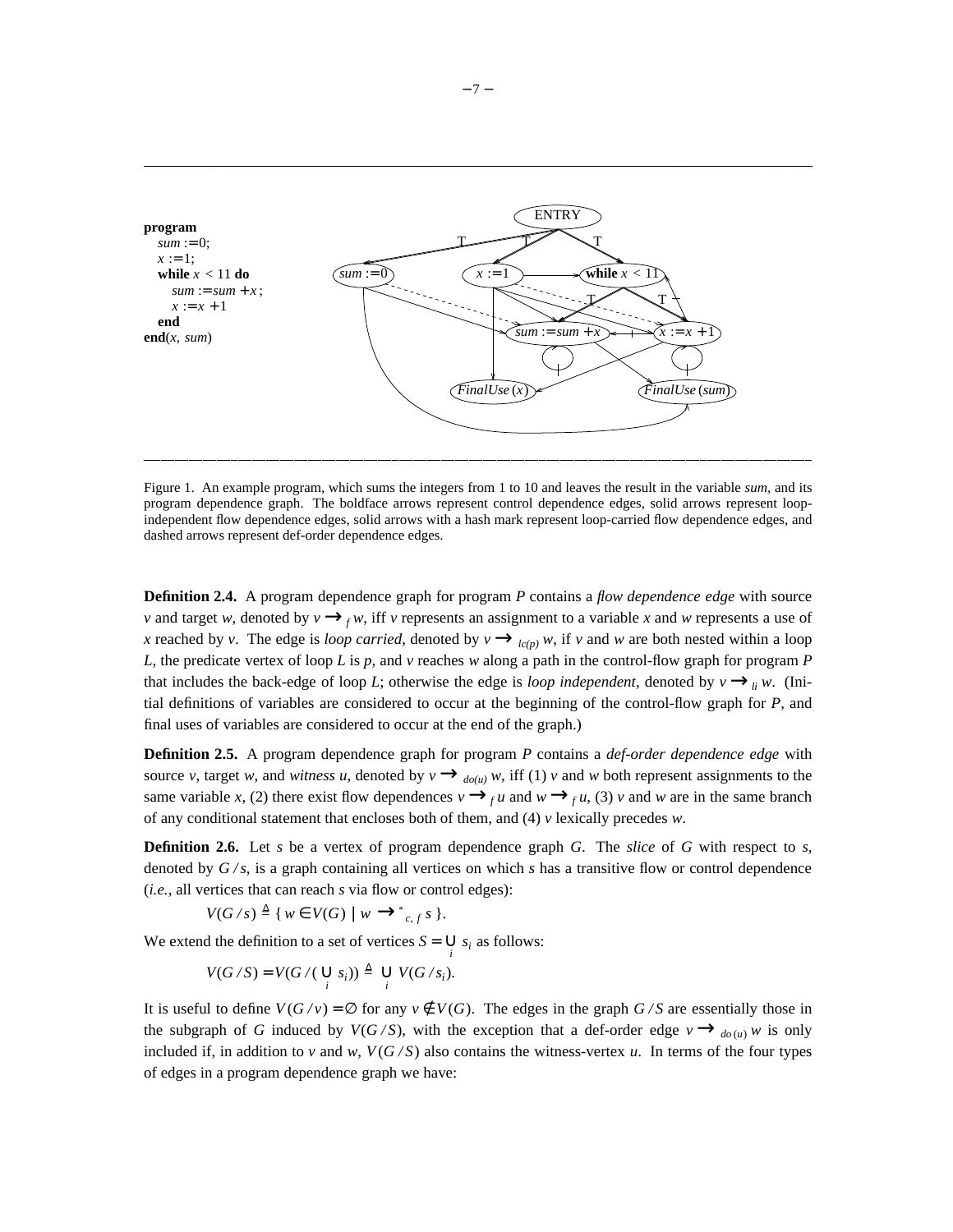

Figure 1. An example program, which sums the integers from 1 to 10 and leaves the result in the variable *sum*, and its program dependence graph. The boldface arrows represent control dependence edges, solid arrows represent loopindependent flow dependence edges, solid arrows with a hash mark represent loop-carried flow dependence edges, and dashed arrows represent def-order dependence edges.

**Definition 2.4.** A program dependence graph for program *P* contains a *flow dependence edge* with source *v* and target *w*, denoted by  $v \rightarrow f w$ , iff *v* represents an assignment to a variable *x* and *w* represents a use of *x* reached by *v*. The edge is *loop carried*, denoted by  $v \rightarrow l_{c(p)} w$ , if *v* and *w* are both nested within a loop *L*, the predicate vertex of loop *L* is *p*, and *v* reaches *w* along a path in the control-flow graph for program *P* that includes the back-edge of loop *L*; otherwise the edge is *loop independent*, denoted by  $v \rightarrow$ <sub>*li*</sub> *w*. (Initial definitions of variables are considered to occur at the beginning of the control-flow graph for *P*, and final uses of variables are considered to occur at the end of the graph.)

**Definition 2.5.** A program dependence graph for program *P* contains a *def-order dependence edge* with source *v*, target *w*, and *witness u*, denoted by  $v \rightarrow_{d\rho(u)} w$ , iff (1) *v* and *w* both represent assignments to the same variable *x*, (2) there exist flow dependences  $v \rightarrow_f u$  and  $w \rightarrow_f u$ , (3) *v* and *w* are in the same branch of any conditional statement that encloses both of them, and (4) *v* lexically precedes *w*.

**Definition 2.6.** Let *s* be a vertex of program dependence graph *G*. The *slice* of *G* with respect to *s*, denoted by  $G/s$ , is a graph containing all vertices on which s has a transitive flow or control dependence (*i.e.*, all vertices that can reach *s* via flow or control edges):

*V*(*G* /*s*)  $\stackrel{\Delta}{=}$  { *w* ∈ *V*(*G*) | *w* →  $*$ <sub>*c*, *f*</sub> *s* }.

-----------------------------------------------------

We extend the definition to a set of vertices  $S = \bigcup_i s_i$  as follows:

$$
V(G/S) = V(G/(\bigcup_i s_i)) \stackrel{\Delta}{=} \bigcup_i V(G/s_i).
$$

It is useful to define  $V(G/v) = \emptyset$  for any  $v \notin V(G)$ . The edges in the graph  $G/S$  are essentially those in the subgraph of *G* induced by  $V(G/S)$ , with the exception that a def-order edge  $v \rightarrow_{d\rho(u)} w$  is only included if, in addition to *v* and *w*,  $V(G/S)$  also contains the witness-vertex *u*. In terms of the four types of edges in a program dependence graph we have:

and the contract of the contract of the contract of the contract of the contract of the contract of the contract of the contract of the contract of the contract of the contract of the contract of the contract of the contra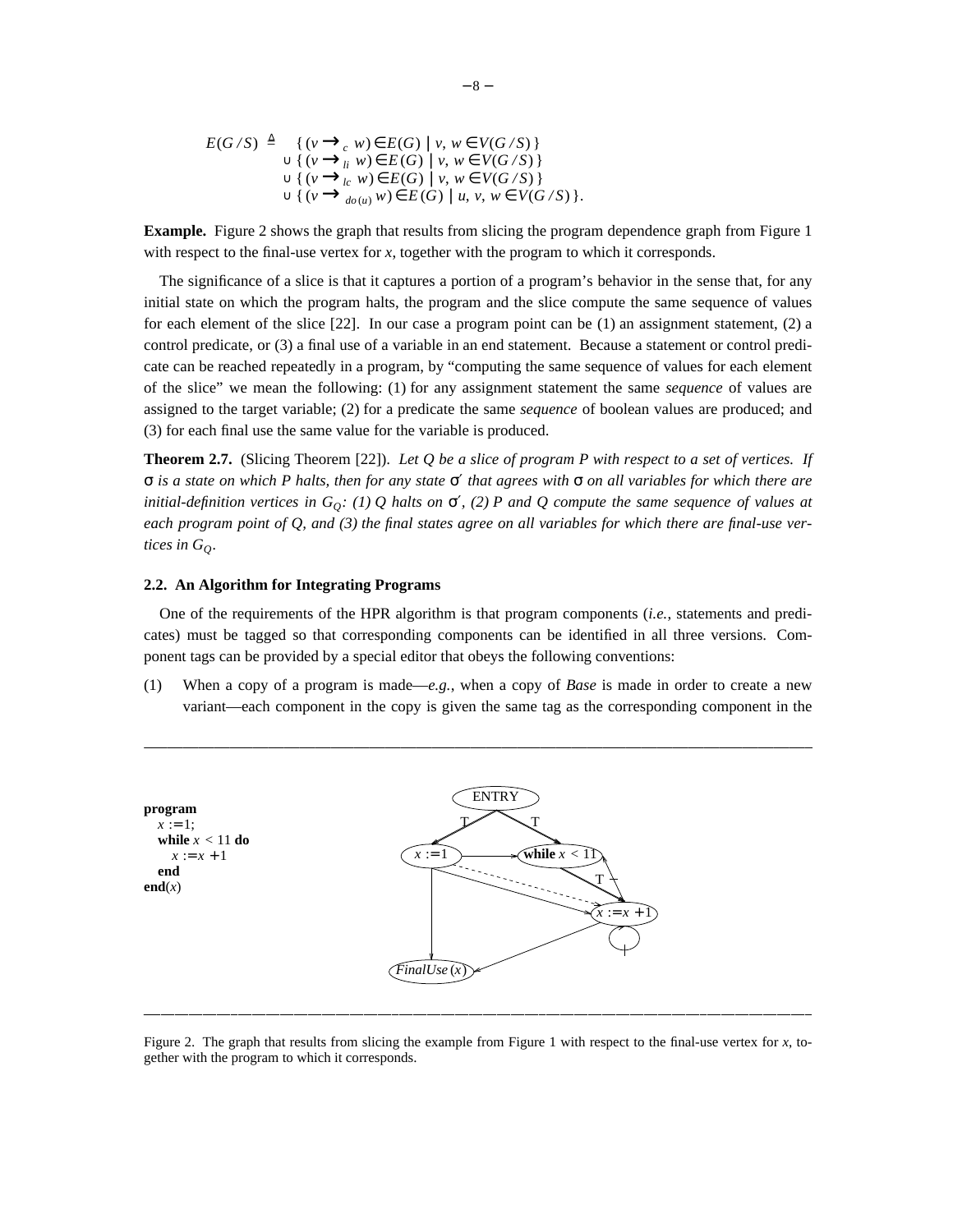$$
E(G/S) \triangleq \{ (v \rightarrow_c w) \in E(G) \mid v, w \in V(G/S) \}
$$
  
\n
$$
\cup \{ (v \rightarrow_{li} w) \in E(G) \mid v, w \in V(G/S) \}
$$
  
\n
$$
\cup \{ (v \rightarrow_{lc} w) \in E(G) \mid v, w \in V(G/S) \}
$$
  
\n
$$
\cup \{ (v \rightarrow_{do(u)} w) \in E(G) \mid u, v, w \in V(G/S) \}.
$$

**Example.** Figure 2 shows the graph that results from slicing the program dependence graph from Figure 1 with respect to the final-use vertex for *x*, together with the program to which it corresponds.

The significance of a slice is that it captures a portion of a program's behavior in the sense that, for any initial state on which the program halts, the program and the slice compute the same sequence of values for each element of the slice [22]. In our case a program point can be (1) an assignment statement, (2) a control predicate, or (3) a final use of a variable in an end statement. Because a statement or control predicate can be reached repeatedly in a program, by "computing the same sequence of values for each element of the slice" we mean the following: (1) for any assignment statement the same *sequence* of values are assigned to the target variable; (2) for a predicate the same *sequence* of boolean values are produced; and (3) for each final use the same value for the variable is produced.

**Theorem 2.7.** (Slicing Theorem [22]). Let  $Q$  be a slice of program P with respect to a set of vertices. If  $\sigma$  is a state on which P halts, then for any state  $\sigma'$  that agrees with  $\sigma$  on all variables for which there are initial-definition vertices in  $G_0$ : (1) Q halts on  $\sigma'$ , (2) P and Q compute the same sequence of values at each program point of  $Q$ , and (3) the final states agree on all variables for which there are final-use ver*tices in*  $G_Q$ *.* 

## **2.2. An Algorithm for Integrating Programs**

-----------------------------------------------------

One of the requirements of the HPR algorithm is that program components (*i.e.*, statements and predicates) must be tagged so that corresponding components can be identified in all three versions. Component tags can be provided by a special editor that obeys the following conventions:

(1) When a copy of a program is made—*e.g.*, when a copy of *Base* is made in order to create a new variant—each component in the copy is given the same tag as the corresponding component in the

and the contract of the contract of the contract of the contract of the contract of the contract of the contract of the contract of the contract of the contract of the contract of the contract of the contract of the contra



Figure 2. The graph that results from slicing the example from Figure 1 with respect to the final-use vertex for *x*, together with the program to which it corresponds.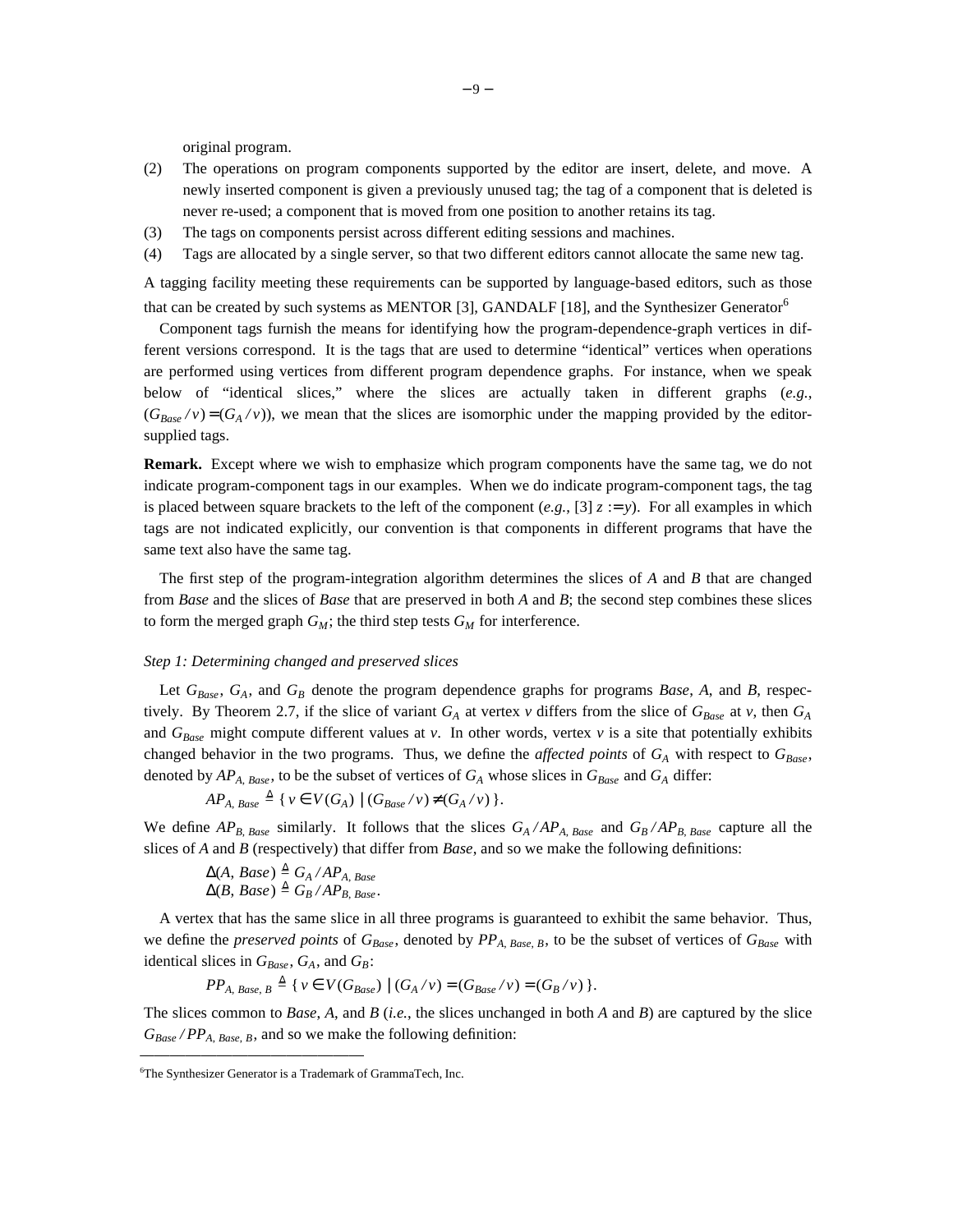original program.

- (2) The operations on program components supported by the editor are insert, delete, and move. A newly inserted component is given a previously unused tag; the tag of a component that is deleted is never re-used; a component that is moved from one position to another retains its tag.
- (3) The tags on components persist across different editing sessions and machines.
- (4) Tags are allocated by a single server, so that two different editors cannot allocate the same new tag.

A tagging facility meeting these requirements can be supported by language-based editors, such as those that can be created by such systems as MENTOR [3], GANDALF [18], and the Synthesizer Generator<sup>6</sup>

Component tags furnish the means for identifying how the program-dependence-graph vertices in different versions correspond. It is the tags that are used to determine "identical" vertices when operations are performed using vertices from different program dependence graphs. For instance, when we speak below of "identical slices," where the slices are actually taken in different graphs (*e.g.*,  $(G_{Base}/v) = (G_A/v)$ , we mean that the slices are isomorphic under the mapping provided by the editorsupplied tags.

**Remark.** Except where we wish to emphasize which program components have the same tag, we do not indicate program-component tags in our examples. When we do indicate program-component tags, the tag is placed between square brackets to the left of the component  $(e.g., [3]z := y)$ . For all examples in which tags are not indicated explicitly, our convention is that components in different programs that have the same text also have the same tag.

The first step of the program-integration algorithm determines the slices of *A* and *B* that are changed from *Base* and the slices of *Base* that are preserved in both *A* and *B*; the second step combines these slices to form the merged graph  $G_M$ ; the third step tests  $G_M$  for interference.

#### *Step 1: Determining changed and preserved slices*

Let *GBase*, *GA*, and *G<sup>B</sup>* denote the program dependence graphs for programs *Base*, *A*, and *B*, respectively. By Theorem 2.7, if the slice of variant  $G_A$  at vertex *v* differs from the slice of  $G_{Base}$  at *v*, then  $G_A$ and  $G_{Base}$  might compute different values at *v*. In other words, vertex *v* is a site that potentially exhibits changed behavior in the two programs. Thus, we define the *affected points* of *G<sup>A</sup>* with respect to *GBase*, denoted by  $AP_{A, Base}$ , to be the subset of vertices of  $G_A$  whose slices in  $G_{Base}$  and  $G_A$  differ:

$$
AP_{A, \text{Base}} \triangleq \{ v \in V(G_A) \mid (G_{\text{Base}}/v) \neq (G_A/v) \}.
$$

We define  $AP_{B, Base}$  similarly. It follows that the slices  $G_A/AP_{A, Base}$  and  $G_B/AP_{B, Base}$  capture all the slices of *A* and *B* (respectively) that differ from *Base*, and so we make the following definitions:

$$
\Delta(A, Base) \triangleq G_A / AP_{A, Base} \Delta(B, Base) \triangleq G_B / AP_{B, Base}.
$$

A vertex that has the same slice in all three programs is guaranteed to exhibit the same behavior. Thus, we define the *preserved points* of  $G_{Base}$ , denoted by  $PP_{A, Base, B}$ , to be the subset of vertices of  $G_{Base}$  with identical slices in *GBase*, *GA*, and *GB*:

$$
PP_{A, \text{Base}, B} \triangleq \{ v \in V(G_{\text{Base}}) \mid (G_A/v) = (G_{\text{Base}}/v) = (G_B/v) \}.
$$

the contract of the contract of the contract of the contract of the contract of the contract of the contract of

The slices common to *Base*, *A*, and *B* (*i.e.*, the slices unchanged in both *A* and *B*) are captured by the slice  $G_{Base}/PP_{A, Base, B}$ , and so we make the following definition:

---

-------------

<sup>-</sup>-<sup>6</sup>The Synthesizer Generator is a Trademark of GrammaTech, Inc.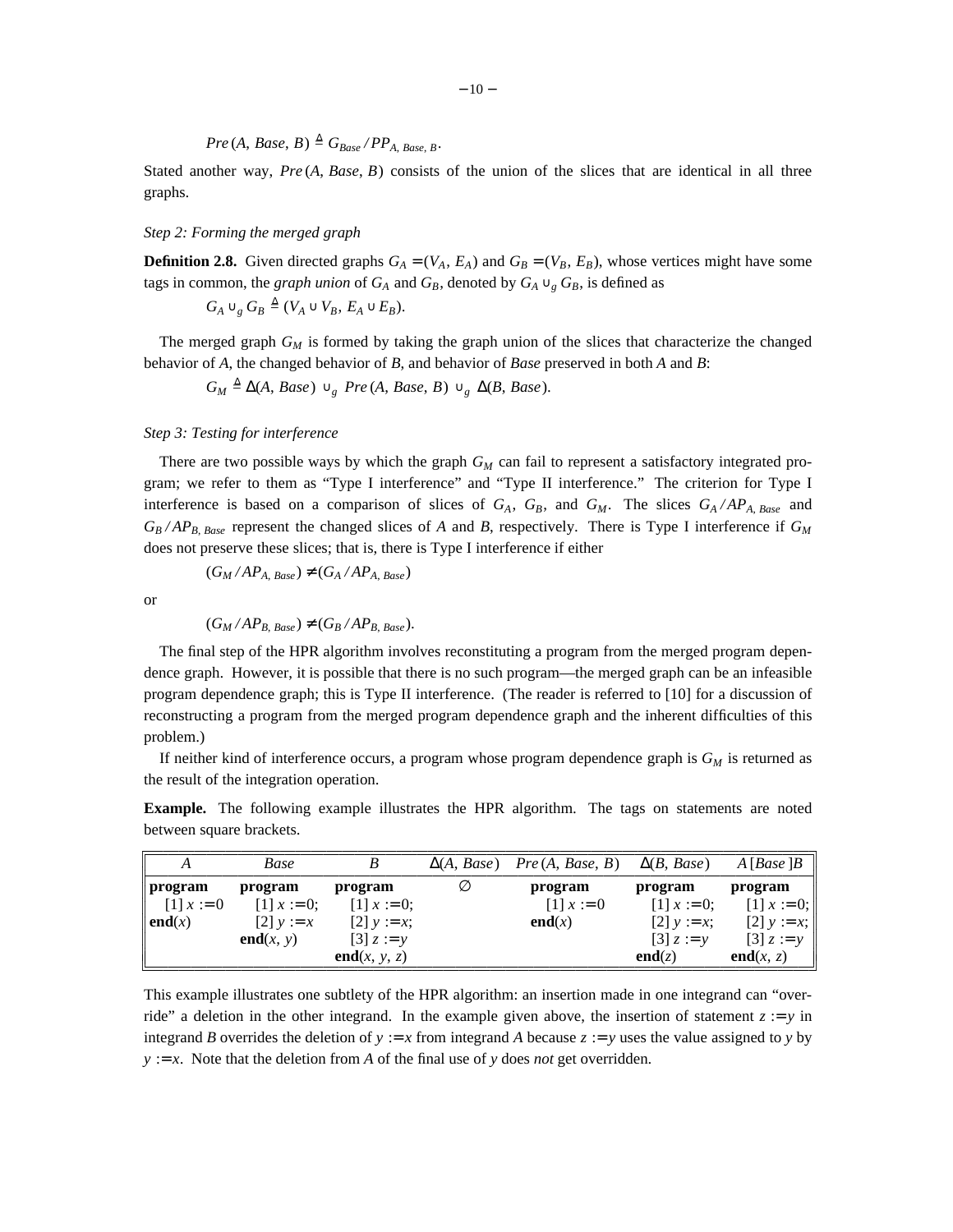$Pre(A, Base, B) \triangleq G_{Base}/PP_{A, Base, B}.$ 

Stated another way, *Pre* (*A*, *Base*, *B*) consists of the union of the slices that are identical in all three graphs.

#### *Step 2: Forming the merged graph*

**Definition 2.8.** Given directed graphs  $G_A = (V_A, E_A)$  and  $G_B = (V_B, E_B)$ , whose vertices might have some tags in common, the *graph union* of  $G_A$  and  $G_B$ , denoted by  $G_A \cup_{g} G_B$ , is defined as

$$
G_A\cup_g G_B\triangleq (V_A\cup V_B,\,E_A\cup E_B).
$$

The merged graph  $G_M$  is formed by taking the graph union of the slices that characterize the changed behavior of *A*, the changed behavior of *B*, and behavior of *Base* preserved in both *A* and *B*:

 $G_M \triangleq \Delta(A, \text{Base}) \cup_g \text{Pre}(A, \text{Base}, B) \cup_g \Delta(B, \text{Base}).$ 

## *Step 3: Testing for interference*

There are two possible ways by which the graph *G<sup>M</sup>* can fail to represent a satisfactory integrated program; we refer to them as "Type I interference" and "Type II interference." The criterion for Type I interference is based on a comparison of slices of  $G_A$ ,  $G_B$ , and  $G_M$ . The slices  $G_A / AP_A$ , *Base* and  $G_B$  */AP*<sub>*B*</sub>, *Base* represent the changed slices of *A* and *B*, respectively. There is Type I interference if  $G_M$ does not preserve these slices; that is, there is Type I interference if either

$$
(G_M/AP_{A, Base}) \neq (G_A/AP_{A, Base})
$$

or

---------------------------------------------------------

\_\_

$$
(G_M / AP_{B, \, Base}) \neq (G_B / AP_{B, \, Base}).
$$

The final step of the HPR algorithm involves reconstituting a program from the merged program dependence graph. However, it is possible that there is no such program—the merged graph can be an infeasible program dependence graph; this is Type II interference. (The reader is referred to [10] for a discussion of reconstructing a program from the merged program dependence graph and the inherent difficulties of this problem.)

If neither kind of interference occurs, a program whose program dependence graph is *G<sup>M</sup>* is returned as the result of the integration operation.

**Example.** The following example illustrates the HPR algorithm. The tags on statements are noted between square brackets.

|              | Base          |                                 |   | $\Delta(A, Base)$ Pre(A, Base, B) $\Delta(B, Base)$ A [Base ]B |         |                               |
|--------------|---------------|---------------------------------|---|----------------------------------------------------------------|---------|-------------------------------|
| program      | program       | program                         | Ø | program                                                        | program | program                       |
| $[1] x := 0$ | $[1] x := 0;$ | $[1] x := 0;$                   |   | $[1] x := 0$                                                   |         | $[1] x := 0;$ $[1] x := 0;$   |
| end $(x)$    |               | $[2]$ $y := x$ $[2]$ $y := x$ ; |   | end(x)                                                         |         | [2] $y := x$ ; [2] $y := x$ ; |
|              | end(x, y)     | $[3] z := y$                    |   |                                                                |         | $[3] z := y$ $[3] z := y$     |
|              |               | end $(x, y, z)$                 |   |                                                                | end(z)  | end $(x, z)$                  |

This example illustrates one subtlety of the HPR algorithm: an insertion made in one integrand can "override" a deletion in the other integrand. In the example given above, the insertion of statement  $z := y$  in integrand *B* overrides the deletion of  $y := x$  from integrand *A* because  $z := y$  uses the value assigned to *y* by  $y := x$ . Note that the deletion from *A* of the final use of *y* does *not* get overridden.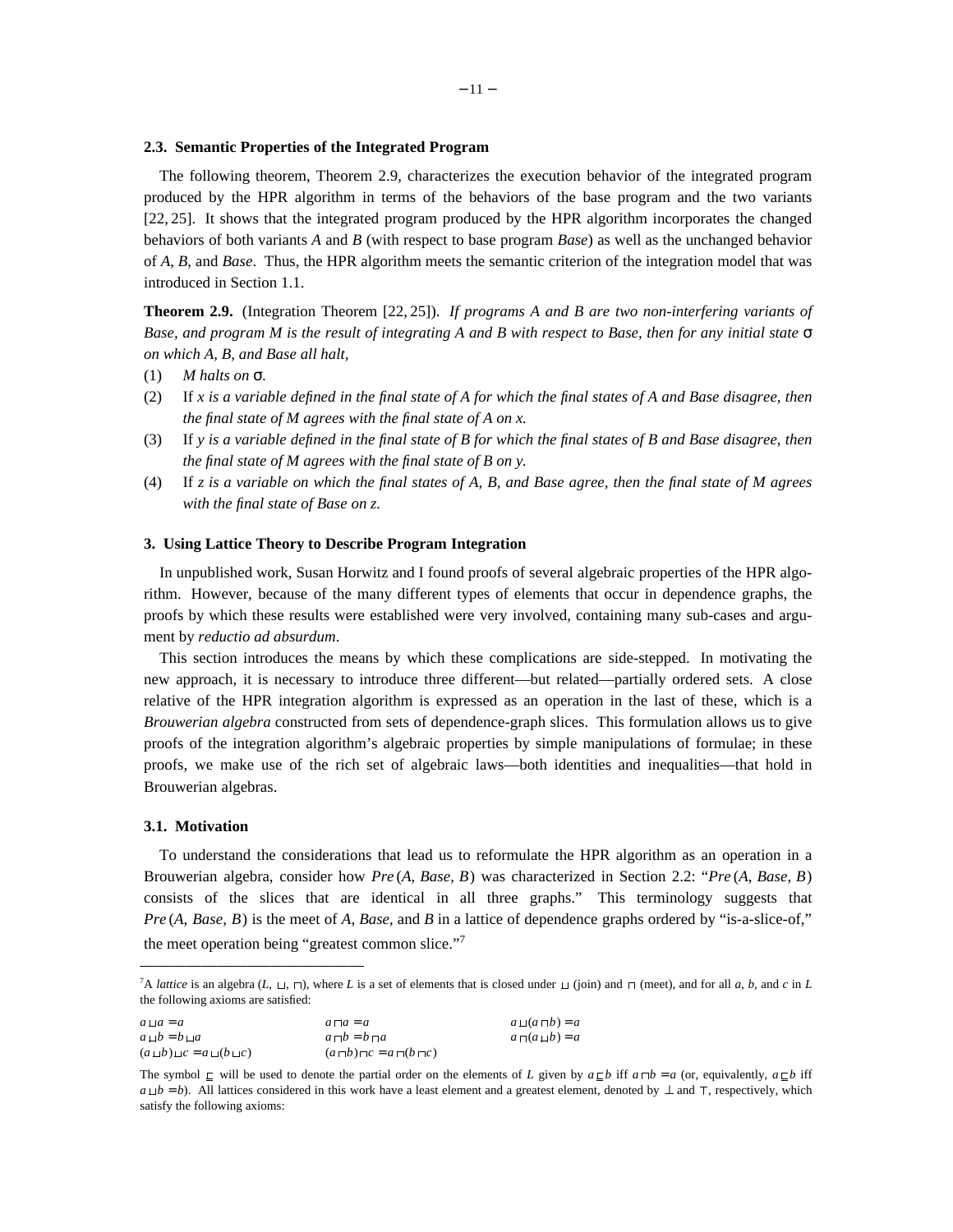The following theorem, Theorem 2.9, characterizes the execution behavior of the integrated program produced by the HPR algorithm in terms of the behaviors of the base program and the two variants [22, 25]. It shows that the integrated program produced by the HPR algorithm incorporates the changed behaviors of both variants *A* and *B* (with respect to base program *Base*) as well as the unchanged behavior of *A*, *B*, and *Base*. Thus, the HPR algorithm meets the semantic criterion of the integration model that was introduced in Section 1.1.

**Theorem 2.9.** (Integration Theorem [22, 25]). *If programs A and B are two non-interfering variants of* Base, and program M is the result of integrating A and B with respect to Base, then for any initial state  $\sigma$ *on which A, B, and Base all halt,*

- (1) *M halts on* σ*.*
- (2) If x is a variable defined in the final state of A for which the final states of A and Base disagree, then *the final state of M agrees with the final state of A on x.*
- (3) If y is a variable defined in the final state of  $B$  for which the final states of  $B$  and Base disagree, then *the final state of M agrees with the final state of B on y.*
- (4) If z is a variable on which the final states of A, B, and Base agree, then the final state of M agrees *with the final state of Base on z.*

#### **3. Using Lattice Theory to Describe Program Integration**

In unpublished work, Susan Horwitz and I found proofs of several algebraic properties of the HPR algorithm. However, because of the many different types of elements that occur in dependence graphs, the proofs by which these results were established were very involved, containing many sub-cases and argument by *reductio ad absurdum*.

This section introduces the means by which these complications are side-stepped. In motivating the new approach, it is necessary to introduce three different—but related—partially ordered sets. A close relative of the HPR integration algorithm is expressed as an operation in the last of these, which is a *Brouwerian algebra* constructed from sets of dependence-graph slices. This formulation allows us to give proofs of the integration algorithm's algebraic properties by simple manipulations of formulae; in these proofs, we make use of the rich set of algebraic laws—both identities and inequalities—that hold in Brouwerian algebras.

## **3.1. Motivation**

------------------

To understand the considerations that lead us to reformulate the HPR algorithm as an operation in a Brouwerian algebra, consider how *Pre* (*A*, *Base*, *B*) was characterized in Section 2.2: "*Pre* (*A*, *Base*, *B*) consists of the slices that are identical in all three graphs." This terminology suggests that *Pre* (*A*, *Base*, *B*) is the meet of *A*, *Base*, and *B* in a lattice of dependence graphs ordered by "is-a-slice-of," the meet operation being "greatest common slice."<sup>7</sup>

 $^7A$  *lattice* is an algebra (*L*,  $\sqcup$ ,  $\sqcap$ ), where *L* is a set of elements that is closed under  $\sqcup$  (join) and  $\sqcap$  (meet), and for all *a*, *b*, and *c* in *L* the following axioms are satisfied:

| $a \mid a = a$                                  | $a \sqcap a = a$                                | $a \sqcup (a \sqcap b) = a$ |
|-------------------------------------------------|-------------------------------------------------|-----------------------------|
| $a  b = b  a$                                   | $a \sqcap b = b \sqcap a$                       | $a \sqcap (a \sqcup b) = a$ |
| $(a \sqcup b) \sqcup c = a \sqcup (b \sqcup c)$ | $(a \sqcap b) \sqcap c = a \sqcap (b \sqcap c)$ |                             |

The symbol  $\sqsubset$  will be used to denote the partial order on the elements of *L* given by  $a \sqsubset b$  iff  $a \sqcap b = a$  (or, equivalently,  $a \sqsubset b$  iff  $a \sqcup b = b$ ). All lattices considered in this work have a least element and a greatest element, denoted by  $\perp$  and  $\top$ , respectively, which satisfy the following axioms: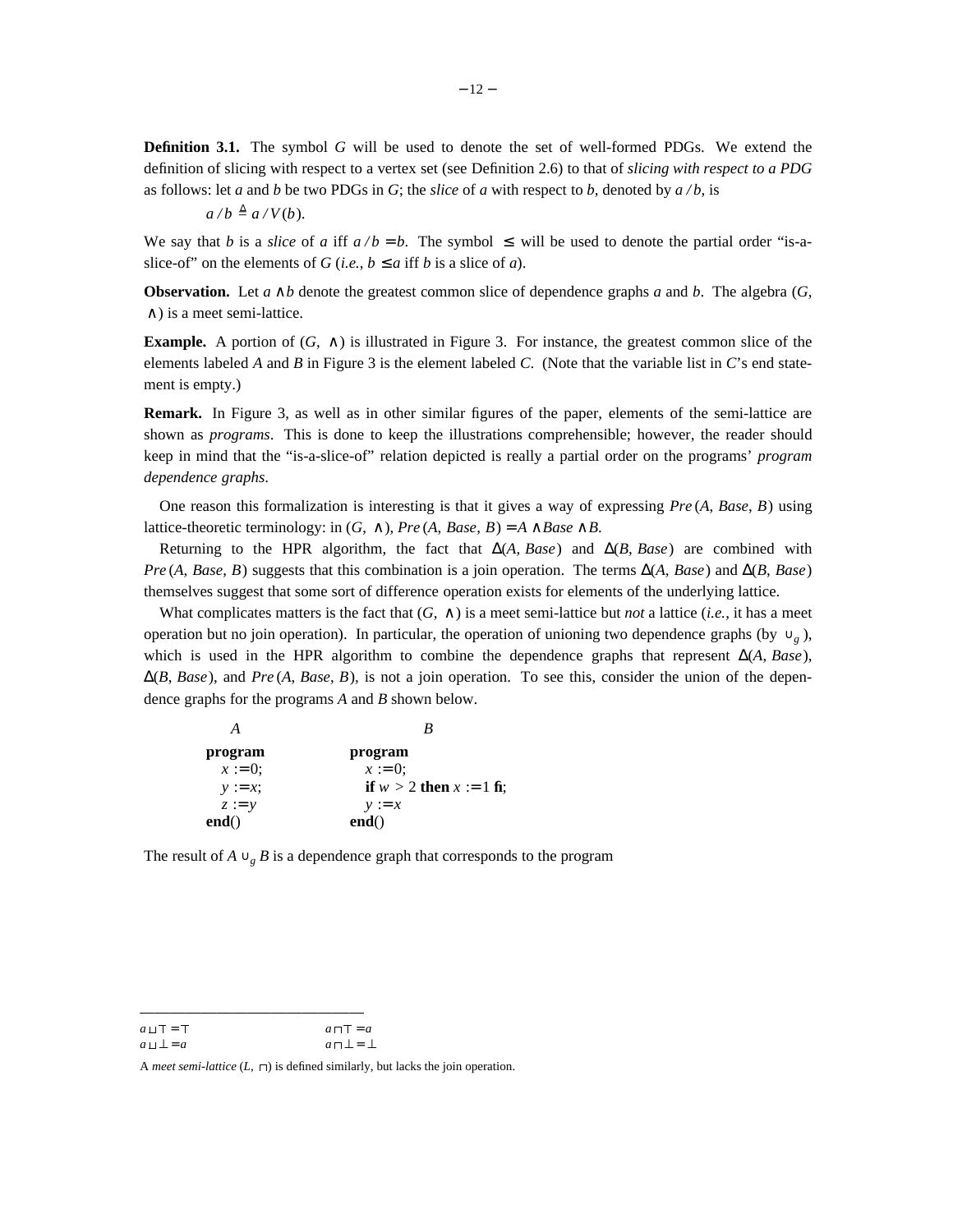**Definition 3.1.** The symbol *G* will be used to denote the set of well-formed PDGs. We extend the definition of slicing with respect to a vertex set (see Definition 2.6) to that of *slicing with respect to a PDG* as follows: let *a* and *b* be two PDGs in *G*; the *slice* of *a* with respect to *b*, denoted by  $a/b$ , is

$$
a/b \triangleq a/V(b)
$$
.

We say that *b* is a *slice* of *a* iff  $a/b = b$ . The symbol  $\leq$  will be used to denote the partial order "is-aslice-of" on the elements of *G* (*i.e.*,  $b \le a$  iff *b* is a slice of *a*).

**Observation.** Let  $a \wedge b$  denote the greatest common slice of dependence graphs *a* and *b*. The algebra (*G*, ∧ ) is a meet semi-lattice.

**Example.** A portion of  $(G, \wedge)$  is illustrated in Figure 3. For instance, the greatest common slice of the elements labeled *A* and *B* in Figure 3 is the element labeled *C*. (Note that the variable list in *C*'s end statement is empty.)

**Remark.** In Figure 3, as well as in other similar figures of the paper, elements of the semi-lattice are shown as *programs*. This is done to keep the illustrations comprehensible; however, the reader should keep in mind that the "is-a-slice-of" relation depicted is really a partial order on the programs' *program dependence graphs*.

One reason this formalization is interesting is that it gives a way of expressing *Pre* (*A*, *Base*, *B*) using lattice-theoretic terminology: in  $(G, \wedge)$ , *Pre*  $(A, Base, B) = A \wedge Base \wedge B$ .

Returning to the HPR algorithm, the fact that ∆(*A*, *Base*) and ∆(*B*, *Base*) are combined with *Pre* (*A*, *Base*, *B*) suggests that this combination is a join operation. The terms ∆(*A*, *Base*) and ∆(*B*, *Base*) themselves suggest that some sort of difference operation exists for elements of the underlying lattice.

What complicates matters is the fact that  $(G, \wedge)$  is a meet semi-lattice but *not* a lattice (*i.e.*, it has a meet operation but no join operation). In particular, the operation of unioning two dependence graphs (by  $\cup_g$ ), which is used in the HPR algorithm to combine the dependence graphs that represent ∆(*A*, *Base*), ∆(*B*, *Base*), and *Pre* (*A*, *Base*, *B*), is not a join operation. To see this, consider the union of the dependence graphs for the programs *A* and *B* shown below.

| program    | program                             |
|------------|-------------------------------------|
| $x := 0$ : | $x := 0$ :                          |
| $y := x;$  | <b>if</b> $w > 2$ then $x := 1$ fi; |
| $z := y$   | $y := x$                            |
| end()      | end()                               |

The result of  $A \cup_{g} B$  is a dependence graph that corresponds to the program

and the contract of the contract of the contract of the contract of the contract of the contract of the contract of the contract of the contract of the contract of the contract of the contract of the contract of the contra

| $a \sqcup \top = \top$ | $a \sqcap \top = a$ |
|------------------------|---------------------|

$$
a \sqcup \bot = a \qquad \qquad a \sqcap \bot = \bot
$$

A *meet semi-lattice*  $(L, \sqcap)$  is defined similarly, but lacks the join operation.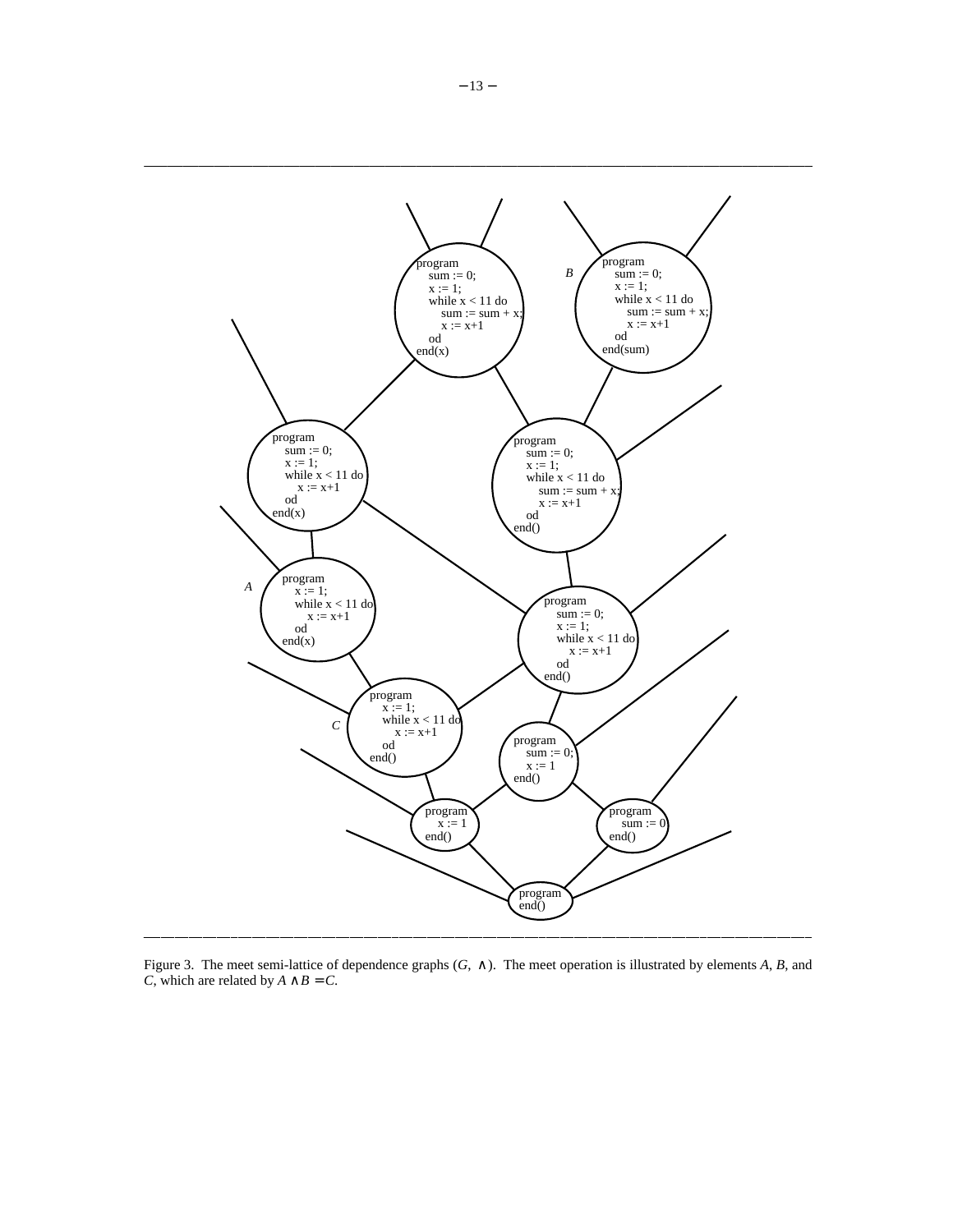

Figure 3. The meet semi-lattice of dependence graphs (*G*, ∧ ). The meet operation is illustrated by elements *A*, *B*, and *C*, which are related by  $A \wedge B = C$ .

and the contract of the contract of the contract of the contract of the contract of the contract of the contract of the contract of the contract of the contract of the contract of the contract of the contract of the contra

--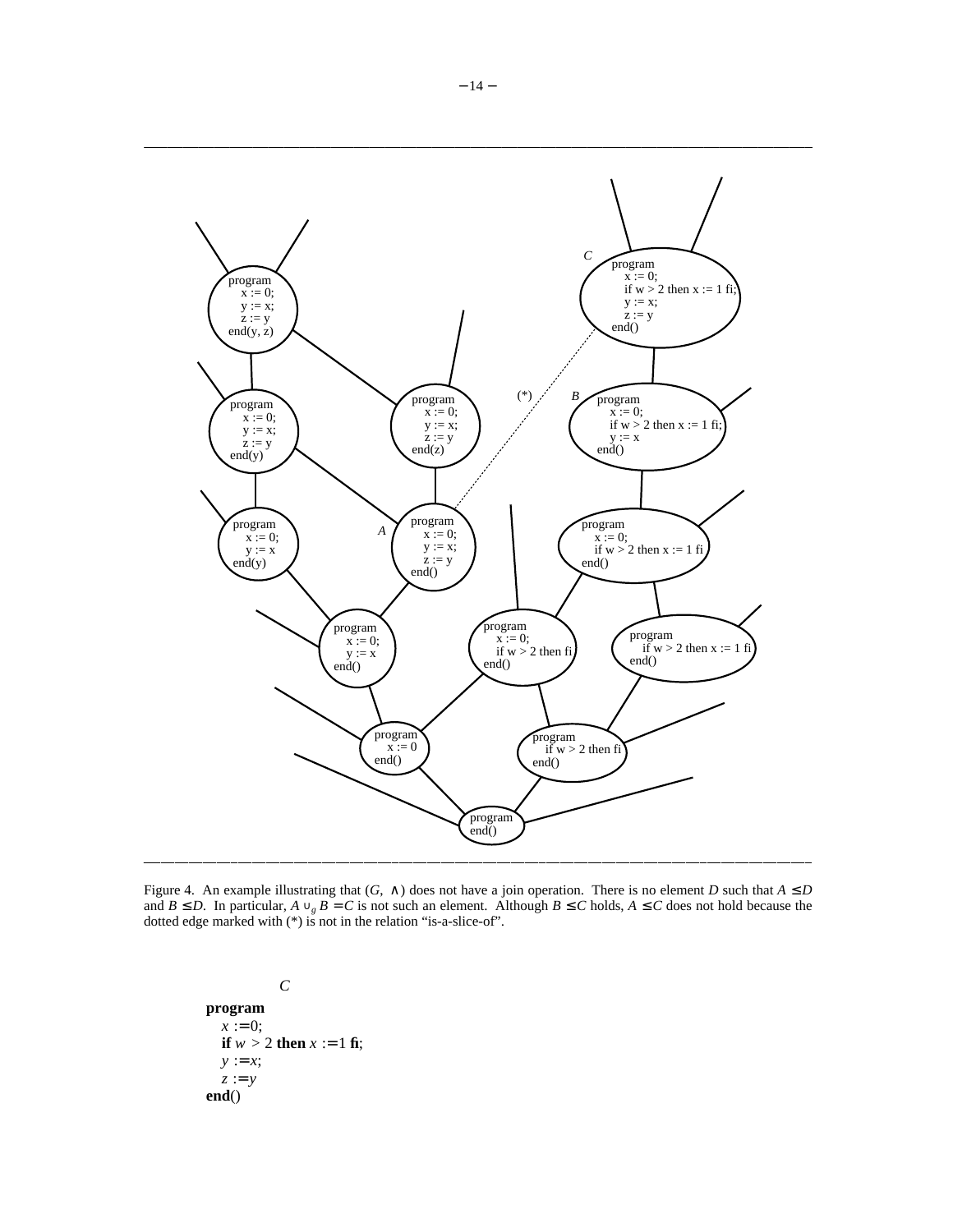

Figure 4. An example illustrating that  $(G, \wedge)$  does not have a join operation. There is no element *D* such that  $A \leq D$ and  $B \le D$ . In particular,  $A \cup_{g} B = C$  is not such an element. Although  $B \le C$  holds,  $A \le C$  does not hold because the dotted edge marked with (\*) is not in the relation "is-a-slice-of".

*C* **program**  $x := 0;$ **if**  $w > 2$  **then**  $x := 1$  **fi**; *y* := *x*; *z* := *y* **end**()

-----------------------------------------------------

and the contract of the contract of the contract of the contract of the contract of the contract of the contract of the contract of the contract of the contract of the contract of the contract of the contract of the contra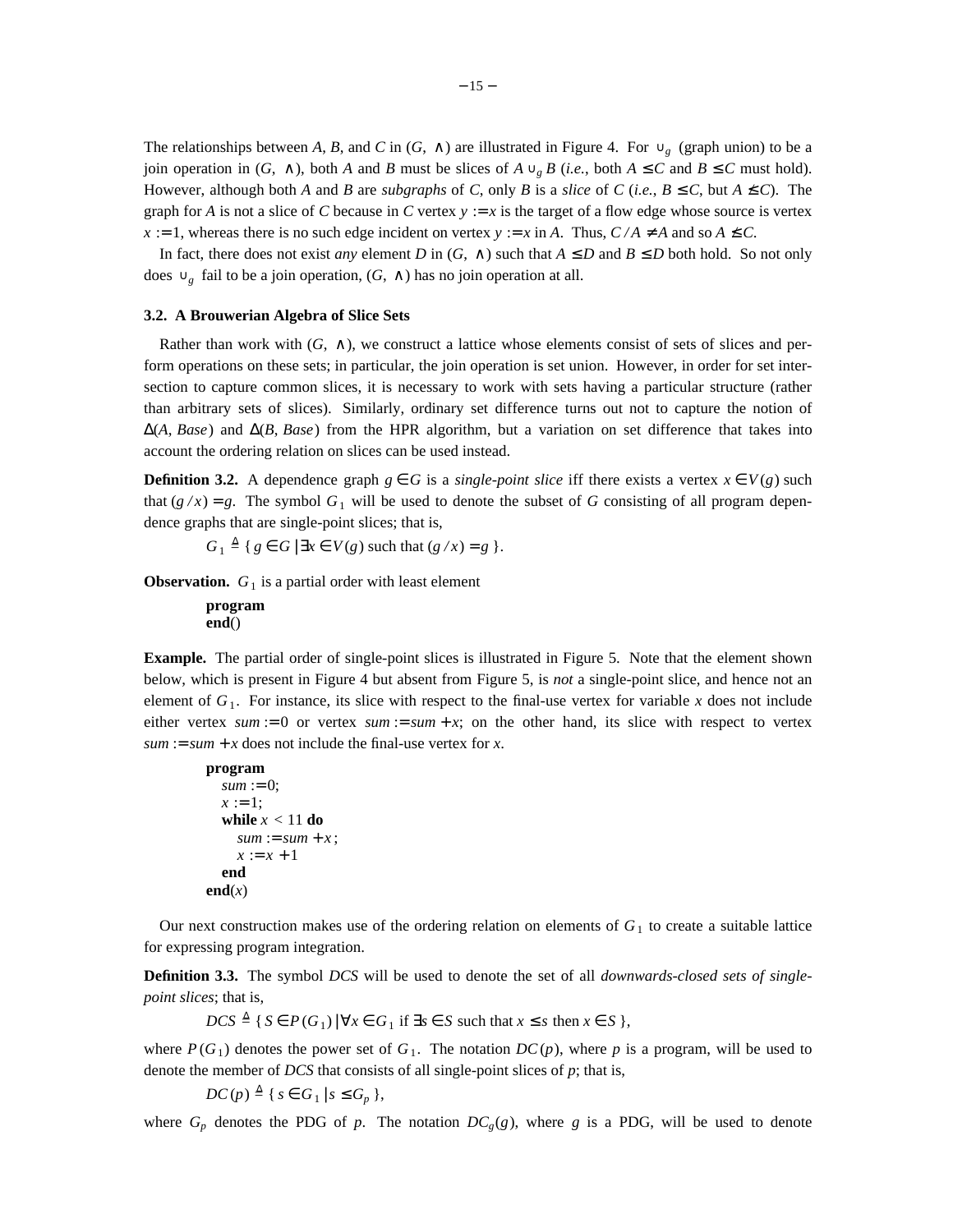The relationships between *A*, *B*, and *C* in (*G*,  $\wedge$ ) are illustrated in Figure 4. For  $\cup_g$  (graph union) to be a join operation in (*G*,  $\wedge$ ), both *A* and *B* must be slices of  $A \cup_{g} B$  (*i.e.*, both  $A \leq C$  and  $B \leq C$  must hold). However, although both *A* and *B* are *subgraphs* of *C*, only *B* is a *slice* of *C* (*i.e.*,  $B \le C$ , but  $A \le C$ ). The graph for *A* is not a slice of *C* because in *C* vertex  $y := x$  is the target of a flow edge whose source is vertex *x* := 1, whereas there is no such edge incident on vertex  $y := x$  in *A*. Thus,  $C/A \neq A$  and so  $A \leq C$ .

In fact, there does not exist *any* element *D* in  $(G, \land)$  such that  $A \leq D$  and  $B \leq D$  both hold. So not only does  $\cup_g$  fail to be a join operation,  $(G, \wedge)$  has no join operation at all.

### **3.2. A Brouwerian Algebra of Slice Sets**

Rather than work with  $(G, \wedge)$ , we construct a lattice whose elements consist of sets of slices and perform operations on these sets; in particular, the join operation is set union. However, in order for set intersection to capture common slices, it is necessary to work with sets having a particular structure (rather than arbitrary sets of slices). Similarly, ordinary set difference turns out not to capture the notion of ∆(*A*, *Base*) and ∆(*B*, *Base*) from the HPR algorithm, but a variation on set difference that takes into account the ordering relation on slices can be used instead.

**Definition 3.2.** A dependence graph  $g \in G$  is a *single-point slice* iff there exists a vertex  $x \in V(g)$  such that  $(g/x) = g$ . The symbol  $G_1$  will be used to denote the subset of *G* consisting of all program dependence graphs that are single-point slices; that is,

*G*<sub>1</sub>  $\triangleq$  { *g* ∈ *G* | ∃*x* ∈ *V*(*g*) such that (*g* /*x*) = *g* }.

**Observation.**  $G_1$  is a partial order with least element

**program end**()

**Example.** The partial order of single-point slices is illustrated in Figure 5. Note that the element shown below, which is present in Figure 4 but absent from Figure 5, is *not* a single-point slice, and hence not an element of  $G_1$ . For instance, its slice with respect to the final-use vertex for variable  $x$  does not include either vertex  $sum := 0$  or vertex  $sum := sum + x$ ; on the other hand, its slice with respect to vertex  $sum := sum + x$  does not include the final-use vertex for *x*.

```
program
  sum := 0;x := 1;
  while x < 11 do
    sum := sum + x;
    x := x + 1end
end(x)
```
Our next construction makes use of the ordering relation on elements of  $G<sub>1</sub>$  to create a suitable lattice for expressing program integration.

**Definition 3.3.** The symbol *DCS* will be used to denote the set of all *downwards-closed sets of singlepoint slices*; that is,

 $DCS \triangleq \{ S \in P(G_1) | \forall x \in G_1 \text{ if } \exists s \in S \text{ such that } x \leq s \text{ then } x \in S \},$ 

where  $P(G_1)$  denotes the power set of  $G_1$ . The notation  $DC(p)$ , where p is a program, will be used to denote the member of *DCS* that consists of all single-point slices of *p*; that is,

*DC*(*p*)  $\stackrel{\Delta}{=}$  { *s* ∈ *G*<sub>1</sub> | *s* ≤ *G*<sub>*p*</sub> },

where  $G_p$  denotes the PDG of p. The notation  $DC_g(g)$ , where g is a PDG, will be used to denote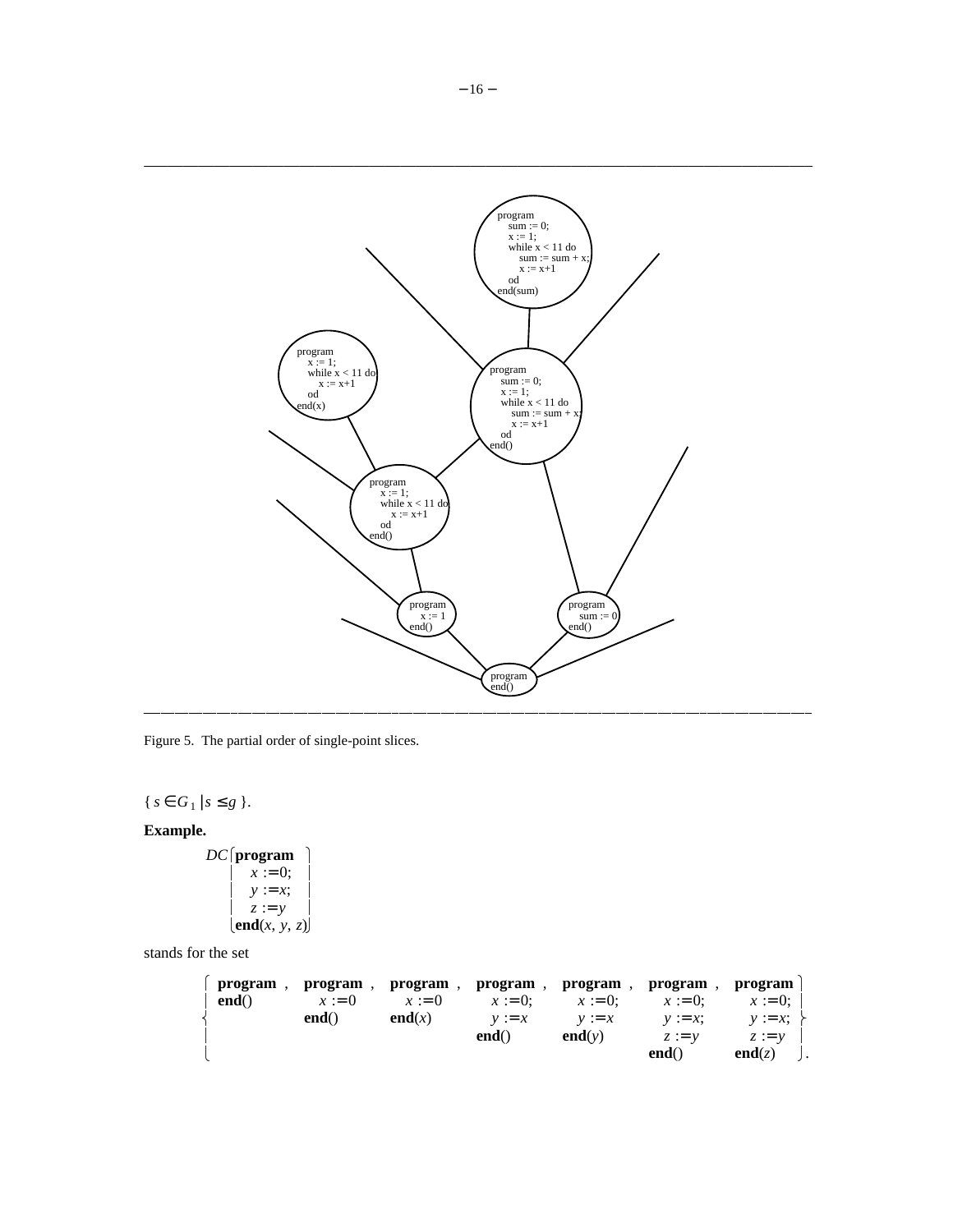

Figure 5. The partial order of single-point slices.

{ $s \in G_1 | s \leq g$  }.

# **Example.**

--------

$$
DC\left[\begin{array}{c}\n\text{program} \\
x := 0; \\
y := x; \\
z := y \\
\text{end}(x, y, z)\n\end{array}\right]
$$

stands for the set

| program | program<br>$\ddot{\phantom{a}}$ | program  | program,   | program,   | program    | program                  |  |
|---------|---------------------------------|----------|------------|------------|------------|--------------------------|--|
| end()   | $x := 0$                        | $x := 0$ | $x := 0$ ; | $x := 0$ ; | $x := 0$ ; | $x := 0$ :               |  |
|         | end()                           | end(x)   | $v := x$   | $v := x$   | $v := x$ ; | $y := x$ ; $\rightarrow$ |  |
|         |                                 |          | end()      | end(v)     | $z := y$   | $z := v$                 |  |
|         |                                 |          |            |            | end()      | end(z)                   |  |

-------

and the contract of the contract of the contract of the contract of the contract of the contract of the contract of the contract of the contract of the contract of the contract of the contract of the contract of the contra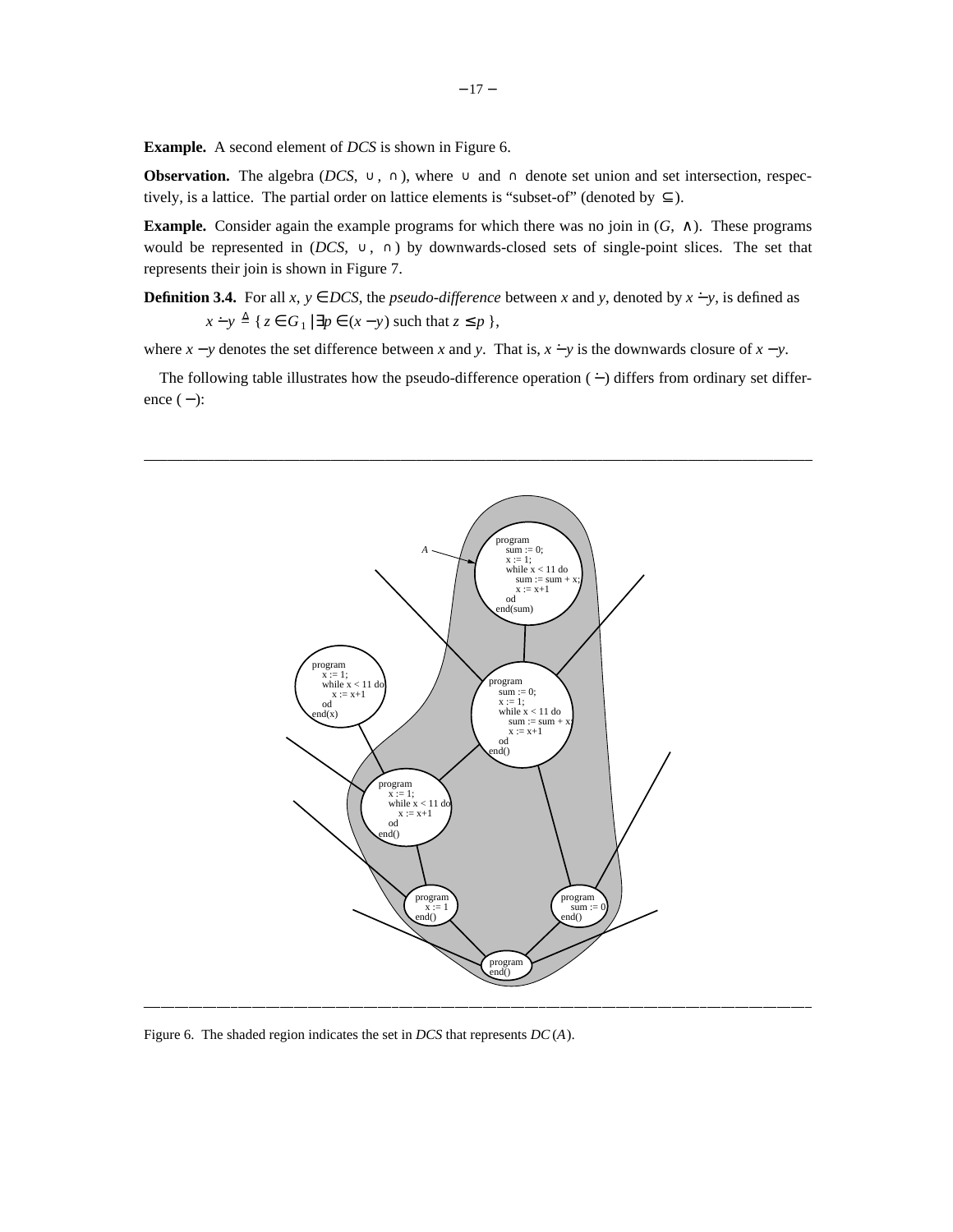**Example.** A second element of *DCS* is shown in Figure 6.

--------

**Observation.** The algebra (*DCS*, ∪, ∩), where ∪ and ∩ denote set union and set intersection, respectively, is a lattice. The partial order on lattice elements is "subset-of" (denoted by  $\subseteq$ ).

**Example.** Consider again the example programs for which there was no join in  $(G, \wedge)$ . These programs would be represented in (*DCS*,  $\cup$ ,  $\cap$ ) by downwards-closed sets of single-point slices. The set that represents their join is shown in Figure 7.

**Definition 3.4.** For all  $x, y \in DCS$ , the *pseudo-difference* between *x* and *y*, denoted by  $x \div y$ , is defined as  $x \dot{-} y \triangleq \{ z \in G_1 | \exists p \in (x - y) \text{ such that } z \leq p \}$ ,

where  $x - y$  denotes the set difference between *x* and *y*. That is,  $x - y$  is the downwards closure of  $x - y$ .

The following table illustrates how the pseudo-difference operation ( – ) differs from ordinary set difference  $(-)$ :

> ------

and the contract of the contract of the contract of the contract of the contract of the contract of the contract of the contract of the contract of the contract of the contract of the contract of the contract of the contra



Figure 6. The shaded region indicates the set in *DCS* that represents *DC*(*A*).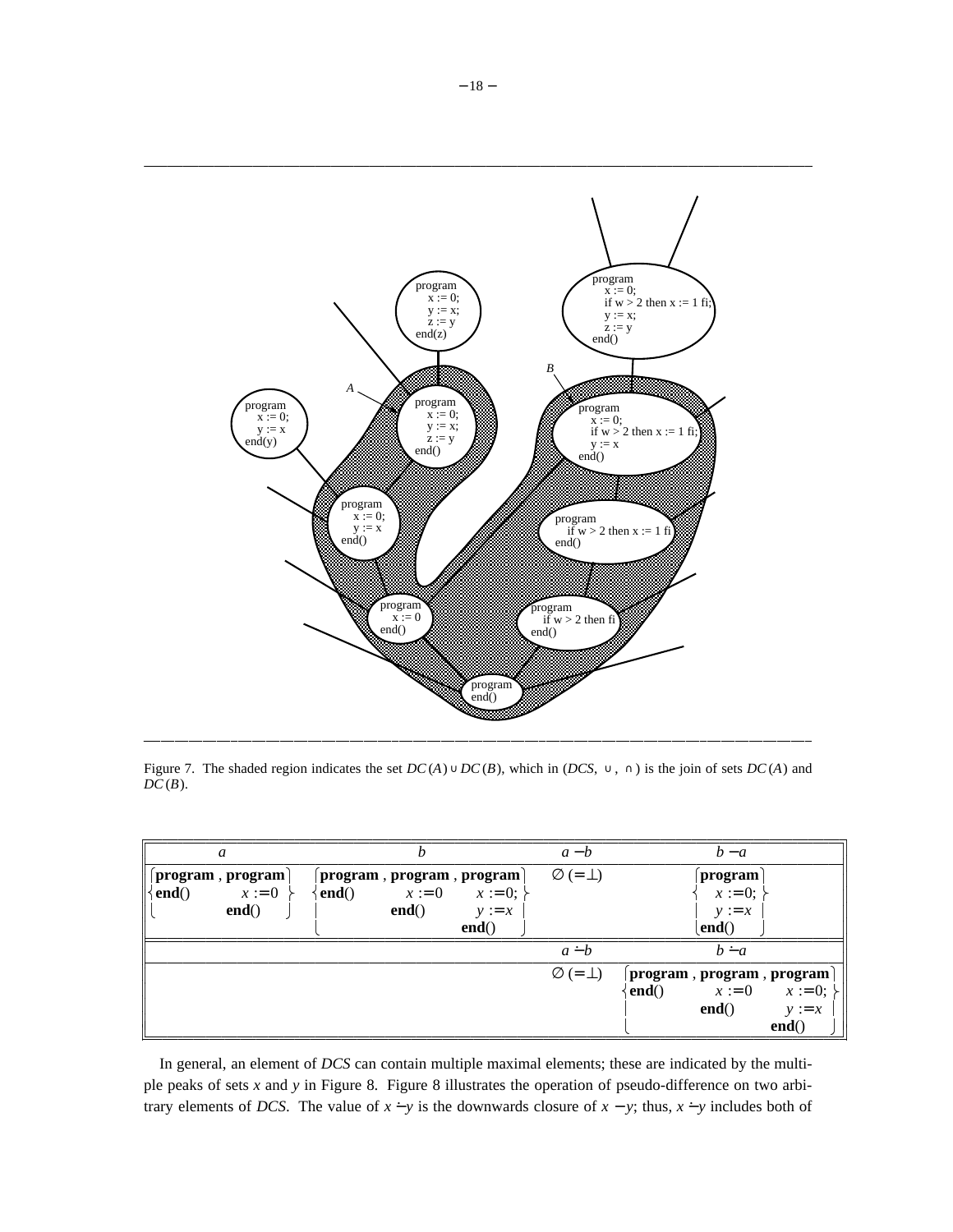

Figure 7. The shaded region indicates the set  $DC(A) \cup DC(B)$ , which in (*DCS*,  $\cup$ ,  $\cap$ ) is the join of sets  $DC(A)$  and *DC*(*B*).

| a                        |                                    | $a-b$                      | $b-a$                            |
|--------------------------|------------------------------------|----------------------------|----------------------------------|
| $ $ program, program $ $ | [program, program, program]        | $\varnothing$ (= $\perp$ ) | program                          |
| end()<br>$x := 0$        | $\{end}$ and () $x := 0$ $x := 0;$ |                            | $x := 0;$                        |
| end()                    | end()<br>$y := x$                  |                            | $y := x$                         |
|                          | end()                              |                            | end()                            |
|                          |                                    | $a - b$                    | $h \dot{=} a$                    |
|                          |                                    | $\varnothing$ (= $\perp$ ) | program, program, program        |
|                          |                                    |                            | <b>end</b> () $x := 0$ $x := 0;$ |
|                          |                                    |                            | end()<br>$y := x$                |
|                          |                                    |                            | end()                            |

In general, an element of *DCS* can contain multiple maximal elements; these are indicated by the multiple peaks of sets *x* and *y* in Figure 8. Figure 8 illustrates the operation of pseudo-difference on two arbitrary elements of *DCS*. The value of  $x - y$  is the downwards closure of  $x - y$ ; thus,  $x - y$  includes both of

and the contract of the contract of the contract of the contract of the contract of the contract of the contract of the contract of the contract of the contract of the contract of the contract of the contract of the contra

---

> -----------------------------------------------------------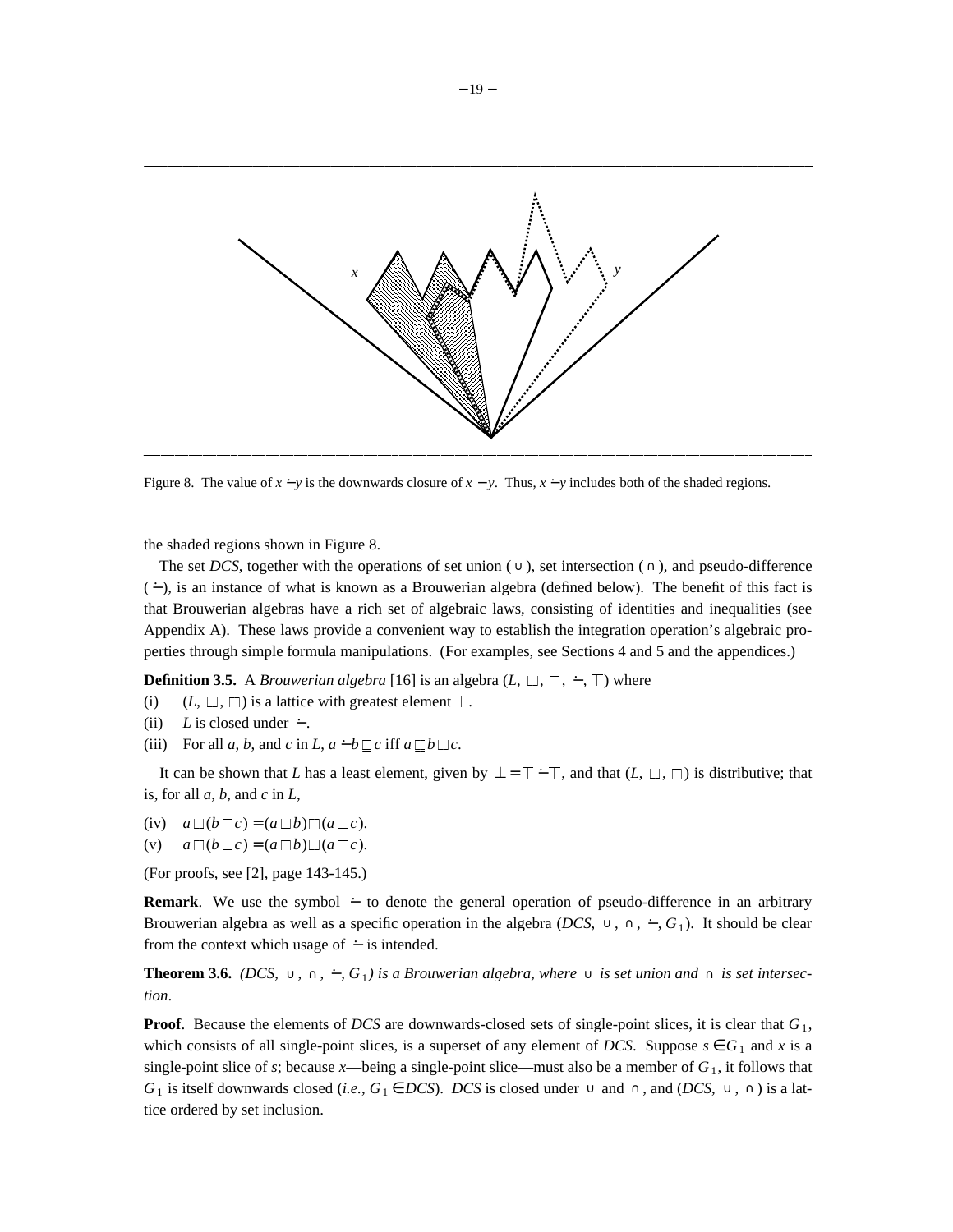

-

and the contract of the contract of the contract of the contract of the contract of the contract of the contract of the contract of the contract of the contract of the contract of the contract of the contract of the contra

Figure 8. The value of  $x - y$  is the downwards closure of  $x - y$ . Thus,  $x - y$  includes both of the shaded regions.

the shaded regions shown in Figure 8.

----

The set *DCS*, together with the operations of set union ( $\cup$ ), set intersection ( $\cap$ ), and pseudo-difference ( *.* − ), is an instance of what is known as a Brouwerian algebra (defined below). The benefit of this fact is that Brouwerian algebras have a rich set of algebraic laws, consisting of identities and inequalities (see Appendix A). These laws provide a convenient way to establish the integration operation's algebraic properties through simple formula manipulations. (For examples, see Sections 4 and 5 and the appendices.)

**Definition 3.5.** A *Brouwerian algebra* [16] is an algebra  $(L, \sqcup, \sqcap, \div, \top)$  where

- (i)  $(L, \sqcup, \sqcap)$  is a lattice with greatest element  $\top$ .
- (ii) *L* is closed under  $\div$ .
- (iii) For all *a*, *b*, and *c* in *L*,  $a b \sqsubseteq c$  iff  $a \sqsubseteq b \sqcup c$ .

It can be shown that *L* has a least element, given by  $\bot = \top \div \top$ , and that  $(L, \bot, \top)$  is distributive; that is, for all *a*, *b*, and *c* in *L*,

- $(i\mathbf{v})$   $a \sqcup (b \sqcap c) = (a \sqcup b) \sqcap (a \sqcup c).$
- (v)  $a \sqcap (b \sqcup c) = (a \sqcap b) \sqcup (a \sqcap c).$

(For proofs, see [2], page 143-145.)

**Remark**. We use the symbol  $\div$  to denote the general operation of pseudo-difference in an arbitrary Brouwerian algebra as well as a specific operation in the algebra (*DCS*, ∪, ∩, ∸,  $G_1$ ). It should be clear from the context which usage of  $\frac{1}{x}$  is intended.

**Theorem 3.6.** (DCS,  $\cup$ ,  $\cap$ ,  $\div$ ,  $G_1$ ) is a Brouwerian algebra, where  $\cup$  is set union and  $\cap$  is set intersec*tion*.

**Proof**. Because the elements of *DCS* are downwards-closed sets of single-point slices, it is clear that *G*<sup>1</sup> , which consists of all single-point slices, is a superset of any element of *DCS*. Suppose  $s \in G_1$  and *x* is a single-point slice of  $s$ ; because  $x$ —being a single-point slice—must also be a member of  $G_1$ , it follows that *G*<sub>1</sub> is itself downwards closed (*i.e.*, *G*<sub>1</sub> ∈ *DCS*). *DCS* is closed under  $\cup$  and  $\cap$ , and (*DCS*,  $\cup$ ,  $\cap$ ) is a lattice ordered by set inclusion.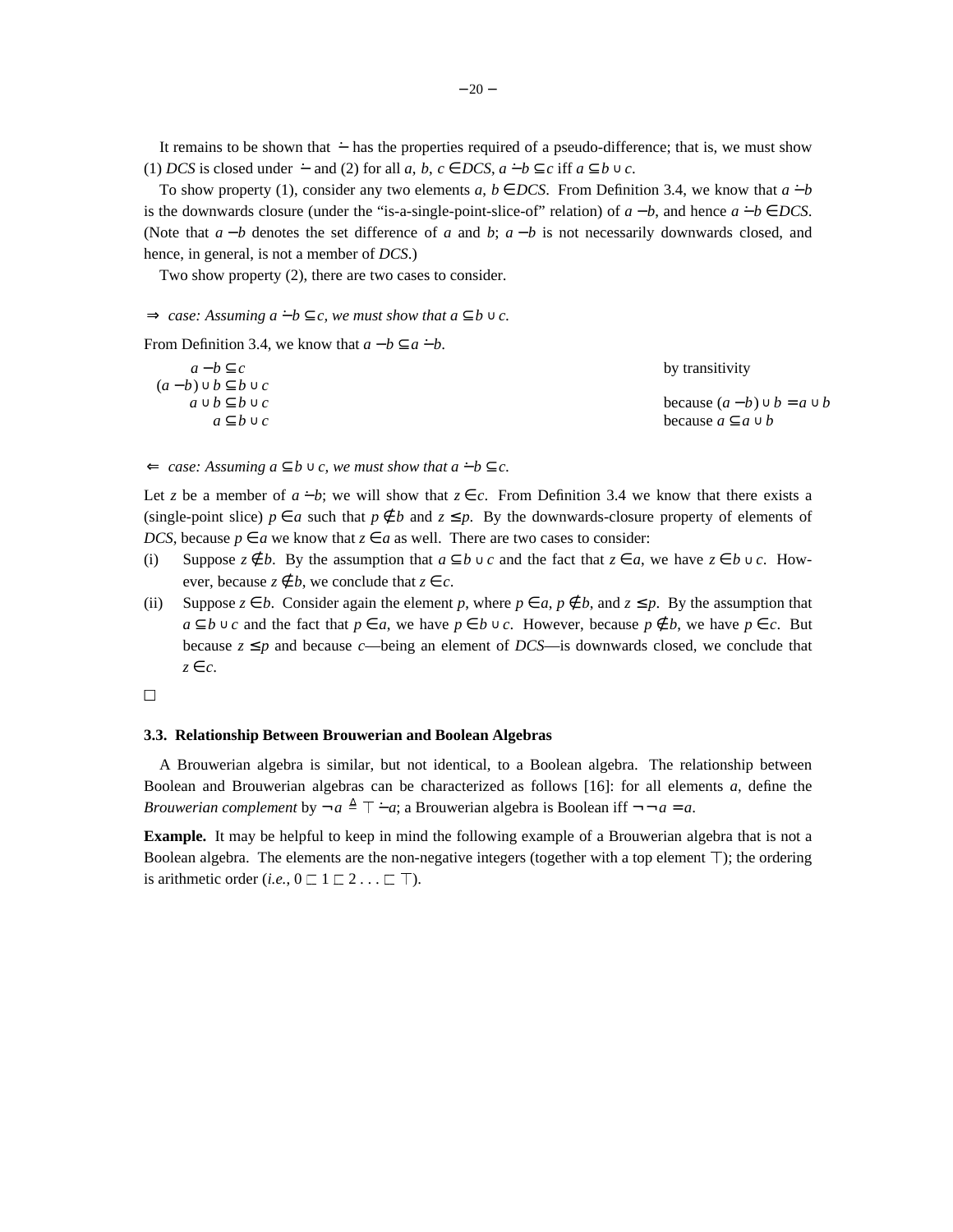It remains to be shown that *–* has the properties required of a pseudo-difference; that is, we must show (1) *DCS* is closed under  $\div$  and (2) for all *a*, *b*, *c* ∈ *DCS*, *a*  $\div$ *b* ⊆ *c* iff *a* ⊆ *b* ∪ *c*.

To show property (1), consider any two elements  $a, b \in DCS$ . From Definition 3.4, we know that  $a - b$ is the downwards closure (under the "is-a-single-point-slice-of" relation) of  $a - b$ , and hence  $a - b \in DCS$ . (Note that  $a - b$  denotes the set difference of *a* and *b*;  $a - b$  is not necessarily downwards closed, and hence, in general, is not a member of *DCS*.)

Two show property (2), there are two cases to consider.

 $\Rightarrow$  *case:* Assuming  $a \div b \subseteq c$ , we must show that  $a \subseteq b \cup c$ .

From Definition 3.4, we know that  $a - b \subseteq a - b$ .

| by transitivity                 |
|---------------------------------|
|                                 |
| because $(a-b)\cup b = a\cup b$ |
| because $a \subset a \cup b$    |
|                                 |

 $Left$  *case: Assuming*  $a ⊆ b ∪ c$ *, we must show that*  $a ÷ b ⊆ c$ *.* 

Let *z* be a member of  $a - b$ ; we will show that  $z \in c$ . From Definition 3.4 we know that there exists a (single-point slice)  $p \in a$  such that  $p \notin b$  and  $z \leq p$ . By the downwards-closure property of elements of *DCS*, because  $p \in a$  we know that  $z \in a$  as well. There are two cases to consider:

- (i) Suppose  $z \notin b$ . By the assumption that  $a \subseteq b \cup c$  and the fact that  $z \in a$ , we have  $z \in b \cup c$ . However, because  $z \notin b$ , we conclude that  $z \in c$ .
- (ii) Suppose  $z \in b$ . Consider again the element p, where  $p \in a$ ,  $p \notin b$ , and  $z \leq p$ . By the assumption that *a* ⊆*b* ∪ *c* and the fact that *p* ∈ *a*, we have *p* ∈ *b* ∪ *c*. However, because *p* ∉ *b*, we have *p* ∈ *c*. But because  $z \leq p$  and because *c*—being an element of *DCS*—is downwards closed, we conclude that *z* ∈ *c*.

 $\Box$ 

#### **3.3. Relationship Between Brouwerian and Boolean Algebras**

A Brouwerian algebra is similar, but not identical, to a Boolean algebra. The relationship between Boolean and Brouwerian algebras can be characterized as follows [16]: for all elements *a*, define the *Brouwerian complement* by  $\neg a \triangleq \top \div a$ ; a Brouwerian algebra is Boolean iff  $\neg \neg a = a$ .

**Example.** It may be helpful to keep in mind the following example of a Brouwerian algebra that is not a Boolean algebra. The elements are the non-negative integers (together with a top element  $\top$ ); the ordering is arithmetic order (*i.e.*,  $0 \sqsubset 1 \sqsubset 2 \ldots \sqsubset \top$ ).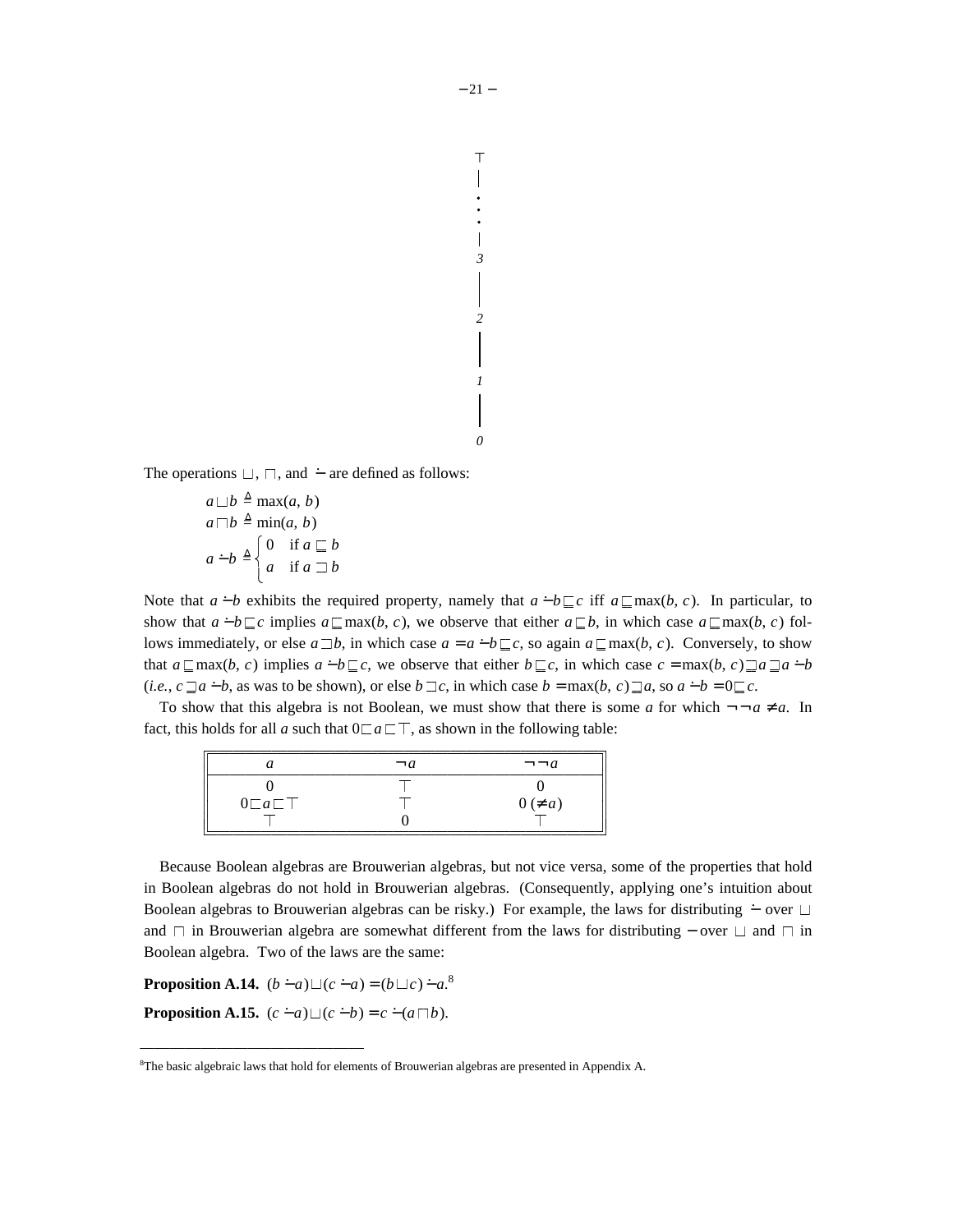− 21 −

⊥

```
The operations \Box, \Box, and \div are defined as follows:
```

$$
a \sqcup b \triangleq \max(a, b)
$$
  
\n
$$
a \sqcap b \triangleq \min(a, b)
$$
  
\n
$$
a \doteq b \triangleq \begin{cases} 0 & \text{if } a \sqsubseteq b \\ a & \text{if } a \sqsupset b \end{cases}
$$

Note that  $a - b$  exhibits the required property, namely that  $a - b \sqsubseteq c$  iff  $a \sqsubseteq max(b, c)$ . In particular, to show that  $a - b \sqsubseteq c$  implies  $a \sqsubseteq max(b, c)$ , we observe that either  $a \sqsubseteq b$ , in which case  $a \sqsubseteq max(b, c)$  follows immediately, or else  $a \rightharpoonup b$ , in which case  $a = a - b \sqsubseteq c$ , so again  $a \sqsubseteq \max(b, c)$ . Conversely, to show that  $a \sqsubseteq \max(b, c)$  implies  $a - b \sqsubseteq c$ , we observe that either  $b \sqsubseteq c$ , in which case  $c = \max(b, c) \sqsupseteq a \sqsupseteq b$  $(i.e., c ⊒ a ÷ b,$  as was to be shown), or else *b*  $⊐ c$ , in which case *b* = max(*b*, *c*) *</del>₫a, so*  $a ÷ b = 0 ⊆ c$ *.* 

*0*

*1*

*2*

*3*

To show that this algebra is not Boolean, we must show that there is some *a* for which  $\neg \neg a \neq a$ . In fact, this holds for all *a* such that  $0 \subseteq a \subseteq \top$ , as shown in the following table:

|                            | $\neg a$ | $\neg \neg a$ |
|----------------------------|----------|---------------|
|                            |          |               |
| $\mathbf{u}$ $a\mathbf{1}$ |          | $0 \neq a$    |
|                            |          |               |

Because Boolean algebras are Brouwerian algebras, but not vice versa, some of the properties that hold in Boolean algebras do not hold in Brouwerian algebras. (Consequently, applying one's intuition about Boolean algebras to Brouwerian algebras can be risky.) For example, the laws for distributing  $\div$  over  $\Box$ and  $\Box$  in Brouwerian algebra are somewhat different from the laws for distributing – over  $\Box$  and  $\Box$  in Boolean algebra. Two of the laws are the same:

**Proposition A.14.**  $(b \div a) \sqcup (c \div a) = (b \sqcup c) \div a$ .<sup>8</sup> **Proposition A.15.**  $(c \div a) \sqcup (c \div b) = c \div (a \sqcap b)$ .

------------------

and the contract of the contract of the contract of the contract of the contract of the contract of the contract of the contract of the contract of the contract of the contract of the contract of the contract of the contra <sup>8</sup>The basic algebraic laws that hold for elements of Brouwerian algebras are presented in Appendix A.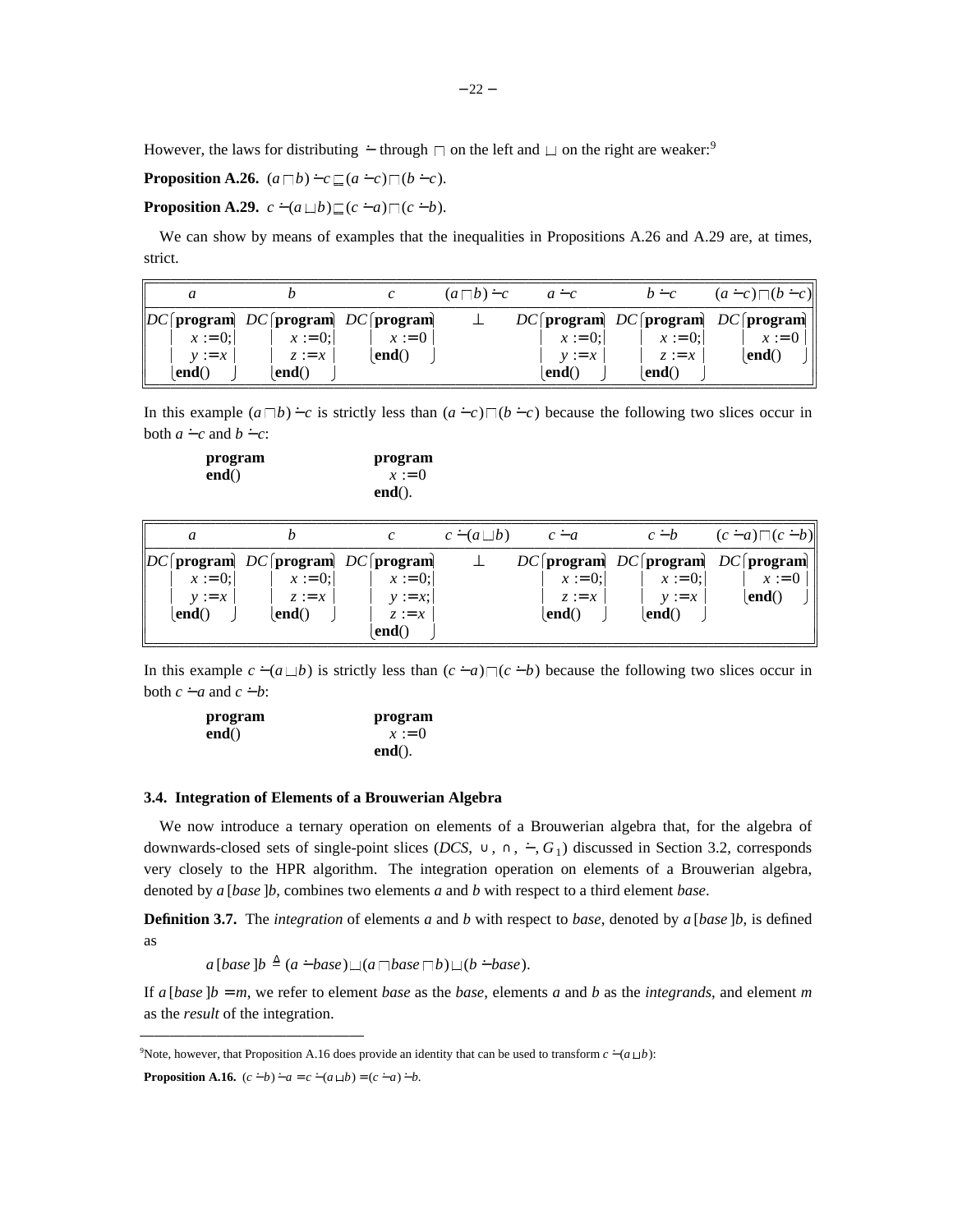However, the laws for distributing  $\div$  through  $\Box$  on the left and  $\Box$  on the right are weaker:<sup>9</sup>

**Proposition A.26.**  $(a \Box b) \div c \sqsubseteq (a \div c) \Box (b \div c)$ .

**Proposition A.29.**  $c \div (a \sqcup b) \sqsubseteq (c \div a) \sqcap (c \div b)$ .

We can show by means of examples that the inequalities in Propositions A.26 and A.29 are, at times, strict.

|              |                                                                                                                                 |                               |              |                              | $(a \sqcap b)\div c$ $a \div c$ $b \div c$ $(a \div c) \sqcap (b \div c)$ |
|--------------|---------------------------------------------------------------------------------------------------------------------------------|-------------------------------|--------------|------------------------------|---------------------------------------------------------------------------|
|              | $\ DC\ $ program $\ DC\ $ program $\ DC\ $ program $\ DC\ $ program $\ DC\ $ program $\ DC\ $ program $\ DC\ $ program $\ DC\ $ |                               |              |                              |                                                                           |
|              | $x := 0;$ $x := 0;$ $x := 0$                                                                                                    |                               |              | $x := 0;$ $x := 0;$ $x := 0$ |                                                                           |
|              | $y := x \mid z := x \mid$                                                                                                       | $\lvert \mathbf{end}(\rvert)$ | $ y:=x $     | $z := x$                     | $\mathbf{end}()$                                                          |
| $ $ end $()$ | $ $ end $()$                                                                                                                    |                               | $l$ end $()$ | $\text{end}()$               |                                                                           |

In this example  $(a \cap b) \div c$  is strictly less than  $(a \div c) \cap (b \div c)$  because the following two slices occur in both  $a \div c$  and  $b \div c$ :

| program | program   |
|---------|-----------|
| end()   | $x := 0$  |
|         | $end()$ . |

|          |                                         |          |       |                              | $c \div (a \sqcup b)$ $c \div a$ $c \div b$ $(c \div a) \sqcap (c \div b)$                        |
|----------|-----------------------------------------|----------|-------|------------------------------|---------------------------------------------------------------------------------------------------|
|          |                                         |          |       |                              | $DC$ [program] $DC$ [program] $DC$ [program] $\perp$ $DC$ [program] $DC$ [program] $DC$ [program] |
|          | $x := 0;$ $x := 0;$ $x := 0;$ $x := 0;$ |          |       | $x := 0;$ $x := 0;$ $x := 0$ |                                                                                                   |
| $v := x$ | $ z:=x $ $ y:=x;$                       |          |       | $z := x$   $y := x$          | end()                                                                                             |
|          | $\mathbf{end}()$                        | $z := x$ | end() | $ $ end $\cap$               |                                                                                                   |
|          |                                         |          |       |                              |                                                                                                   |

In this example  $c \div (a \cup b)$  is strictly less than  $(c \div a) \Box (c \div b)$  because the following two slices occur in both  $c \div a$  and  $c \div b$ :

| program | program   |
|---------|-----------|
| end()   | $x := 0$  |
|         | $end()$ . |

--------------------------------------------------------

------------------

## **3.4. Integration of Elements of a Brouwerian Algebra**

We now introduce a ternary operation on elements of a Brouwerian algebra that, for the algebra of downwards-closed sets of single-point slices (*DCS*,  $\cup$ ,  $\cap$ ,  $\div$ ,  $G_1$ ) discussed in Section 3.2, corresponds very closely to the HPR algorithm. The integration operation on elements of a Brouwerian algebra, denoted by *a* [*base* ]*b*, combines two elements *a* and *b* with respect to a third element *base*.

**Definition 3.7.** The *integration* of elements *a* and *b* with respect to *base*, denoted by *a* [*base* ]*b*, is defined as

 $a$  [*base* ] $b \triangleq (a - base) \sqcup (a \sqcap base \sqcap b) \sqcup (b - base)$ .

If *a* [*base* ]*b* = *m*, we refer to element *base* as the *base*, elements *a* and *b* as the *integrands*, and element *m* as the *result* of the integration.

and the contract of the contract of the contract of the contract of the contract of the contract of the contract of the contract of the contract of the contract of the contract of the contract of the contract of the contra <sup>9</sup>Note, however, that Proposition A.16 does provide an identity that can be used to transform  $c \div (a \sqcup b)$ :

**Proposition A.16.**  $(c - b) - a = c - (a \sqcup b) = (c - a) - b$ .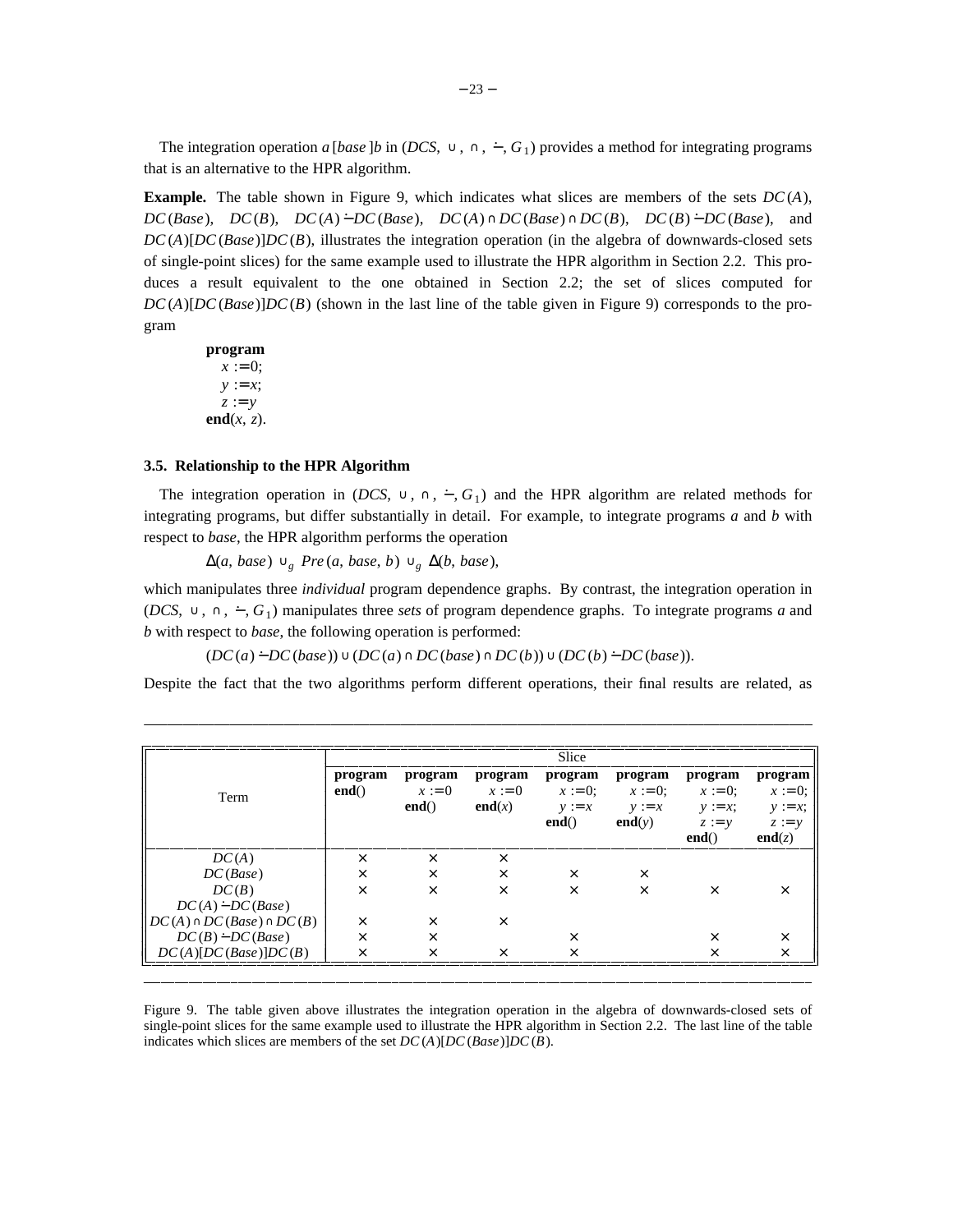The integration operation *a* [*base* ]*b* in (*DCS*,  $\cup$ ,  $\cap$ ,  $\div$ ,  $G_1$ ) provides a method for integrating programs that is an alternative to the HPR algorithm.

**Example.** The table shown in Figure 9, which indicates what slices are members of the sets *DC*(*A*),  $DC(Base)$ ,  $DC(B)$ ,  $DC(A)-DC(Base)$ ,  $DC(A) \cap DC(Base) \cap DC(B)$ ,  $DC(B)-DC(Base)$ , and *DC*(*A*)[*DC*(*Base*)]*DC*(*B*), illustrates the integration operation (in the algebra of downwards-closed sets of single-point slices) for the same example used to illustrate the HPR algorithm in Section 2.2. This produces a result equivalent to the one obtained in Section 2.2; the set of slices computed for  $DC(A)[DC(Base)]DC(B)$  (shown in the last line of the table given in Figure 9) corresponds to the program

**program**  $x := 0;$ *y* := *x*; *z* := *y* **end**(*x*, *z*).

-----------------------------------------------------

#### **3.5. Relationship to the HPR Algorithm**

The integration operation in (*DCS*,  $\cup$ ,  $\cap$ ,  $\div$ ,  $G_1$ ) and the HPR algorithm are related methods for integrating programs, but differ substantially in detail. For example, to integrate programs *a* and *b* with respect to *base*, the HPR algorithm performs the operation

∆(*a*, *base*) ∪*<sup>g</sup> Pre* (*a*, *base*, *b*) ∪*<sup>g</sup>* ∆(*b*, *base*),

which manipulates three *individual* program dependence graphs. By contrast, the integration operation in (*DCS*, ∪, ∩, –, *G*<sub>1</sub>) manipulates three *sets* of program dependence graphs. To integrate programs *a* and *b* with respect to *base*, the following operation is performed:

 $(DC(a)-DC(base)) \cup (DC(a) \cap DC(base) \cap DC(b)) \cup (DC(b)-DC(base).$ 

Despite the fact that the two algorithms perform different operations, their final results are related, as

and the contract of the contract of the contract of the contract of the contract of the contract of the contract of the contract of the contract of the contract of the contract of the contract of the contract of the contra

|                                  | Slice            |                     |                     |                       |                       |                      |                      |
|----------------------------------|------------------|---------------------|---------------------|-----------------------|-----------------------|----------------------|----------------------|
|                                  | program<br>end() | program<br>$x := 0$ | program<br>$x := 0$ | program<br>$x := 0$ ; | program<br>$x := 0$ ; | program<br>$x := 0;$ | program<br>$x := 0;$ |
| Term                             |                  | end()               | end(x)              | $y := x$              | $y := x$              | $y := x$ ;           | $y := x;$            |
|                                  |                  |                     |                     | end()                 | end(y)                | $z := y$             | $z := y$             |
|                                  |                  |                     |                     |                       |                       | end()                | end(z)               |
| DC(A)                            | $\times$         | $\times$            | $\times$            |                       |                       |                      |                      |
| DC(Base)                         | $\times$         | $\times$            | $\times$            | $\times$              | $\times$              |                      |                      |
| DC(B)                            | $\times$         | $\times$            | $\times$            | $\times$              | $\times$              | $\times$             | $\times$             |
| $DC(A) \div DC(Base)$            |                  |                     |                     |                       |                       |                      |                      |
| $DC(A) \cap DC(Base) \cap DC(B)$ | $\times$         | $\times$            | $\times$            |                       |                       |                      |                      |
| $DC(B)-DC(Base)$                 | $\times$         | $\times$            |                     | $\times$              |                       | $\times$             | $\times$             |
| DC(A)[DC(Base)]DC(B)             | $\times$         | $\times$            | $\times$            | $\times$              |                       | $\times$             | $\times$             |

Figure 9. The table given above illustrates the integration operation in the algebra of downwards-closed sets of single-point slices for the same example used to illustrate the HPR algorithm in Section 2.2. The last line of the table indicates which slices are members of the set *DC*(*A*)[*DC* (*Base*)]*DC* (*B*).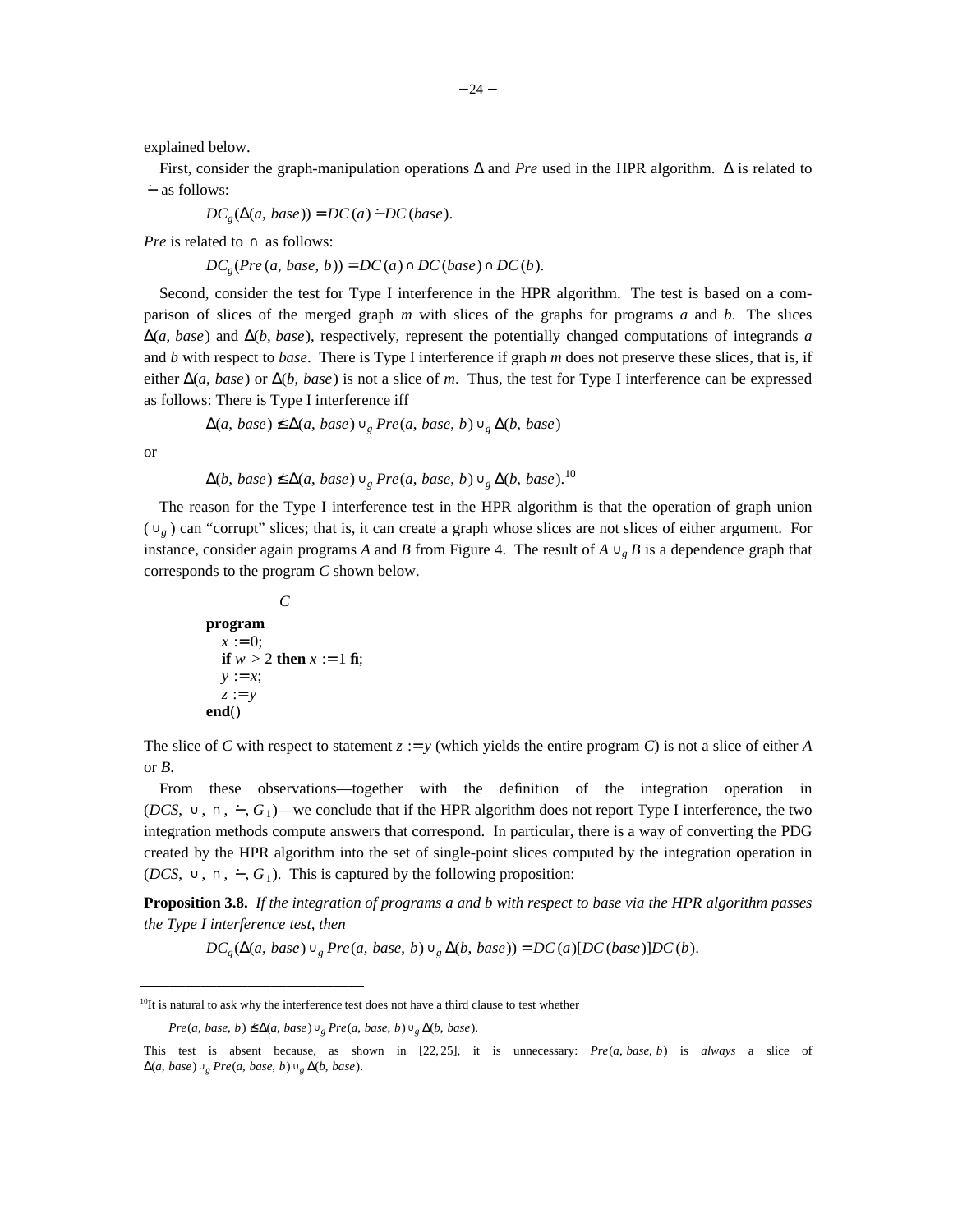explained below.

First, consider the graph-manipulation operations ∆ and *Pre* used in the HPR algorithm. ∆ is related to *.* − as follows:

$$
DC_g(\Delta(a, base)) = DC(a) \div DC(base).
$$

*Pre* is related to ∩ as follows:

 $DC_g(Pre(a, base, b)) = DC(a) \cap DC(base) \cap DC(b).$ 

Second, consider the test for Type I interference in the HPR algorithm. The test is based on a comparison of slices of the merged graph *m* with slices of the graphs for programs *a* and *b*. The slices ∆(*a*, *base*) and ∆(*b*, *base*), respectively, represent the potentially changed computations of integrands *a* and *b* with respect to *base*. There is Type I interference if graph *m* does not preserve these slices, that is, if either ∆(*a*, *base*) or ∆(*b*, *base*) is not a slice of *m*. Thus, the test for Type I interference can be expressed as follows: There is Type I interference iff

∆(*a*, *base*) ≤*/* ∆(*a*, *base*) ∪*<sup>g</sup> Pre*(*a*, *base*, *b*) ∪*<sup>g</sup>* ∆(*b*, *base*)

or

-----------------

 $\Delta(b, \text{base})$  ≰ $\Delta(a, \text{base}) \cup_g \text{Pre}(a, \text{base}, b) \cup_g \Delta(b, \text{base})$ .<sup>10</sup>

The reason for the Type I interference test in the HPR algorithm is that the operation of graph union ( ∪*<sup>g</sup>* ) can "corrupt" slices; that is, it can create a graph whose slices are not slices of either argument. For instance, consider again programs *A* and *B* from Figure 4. The result of  $A \cup_{g} B$  is a dependence graph that corresponds to the program *C* shown below.

$$
C
$$
  
program  
 $x := 0;$   
if  $w > 2$  then  $x := 1$  fi;  
 $y := x;$   
 $z := y$   
end()

The slice of *C* with respect to statement  $z := y$  (which yields the entire program *C*) is not a slice of either *A* or *B*.

From these observations—together with the definition of the integration operation in (*DCS*, ∪, ∩, –̀, *G*<sub>1</sub>)—we conclude that if the HPR algorithm does not report Type I interference, the two integration methods compute answers that correspond. In particular, there is a way of converting the PDG created by the HPR algorithm into the set of single-point slices computed by the integration operation in (*DCS*,  $\cup$ ,  $\cap$ ,  $\div$ , *G*<sub>1</sub>). This is captured by the following proposition:

**Proposition 3.8.** If the integration of programs a and b with respect to base via the HPR algorithm passes *the Type I interference test, then*

*DC*<sub>g</sub>(∆(*a*, *base*)∪<sub>g</sub> Pre(*a*, *base*, *b*)∪<sub>g</sub> ∆(*b*, *base*)) = *DC*(*a*)[*DC*(*base*)]*DC*(*b*).

and the contract of the contract of the contract of the contract of the contract of the contract of the contract of the contract of the contract of the contract of the contract of the contract of the contract of the contra

<sup>-</sup><sup>10</sup>It is natural to ask why the interference test does not have a third clause to test whether

*Pre*(*a*, *base*, *b*) ≰  $\Delta$ (*a*, *base*) ∪<sub>*g*</sub> *Pre*(*a*, *base*, *b*) ∪<sub>*g*</sub>  $\Delta$ (*b*, *base*).

This test is absent because, as shown in [22, 25], it is unnecessary: *Pre*(*a*, *base*, *b*) is *always* a slice of ∆(*a*, *base*) <sup>∪</sup>*<sup>g</sup> Pre*(*a*, *base*, *b*) <sup>∪</sup>*<sup>g</sup>* ∆(*b*, *base*).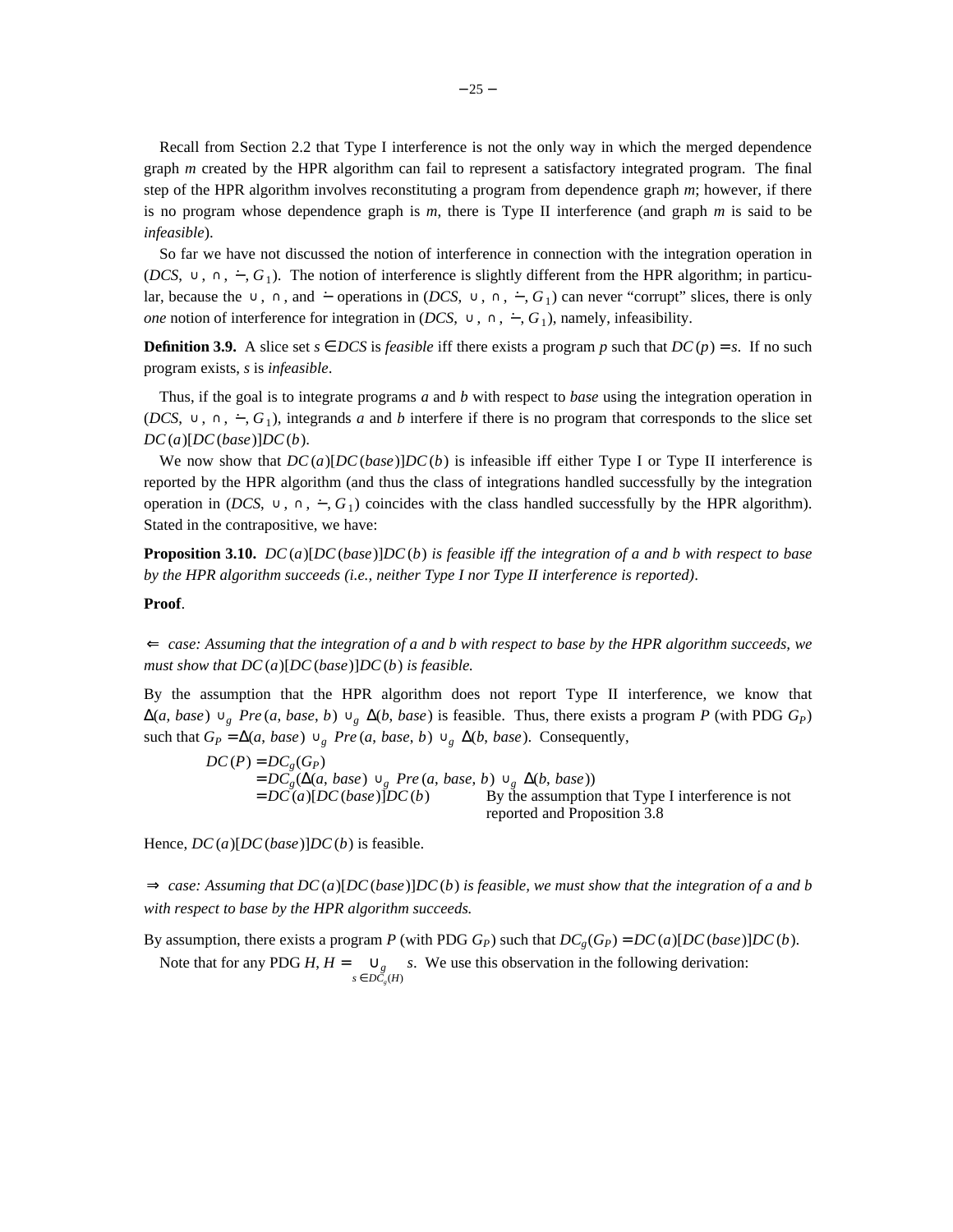Recall from Section 2.2 that Type I interference is not the only way in which the merged dependence graph *m* created by the HPR algorithm can fail to represent a satisfactory integrated program. The final step of the HPR algorithm involves reconstituting a program from dependence graph *m*; however, if there is no program whose dependence graph is *m*, there is Type II interference (and graph *m* is said to be *infeasible*).

So far we have not discussed the notion of interference in connection with the integration operation in (*DCS*,  $\cup$ ,  $\cap$ ,  $\div$ , *G*<sub>1</sub>). The notion of interference is slightly different from the HPR algorithm; in particular, because the ∪, ∩, and  $\div$  operations in (*DCS*, ∪, ∩,  $\div$ , *G*<sub>1</sub>) can never "corrupt" slices, there is only *one* notion of interference for integration in (*DCS*, ∪, ∩, –,  $G_1$ ), namely, infeasibility.

**Definition 3.9.** A slice set  $s \in DCS$  is *feasible* iff there exists a program *p* such that  $DC(p) = s$ . If no such program exists, *s* is *infeasible*.

Thus, if the goal is to integrate programs *a* and *b* with respect to *base* using the integration operation in (*DCS*,  $\cup$ ,  $\cap$ ,  $\div$ , *G*<sub>1</sub>), integrands *a* and *b* interfere if there is no program that corresponds to the slice set *DC*(*a*)[*DC*(*base*)]*DC*(*b*).

We now show that  $DC(a)[DC(base)]DC(b)$  is infeasible iff either Type I or Type II interference is reported by the HPR algorithm (and thus the class of integrations handled successfully by the integration operation in (*DCS*, ∪, ∩,  $\div$ , *G*<sub>1</sub>) coincides with the class handled successfully by the HPR algorithm). Stated in the contrapositive, we have:

**Proposition 3.10.** DC(a)[DC(base)]DC(b) is feasible iff the integration of a and b with respect to base *by the HPR algorithm succeeds (i.e., neither Type I nor Type II interference is reported)*.

### **Proof**.

 $\Leftarrow$  case: Assuming that the integration of a and b with respect to base by the HPR algorithm succeeds, we *must show that DC*(*a*)[*DC*(*base*)]*DC*(*b*) *is feasible.*

By the assumption that the HPR algorithm does not report Type II interference, we know that  $\Delta(a, \text{base}) \cup_g \text{Pre}(a, \text{base}, b) \cup_g \Delta(b, \text{base})$  is feasible. Thus, there exists a program *P* (with PDG *G*<sub>*P*</sub>) such that  $G_P = \Delta(a, base) \cup_g Pre(a, base, b) \cup_g \Delta(b, base)$ . Consequently,

$$
DC(P) = DC_g(G_P)
$$
  
=  $DC_g(\Delta(a, base) \cup_g Pre(a, base, b) \cup_g \Delta(b, base))$   
=  $DC(a)[DC(base)]DC(b)$  By the assumption that Type I interference is not  
reported and Proposition 3.8

Hence,  $DC(a)[DC(base)]DC(b)$  is feasible.

 $\Rightarrow$  case: Assuming that DC(a)[DC(base)]DC(b) is feasible, we must show that the integration of a and b *with respect to base by the HPR algorithm succeeds.*

By assumption, there exists a program *P* (with PDG  $G_P$ ) such that  $DC_g(G_P) = DC(a)[DC(base)]DC(b)$ . Note that for any PDG *H*, *H* = ∪*g s*. We use this observation in the following derivation:  $s ∈ DC<sub>s</sub>(H)$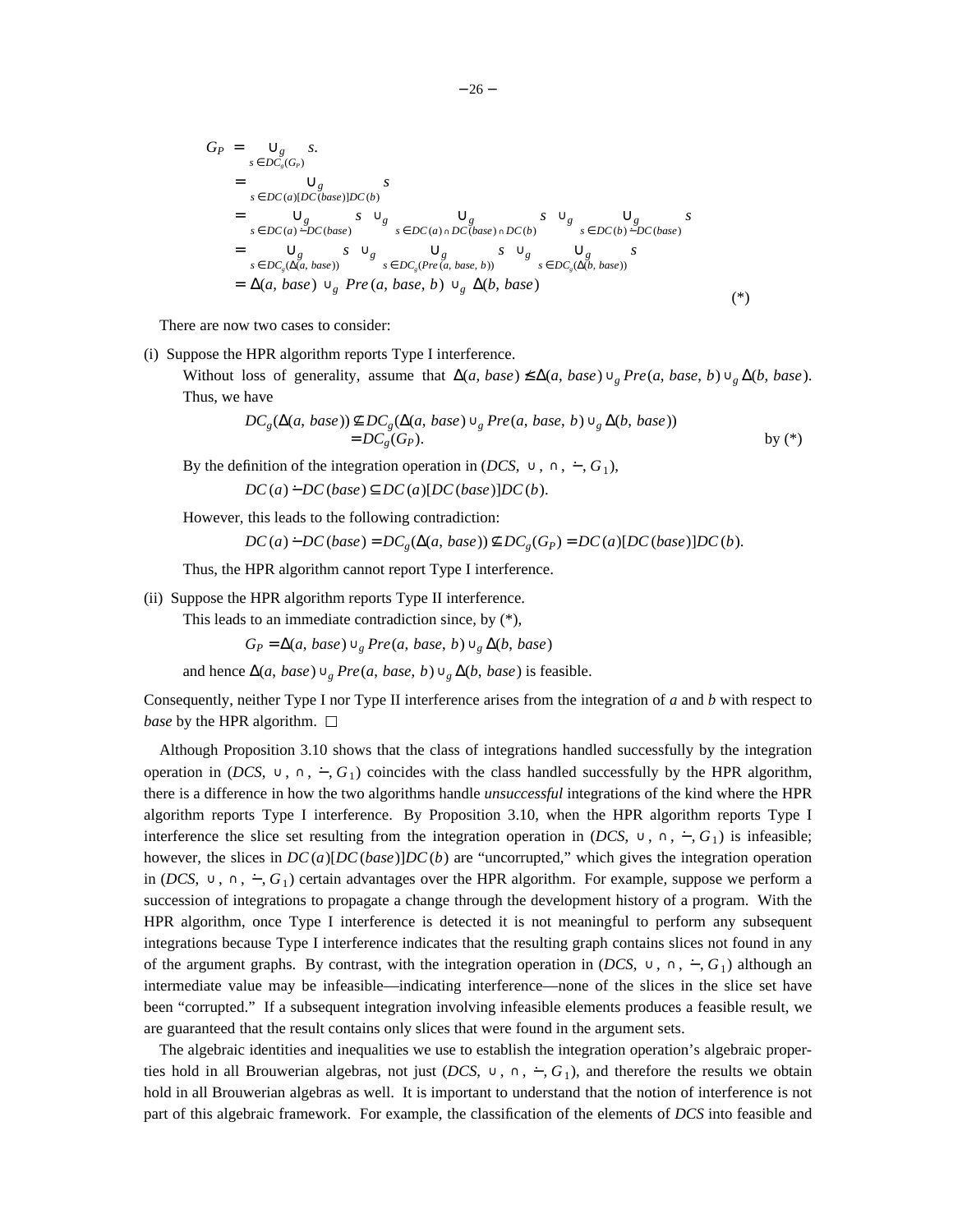$$
G_P = \bigcup_{s \in DC_s(G_P)} s.
$$
  
\n
$$
= \bigcup_{s \in DC(a)[DC(base)]DC(b)} s
$$
  
\n
$$
= \bigcup_{s \in DC(a) - DC(base)} s \bigcup_{s \in DC(a) \cap DC(base) \cap DC(b)} s \bigcup_{s \in DC(b) - DC(base)} s
$$
  
\n
$$
= \bigcup_{s \in DC_s(\Delta(a, base))} s \bigcup_{s \in DC_s(Pre(a, base, b))} s \bigcup_{s \in DC_s(\Delta(b, base))} s
$$
  
\n
$$
= \Delta(a, base) \bigcup_{s} Pre(a, base, b) \bigcup_{s} \Delta(b, base)
$$
  
\n(\*)

There are now two cases to consider:

(i) Suppose the HPR algorithm reports Type I interference.

Without loss of generality, assume that  $\Delta(a, base) \leq \Delta(a, base) \cup_{g} Pre(a, base, b) \cup_{g} \Delta(b, base).$ Thus, we have

$$
DC_g(\Delta(a, base)) \underline{\subset} DC_g(\Delta(a, base) \cup_g Pre(a, base, b) \cup_g \Delta(b, base))
$$
  
= 
$$
DC_g(G_P).
$$
 by (\*)

By the definition of the integration operation in (*DCS*,  $\cup$ ,  $\cap$ ,  $\div$ ,  $G_1$ ),

 $DC(a) \div DC(base) \subseteq DC(a)[DC(base)]DC(b).$ 

However, this leads to the following contradiction:

$$
DC(a)-DC(base) = DCg(\Delta(a, base)) \underline{\leq} DCg(GP) = DC(a)[DC(base)]DC(b).
$$

Thus, the HPR algorithm cannot report Type I interference.

(ii) Suppose the HPR algorithm reports Type II interference.

This leads to an immediate contradiction since, by (\*),

 $G_P = \Delta(a, base) \cup g$  *Pre* $(a, base, b) \cup g$   $\Delta(b, base)$ 

and hence  $\Delta(a, base) \cup_g Pre(a, base, b) \cup_g \Delta(b, base)$  is feasible.

Consequently, neither Type I nor Type II interference arises from the integration of *a* and *b* with respect to *base* by the HPR algorithm. □

Although Proposition 3.10 shows that the class of integrations handled successfully by the integration operation in (*DCS*, ∪, ∩,  $\div$ , *G*<sub>1</sub>) coincides with the class handled successfully by the HPR algorithm, there is a difference in how the two algorithms handle *unsuccessful* integrations of the kind where the HPR algorithm reports Type I interference. By Proposition 3.10, when the HPR algorithm reports Type I interference the slice set resulting from the integration operation in (*DCS*, ∪, ∩, –,  $G_1$ ) is infeasible; however, the slices in  $DC(a)[DC(base)]DC(b)$  are "uncorrupted," which gives the integration operation in (*DCS*, ∪, ∩,  $\div$ , *G*<sub>1</sub>) certain advantages over the HPR algorithm. For example, suppose we perform a succession of integrations to propagate a change through the development history of a program. With the HPR algorithm, once Type I interference is detected it is not meaningful to perform any subsequent integrations because Type I interference indicates that the resulting graph contains slices not found in any of the argument graphs. By contrast, with the integration operation in (*DCS*, ∪, ∩,  $\div$ , *G*<sub>1</sub>) although an intermediate value may be infeasible—indicating interference—none of the slices in the slice set have been "corrupted." If a subsequent integration involving infeasible elements produces a feasible result, we are guaranteed that the result contains only slices that were found in the argument sets.

The algebraic identities and inequalities we use to establish the integration operation's algebraic properties hold in all Brouwerian algebras, not just (*DCS*,  $\cup$ ,  $\cap$ ,  $\div$ ,  $G_1$ ), and therefore the results we obtain hold in all Brouwerian algebras as well. It is important to understand that the notion of interference is not part of this algebraic framework. For example, the classification of the elements of *DCS* into feasible and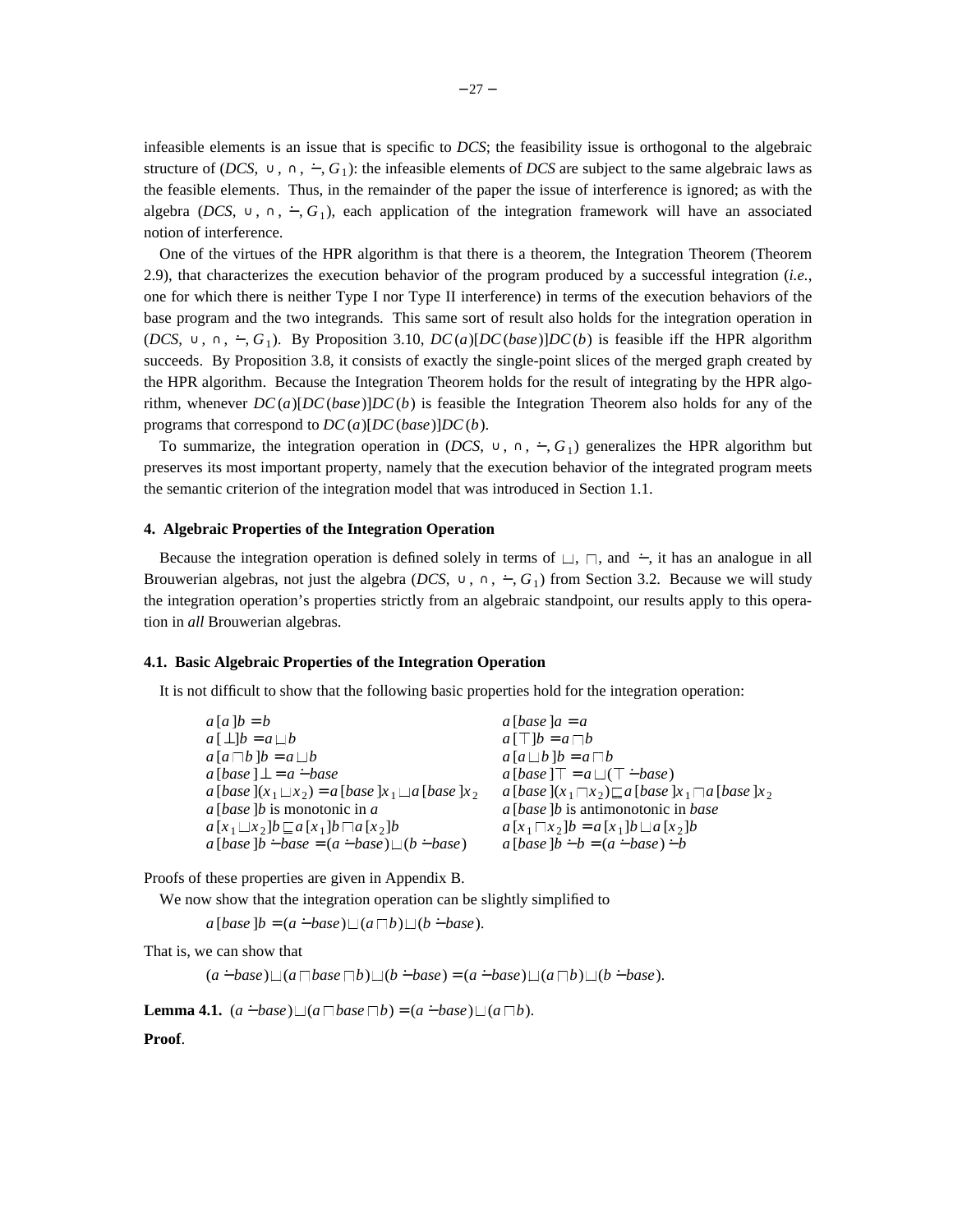infeasible elements is an issue that is specific to *DCS*; the feasibility issue is orthogonal to the algebraic structure of (*DCS*,  $\cup$ ,  $\cap$ ,  $\div$ , *G*<sub>1</sub>): the infeasible elements of *DCS* are subject to the same algebraic laws as the feasible elements. Thus, in the remainder of the paper the issue of interference is ignored; as with the algebra (*DCS*,  $\cup$ ,  $\cap$ ,  $\div$ , *G*<sub>1</sub>), each application of the integration framework will have an associated notion of interference.

One of the virtues of the HPR algorithm is that there is a theorem, the Integration Theorem (Theorem 2.9), that characterizes the execution behavior of the program produced by a successful integration (*i.e.*, one for which there is neither Type I nor Type II interference) in terms of the execution behaviors of the base program and the two integrands. This same sort of result also holds for the integration operation in (*DCS*, ∪, ∩,  $\div$ , *G*<sub>1</sub>). By Proposition 3.10, *DC*(*a*)[*DC*(*base*)]*DC*(*b*) is feasible iff the HPR algorithm succeeds. By Proposition 3.8, it consists of exactly the single-point slices of the merged graph created by the HPR algorithm. Because the Integration Theorem holds for the result of integrating by the HPR algorithm, whenever  $DC(a)[DC(base)]DC(b)$  is feasible the Integration Theorem also holds for any of the programs that correspond to  $DC(a)[DC(base)]DC(b)$ .

To summarize, the integration operation in (*DCS*, ∪, ∩,  $\div$ , *G*<sub>1</sub>) generalizes the HPR algorithm but preserves its most important property, namely that the execution behavior of the integrated program meets the semantic criterion of the integration model that was introduced in Section 1.1.

#### **4. Algebraic Properties of the Integration Operation**

Because the integration operation is defined solely in terms of  $\Box$ ,  $\Box$ , and  $\div$ , it has an analogue in all Brouwerian algebras, not just the algebra (*DCS*,  $\cup$ ,  $\cap$ ,  $\div$ ,  $G_1$ ) from Section 3.2. Because we will study the integration operation's properties strictly from an algebraic standpoint, our results apply to this operation in *all* Brouwerian algebras.

## **4.1. Basic Algebraic Properties of the Integration Operation**

It is not difficult to show that the following basic properties hold for the integration operation:

| $a[a]b = b$                                                            | $a$ [base] $a = a$                                                              |
|------------------------------------------------------------------------|---------------------------------------------------------------------------------|
| $a \perp b = a \perp b$                                                | $a \upharpoonright \neg b = a \sqcap b$                                         |
| $a[a \sqcap b]$ $b = a \sqcup b$                                       | $a[a \sqcup b]b = a \sqcap b$                                                   |
| $a$ [base] $\perp = a \div base$                                       | $a \, [base] \top = a \sqcup (\top \div base)$                                  |
| a [base ]( $x_1 \sqcup x_2$ ) = a [base ] $x_1 \sqcup a$ [base ] $x_2$ | a [base ] $(x_1 \sqcap x_2) \sqsubseteq a$ [base ] $x_1 \sqcap a$ [base ] $x_2$ |
| $a$ [ <i>base</i> ] <i>b</i> is monotonic in $a$                       | a [base] b is antimonotonic in base                                             |
| $a[x_1 \sqcup x_2]$ $b \sqsubseteq a[x_1]$ $b \sqcap a[x_2]$ $b$       | $a[x_1 \sqcap x_2]b = a[x_1]b \sqcup a[x_2]b$                                   |
| $a [base]b \div base = (a \div base) \sqcup (b \div base)$             | $a [base] b \div b = (a \div base) \div b$                                      |

Proofs of these properties are given in Appendix B.

We now show that the integration operation can be slightly simplified to

 $a [base] b = (a - base) \sqcup (a \sqcap b) \sqcup (b - base).$ 

That is, we can show that

$$
(a - base) \sqcup (a \sqcap base \sqcap b) \sqcup (b - base) = (a - base) \sqcup (a \sqcap b) \sqcup (b - base).
$$

**Lemma 4.1.**  $(a - base) \sqcup (a \sqcap base \sqcap b) = (a - base) \sqcup (a \sqcap b).$ 

**Proof**.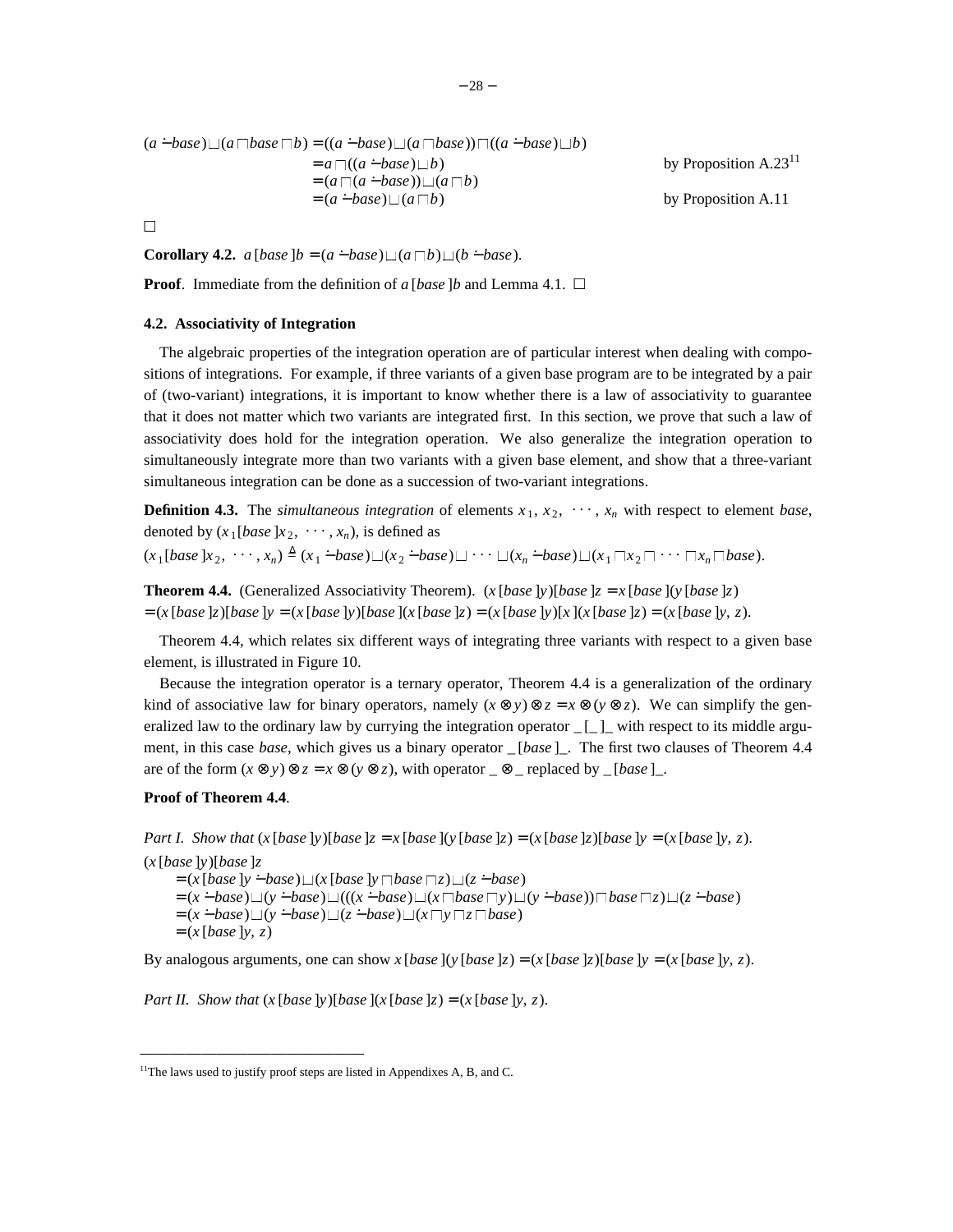$$
(a - base) \sqcup (a \sqcap base \sqcap b) = ((a - base) \sqcup (a \sqcap base)) \sqcap ((a - base) \sqcup b)
$$
  
=  $a \sqcap ((a - base) \sqcup b)$   
=  $(a \sqcap (a - base)) \sqcup (a \sqcap b)$   
=  $(a - base) \sqcup (a \sqcap b)$   
=  $(a - base) \sqcup (a \sqcap b)$   
by Proposition A.11

 $\Box$ 

**Corollary 4.2.**  $a [base]b = (a - base) \sqcup (a \sqcap b) \sqcup (b - base).$ 

**Proof.** Immediate from the definition of *a* [*base* ]*b* and Lemma 4.1.  $\Box$ 

#### **4.2. Associativity of Integration**

The algebraic properties of the integration operation are of particular interest when dealing with compositions of integrations. For example, if three variants of a given base program are to be integrated by a pair of (two-variant) integrations, it is important to know whether there is a law of associativity to guarantee that it does not matter which two variants are integrated first. In this section, we prove that such a law of associativity does hold for the integration operation. We also generalize the integration operation to simultaneously integrate more than two variants with a given base element, and show that a three-variant simultaneous integration can be done as a succession of two-variant integrations.

**Definition 4.3.** The *simultaneous integration* of elements  $x_1, x_2, \dots, x_n$  with respect to element *base*, denoted by  $(x_1[\text{base} \,] x_2, \dots, x_n)$ , is defined as

 $(x_1[base]x_2, \dots, x_n) \triangleq (x_1 \div base) \sqcup (x_2 \div base) \sqcup \dots \sqcup (x_n \div base) \sqcup (x_1 \sqcap x_2 \sqcap \dots \sqcap x_n \sqcap base).$ 

**Theorem 4.4.** (Generalized Associativity Theorem). (*x* [*base* ]*y*)[*base* ]*z* = *x* [*base* ](*y* [*base* ]*z*)  $=(x [base ]z)[base ]y = (x [base ]y)[base ](x [base ]z) = (x [base ]y)[x](x [base ]z) = (x [base ]y, z).$ 

Theorem 4.4, which relates six different ways of integrating three variants with respect to a given base element, is illustrated in Figure 10.

Because the integration operator is a ternary operator, Theorem 4.4 is a generalization of the ordinary kind of associative law for binary operators, namely  $(x \otimes y) \otimes z = x \otimes (y \otimes z)$ . We can simplify the generalized law to the ordinary law by currying the integration operator  $\lceil \cdot \rceil$  with respect to its middle argument, in this case *base*, which gives us a binary operator *\_* [*base* ]*\_*. The first two clauses of Theorem 4.4 are of the form  $(x \otimes y) \otimes z = x \otimes (y \otimes z)$ , with operator  $\Box \otimes \Box$  replaced by  $\Box$  [*base* ] $\Box$ .

## **Proof of Theorem 4.4**.

Part I. Show that  $(x$  [base ]y  $\vert y \vert$  [base ]z = x [base ]y [base ]z =  $(x$  [base ]z ][base ]y =  $(x$  [base ]y, z).

(*x* [*base* ]*y*)[*base* ]*z*

---------------

 $=(x[\text{base}]\text{y} - \text{base}) \sqcup (x[\text{base}]\text{y} \sqcap \text{base} \sqcap z) \sqcup (z - \text{base})$ 

 $=(x - base) \sqcup (y - base) \sqcup (((x - base) \sqcup (x - base)) \sqcup (y - base)) \sqcap base \sqcap z) \sqcup (z - base)$  $=(x - base) \sqcup (y - base) \sqcup (z - base) \sqcup (x \sqcap y \sqcap z \sqcap base)$ <br>=  $(x - base) \sqcup (y - base) \sqcup (z - base) \sqcup (x \sqcap y \sqcap z \sqcap base)$ 

- 
- = (*x* [*base* ]*y*, *z*)

By analogous arguments, one can show  $x$  [*base* ]( $y$  [*base* ] $z$ ] = ( $x$  [*base* ] $y$  = ( $x$  [*base* ] $y$ ,  $z$ ).

*Part II. Show that*  $(x$  [*base* ]*y*)[*base* ] $(x$  [*base* ]*z*) =  $(x$  [*base* ]*y*, *z*).

-

and the contract of the contract of the contract of the contract of the contract of the contract of the contract of the contract of the contract of the contract of the contract of the contract of the contract of the contra

<sup>-</sup>-<sup>11</sup>The laws used to justify proof steps are listed in Appendixes A, B, and C.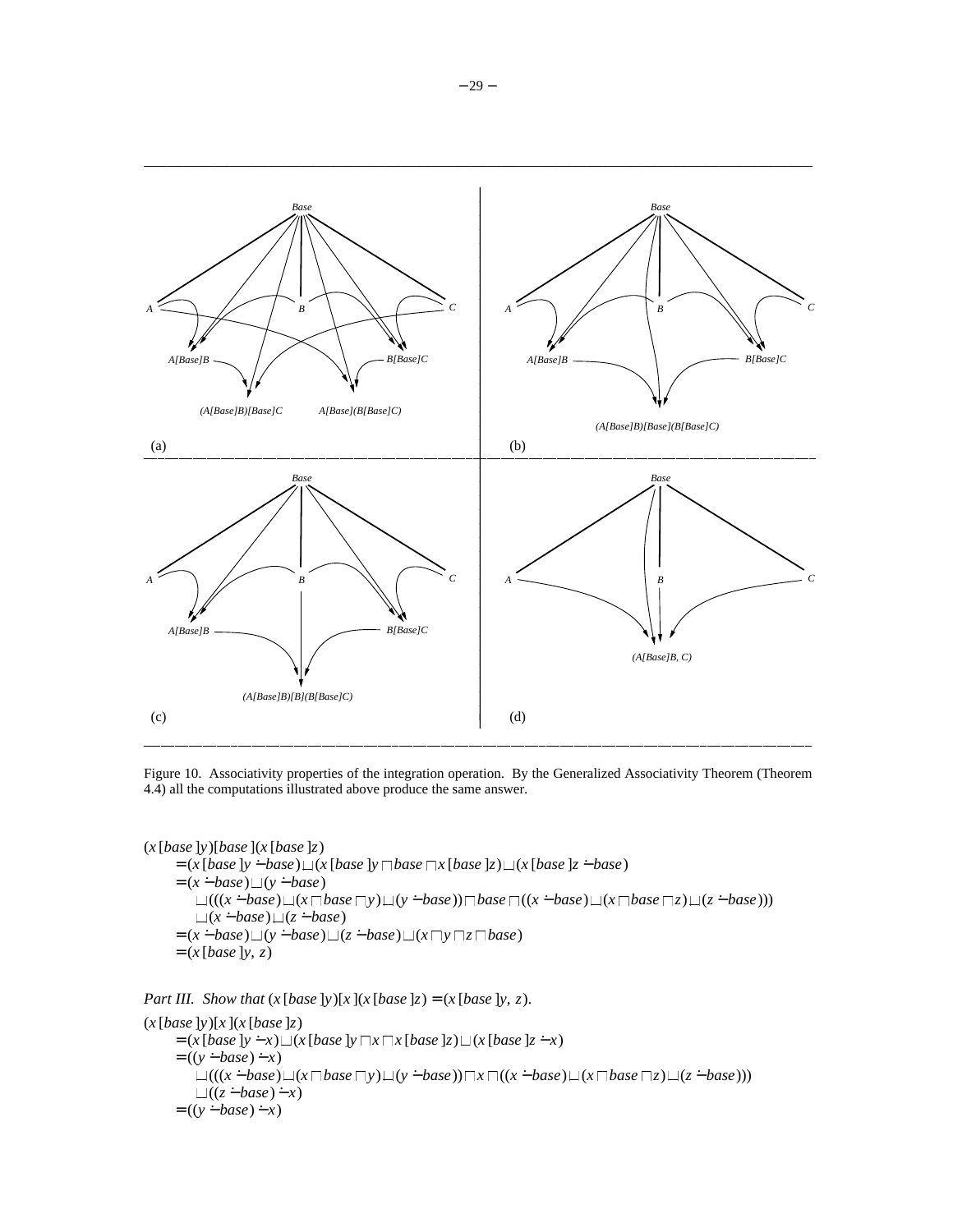

Figure 10. Associativity properties of the integration operation. By the Generalized Associativity Theorem (Theorem 4.4) all the computations illustrated above produce the same answer.

(*x* [*base* ]*y*)[*base* ](*x* [*base* ]*z*)

```
= (x [base ]y
.
− base)  (x [base ]y  base  x [base ]z)  (x [base ]z
.
− base)
=(x - b \text{ a}) \square (y - b \text{ a})<br>= (x - b \text{ a}) \square (y - b \text{ a})\Box(((x –̄base)\Box(x \Boxbase \Boxy)\Box(y –̄base))\Boxbase \Box((x –̄base)\Box(x \Boxbase \Boxz)\Box(z –̄base)))
      \Box(((x − base)\Box(x − base)
=(x - b \text{ and } y) \sqcup (y - b \text{ as } e) \sqcup (z - b \text{ as } e) \sqcup (x \sqcap y \sqcap z \sqcap base)= (x [base ]y, z)
```
*Part III. Show that*  $(x$  [*base* ]*y*)[ $x$ ] $(x$ [*base*] $z$ ] =  $(x$ [*base*] $y, z$ ].

```
(x [base ]y)[x ](x [base ]z)
          =(x[\text{base}]\text{y} - x) \sqcup (x[\text{base}]\text{y} \sqcap x \sqcap x[\text{base}]\text{z}) \sqcup (x[\text{base}]\text{z} - x)=(y - b \text{ and } y - x)<br>= ((y - b \text{ and } y) - x) (((x
.
− base)  (x  base  y)  (y
.
− base))  x  ((x
.
− base)  (x  base  z)  (z
.
− base)))
                \Box(((x − base) – x)<br>\Box((z − base) – x)
          =(y - b \text{ and } y)<br>= (0, b \text{ and } b \text{).}
```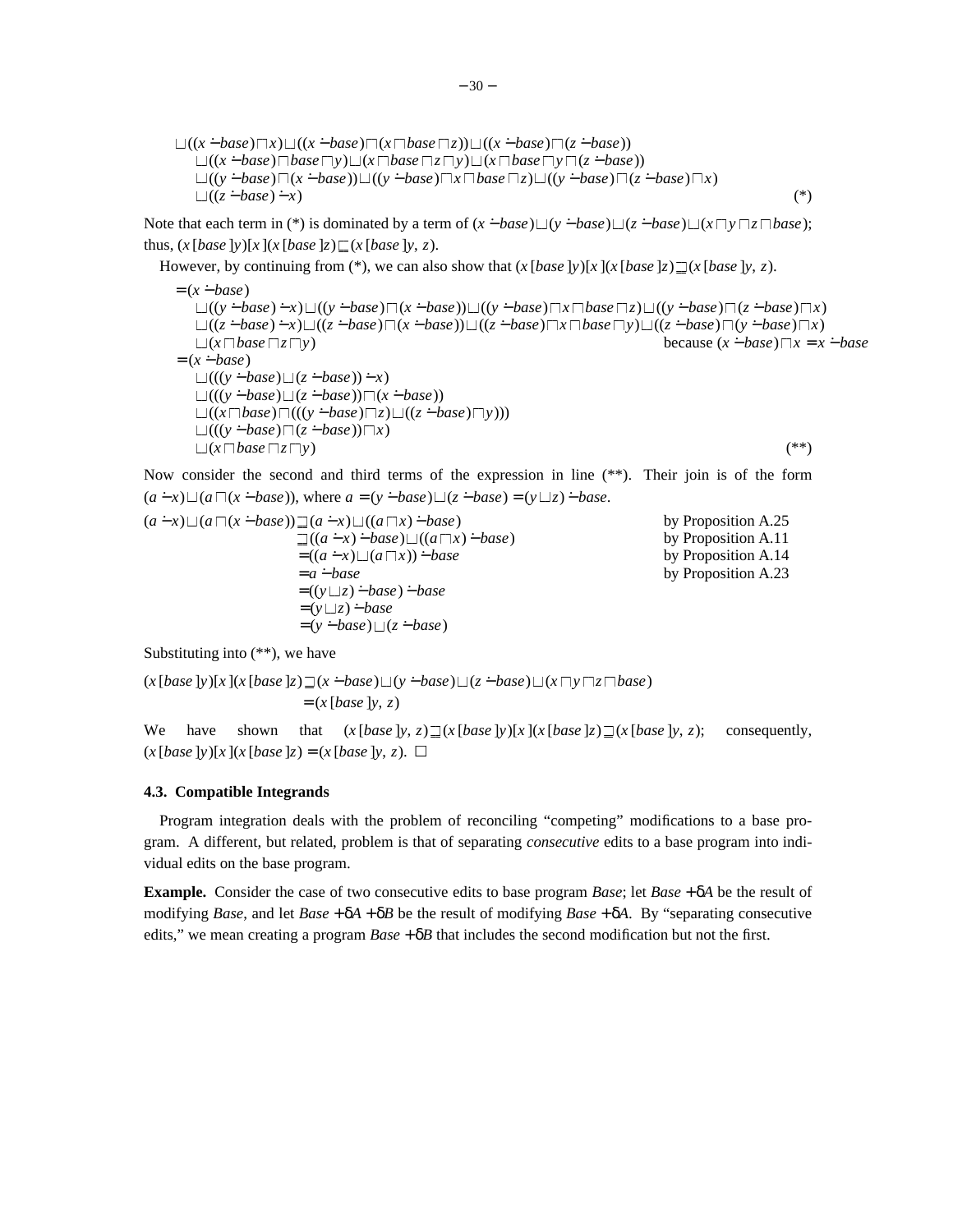$$
\Box((x - base) \Box x) \Box((x - base) \Box(x \Box base \Box z)) \Box((x - base) \Box(z - base))
$$
  
\n
$$
\Box((x - base) \Box base \Box y) \Box(x \Box base \Box z \Box y) \Box(x \Box base \Box y \Box(z - base))
$$
  
\n
$$
\Box((y - base) \Box(x - base)) \Box((y - base) \Box x \Box base \Box z) \Box((y - base) \Box(x - base) \Box x)
$$
  
\n
$$
\Box((z - base) - x)
$$
 (\*)

Note that each term in (\*) is dominated by a term of  $(x - base) \sqcup (y - base) \sqcup (z - base) \sqcup (x \sqcap y \sqcap z \sqcap base);$ thus,  $(x$ [*base*] $y$ ] $(x$ [*/x* [*base*] $z$ ] $\subseteq$  $(x$ [*base*] $y, z$ ).

However, by continuing from (\*), we can also show that  $(x[\text{base } y)[x](x[\text{base } z]] = (x[\text{base } y, z)$ .

 $=(x - b \, a \, s \, e)$  $\Box$ ((y –̄base) –̀ x) $\Box$ ((y –̄base) $\Box(x - base) \Box$ ((y –̄base) $\Box x \Box base \Box z) \Box$ ((y –̄base) $\Box(z - base) \Box(x)$  $\Box((z - base) - x) \Box((z - base) \Box(x - base)) \Box((z - base) \Box x \Box base \Box y) \Box((z - base) \Box x)$ <br> $\Box((z - base) - x) \Box((z - base) \Box(x - base)) \Box((z - base) \Box x \Box base \Box y) \Box((z - base) \Box x)$  $\Box(x \sqcap base \sqcap z \sqcap y)$  $y$ ) because  $(x - base)$   $\exists x \in base$  *base*)  $\exists x \in base$  *x* ÷ *base*<br>*y*)  $=(x - b \text{ a})$  $\Box$ (((y - base)  $\Box$ (z - base)) - x)  $\Box((y - base) \Box(z - base)) \Box(x - base))$  $\Box((x \Box base) \Box ((x \dot{-} base) \Box z) \Box ((z \dot{-} base) \Box y)))$  $\Box((x + base) \sqcap (z - base)) \sqcap x)$  $\Box(x \sqcap base \sqcap z \sqcap y)$ *y*) (\*\*)

Now consider the second and third terms of the expression in line (\*\*). Their join is of the form  $(a-x)\sqcup(a\sqcap(x-base))$ , where  $a=(y-base)\sqcup(z-base)=(y\sqcup z)-base$ .

$$
(a-x)\sqcup(a\sqcap(x-base))\sqsupseteq(a-x)\sqcup((a\sqcap x)-base)
$$
by Proposition A.25  
\n
$$
\sqsupseteq((a-x)-base)\sqcup((a\sqcap x)-base)
$$
by Proposition A.11  
\n
$$
=((a-x)\sqcup(a\sqcap x))-base
$$
by Proposition A.14  
\n
$$
= a - base
$$
by Proposition A.14  
\n
$$
= ((y \sqcup z)-base) - base
$$
  
\n
$$
= (y \sqcup z)-base
$$
  
\n
$$
= (y-base)
$$

Substituting into (\*\*), we have

$$
(x [base]y)[x](x [base]z) \square (x \dot{-}base) \square (y \dot{-}base) \square (z \dot{-}base) \square (x \square y \square z \square base)
$$
  
=  $(x [base]y, z)$ 

We have shown that  $(x[\text{base } y, z)](x[\text{base } y)[x](x[\text{base } z)](x[\text{base } y, z);$  consequently,  $(x [base] y)[x](x [base] z) = (x [base] y, z). □$ 

#### **4.3. Compatible Integrands**

Program integration deals with the problem of reconciling "competing" modifications to a base program. A different, but related, problem is that of separating *consecutive* edits to a base program into individual edits on the base program.

**Example.** Consider the case of two consecutive edits to base program *Base*; let *Base* +  $\delta$ *A* be the result of modifying *Base*, and let  $Base + \delta A + \delta B$  be the result of modifying  $Base + \delta A$ . By "separating consecutive edits," we mean creating a program *Base* + δ*B* that includes the second modification but not the first.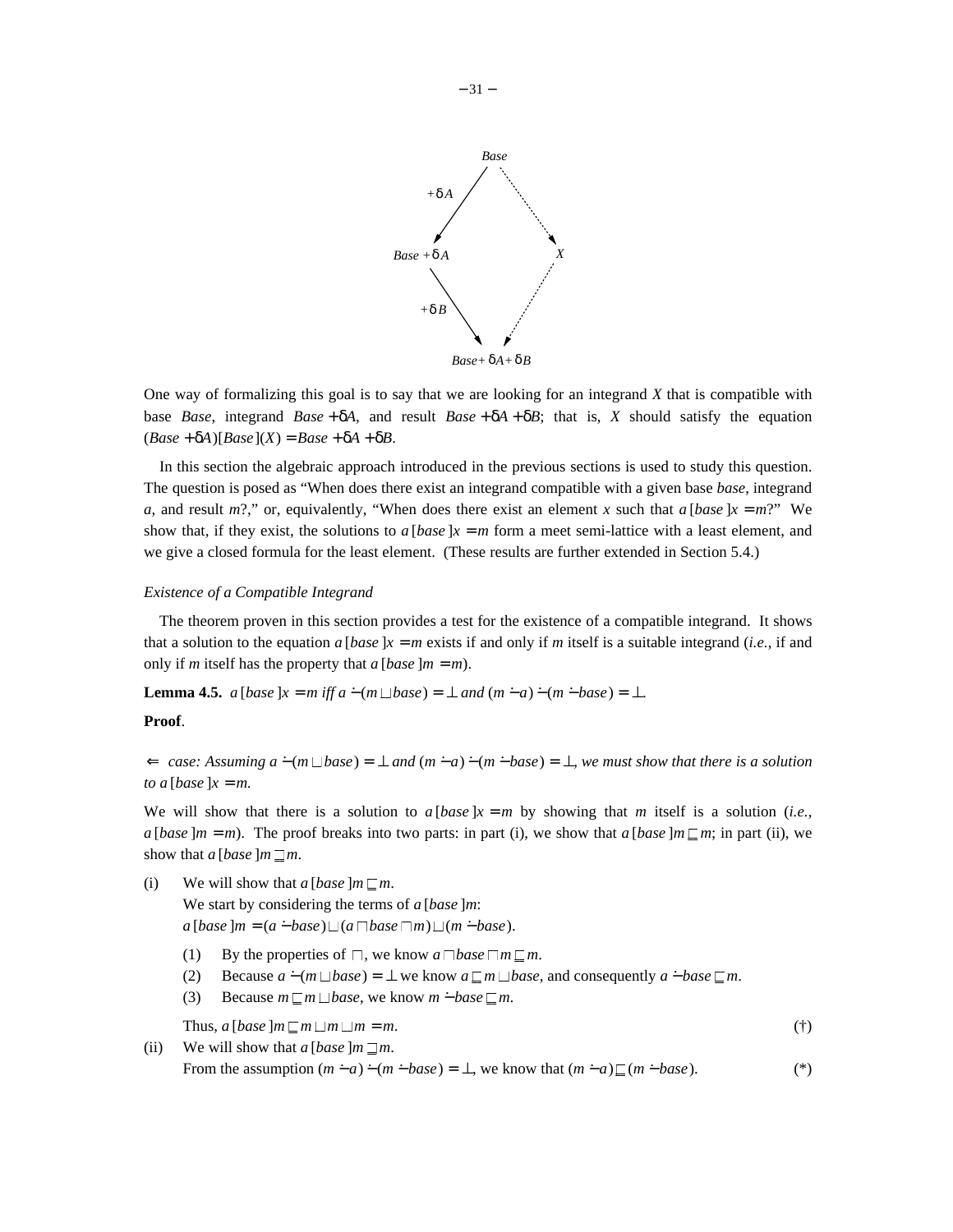− 31 −



One way of formalizing this goal is to say that we are looking for an integrand *X* that is compatible with base *Base*, integrand *Base* +  $\delta A$ , and result *Base* +  $\delta A$  +  $\delta B$ ; that is, *X* should satisfy the equation  $(Base + \delta A)[Base](X) = Base + \delta A + \delta B$ .

In this section the algebraic approach introduced in the previous sections is used to study this question. The question is posed as "When does there exist an integrand compatible with a given base *base*, integrand *a*, and result *m*?," or, equivalently, "When does there exist an element *x* such that *a* [*base* ] $x = m$ ?" We show that, if they exist, the solutions to  $a$  [*base* ] $x = m$  form a meet semi-lattice with a least element, and we give a closed formula for the least element. (These results are further extended in Section 5.4.)

## *Existence of a Compatible Integrand*

The theorem proven in this section provides a test for the existence of a compatible integrand. It shows that a solution to the equation *a* [*base* ] $x = m$  exists if and only if *m* itself is a suitable integrand (*i.e.*, if and only if *m* itself has the property that  $a$  [*base* ] $m = m$ ).

**Lemma 4.5.**  $a[base]x = m \text{ iff } a \div (m \sqcup base) = \bot \text{ and } (m \div a) \div (m \div base) = \bot.$ 

#### **Proof**.

 $\Leftarrow$  case: Assuming  $a \div (m \Box base) = \bot$  and  $(m \div a) \div (m \div base) = \bot$ , we must show that there is a solution *to*  $a$  [*base* ] $x = m$ .

We will show that there is a solution to  $a$  [*base* ] $x = m$  by showing that *m* itself is a solution (*i.e.*, *a* [*base* ] $m = m$ ). The proof breaks into two parts: in part (i), we show that *a* [*base* ] $m \subseteq m$ ; in part (ii), we show that  $a [base] m \sqsupset m$ .

(i) We will show that  $a \lfloor base \rfloor m \sqsubseteq m$ .

We start by considering the terms of *a* [*base* ]*m*:

 $a [base]$  $m = (a - base) \sqcup (a \sqcap base \sqcap m) \sqcup (m - base).$ 

- (1) By the properties of  $\Box$ , we know  $a \Box base \Box m \sqsubseteq m$ .
- (2) Because  $a \div (m \sqcup base) = \bot$  we know  $a \sqsubseteq m \sqcup base$ , and consequently  $a \div base \sqsubseteq m$ .
- (3) Because  $m \sqsubseteq m \sqcup base$ , we know  $m base \sqsubseteq m$ .

Thus,  $a$  [base ] $m \sqsubseteq m \sqcup m \sqcup$  $m = m.$  (†)

(ii) We will show that 
$$
a [base]m \rceil m
$$
.  
From the assumption  $(m \div a) \div (m \div base) = \bot$ , we know that  $(m \div a) \rceil (m \div base)$ . (\*)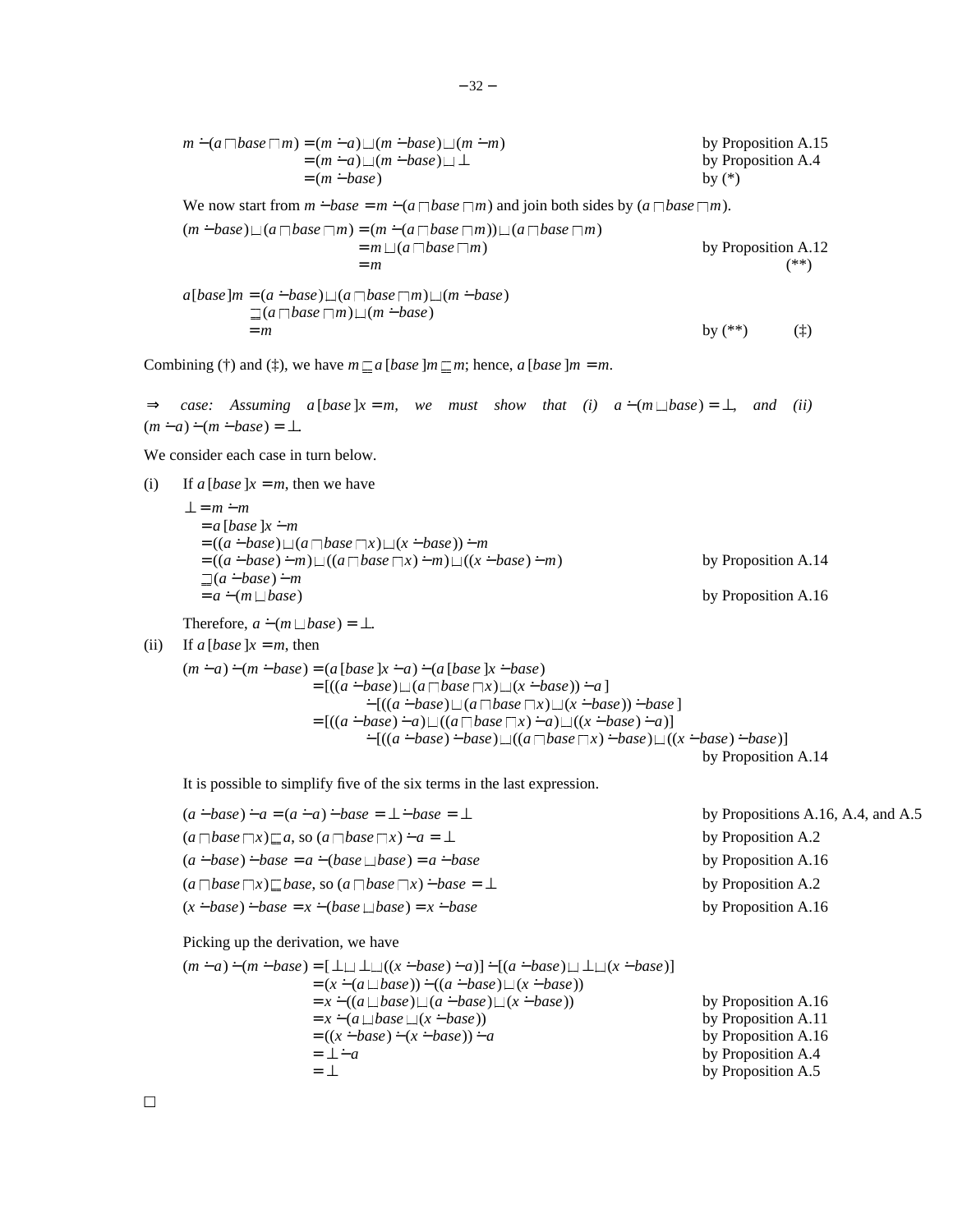$$
m \div (a \cap base \cap m) = (m \div a) \sqcup (m \div base) \sqcup (m \div m)
$$
  
\n
$$
= (m \div a) \sqcup (m \div base) \sqcup \bot
$$
  
\n
$$
= (m \div base)
$$
  
\nby Proposition A.15  
\nby Proposition A.4  
\nby Proposition A.4  
\nby (\*)

We now start from  $m \text{--} base = m \text{--} (a \square base \square m)$  and join both sides by  $(a \square base \square m)$ .

$$
(m - base) \sqcup (a \sqcap base \sqcap m) = (m - (a \sqcap base \sqcap m)) \sqcup (a \sqcap base \sqcap m)
$$
  
=  $m \sqcup (a \sqcap base \sqcap m)$  by Proposition A.12  
=  $m$  *(\*\*)*

$$
a[base]m = (a \div base) \sqcup (a \sqcap base \sqcap m) \sqcup (m \div base)
$$
  
\n
$$
\sqsupseteq (a \sqcap base \sqcap m) \sqcup (m \div base)
$$
  
\n
$$
= m
$$
 by (\*\*) (†)

Combining (†) and (†), we have  $m \sqsubseteq a$  [*base* ] $m \sqsubseteq m$ ; hence, *a* [*base* ] $m = m$ .

 $\Rightarrow$  *case:* Assuming a[base] $x = m$ , we must show that (i)  $a \div (m \Box base) = \bot$ , and (ii)  $(m \div a) \div (m \div base) = \bot.$ 

We consider each case in turn below.

(i) If  $a$  [*base* ] $x = m$ , then we have

 $\perp$  =  $m \div m$ = *a* [*base* ]*x .* − *m*  $= ((a - base) \sqcup (a \sqcap base \sqcap x) \sqcup (x - base)) - m$  $=(a - base)$   $\div m$ )  $\Box ((a \Box base \Box x) \div m)$   $\Box ((x \div base) \div m)$ by Proposition A.14 − ((*a* • *base*) – *m*<br>  $\Box$ (*a* + *base*) – *m*  $= a \div (m \Box$ by Proposition A.16

Therefore, 
$$
a \div (m \sqcup base) = \bot
$$
.

(ii) If 
$$
a
$$
 [*base*]  $x = m$ , then  
\n
$$
(m \dot{-} a) \dot{-} (m \dot{-} base) = (a [base]x \dot{-} a) \dot{-} (a [base]x \dot{-} base)
$$
\n
$$
= [((a \dot{-} base) \sqcup (a \sqcap base \sqcap x) \sqcup (x \dot{-} base)) \dot{-} a]
$$
\n
$$
\dot{-} [((a \dot{-} base) \sqcup (a \sqcap base \sqcap x) \sqcup (x \dot{-} base)) \dot{-} base)]
$$
\n
$$
= [((a \dot{-} base) \dot{-} a) \sqcup ((a \sqcap base \sqcap x) \dot{-} a) \sqcup ((x \dot{-} base) \dot{-} a)]
$$
\n
$$
\dot{-} [((a \dot{-} base) \dot{-} base) \sqcup ((a \sqcap base \sqcap x) \dot{-} base) \sqcup ((x \dot{-} base) \dot{-} base) \dot{-} base)]
$$

by Proposition A.14

It is possible to simplify five of the six terms in the last expression.

| by Propositions A.16, A.4, and A.5 |
|------------------------------------|
| by Proposition A.2                 |
| by Proposition A.16                |
| by Proposition A.2                 |
| by Proposition A.16                |
|                                    |

## Picking up the derivation, we have

$$
(m \div a) \div (m \div base) = [\bot \sqcup \bot \sqcup ((x \div base) \div a)] \div [(a \div base) \sqcup \bot \sqcup (x \div base)]
$$
  
\n
$$
= (x \div (a \sqcup base)) \div ((a \div base) \sqcup (x \div base))
$$
  
\n
$$
= x \div ((a \sqcup base) \sqcup (a \div base)) \sqcup (x \div base))
$$
  
\n
$$
= x \div (a \sqcup base) \sqcup (a \div base))
$$
  
\n
$$
= (x \div base) \div (x \div base))
$$
  
\n
$$
= ((x \div base) \div (x \div base)) \div a)
$$
  
\nby Proposition A.16  
\nby Proposition A.4  
\n
$$
= \bot \rightarrow a
$$
  
\nby Proposition A.5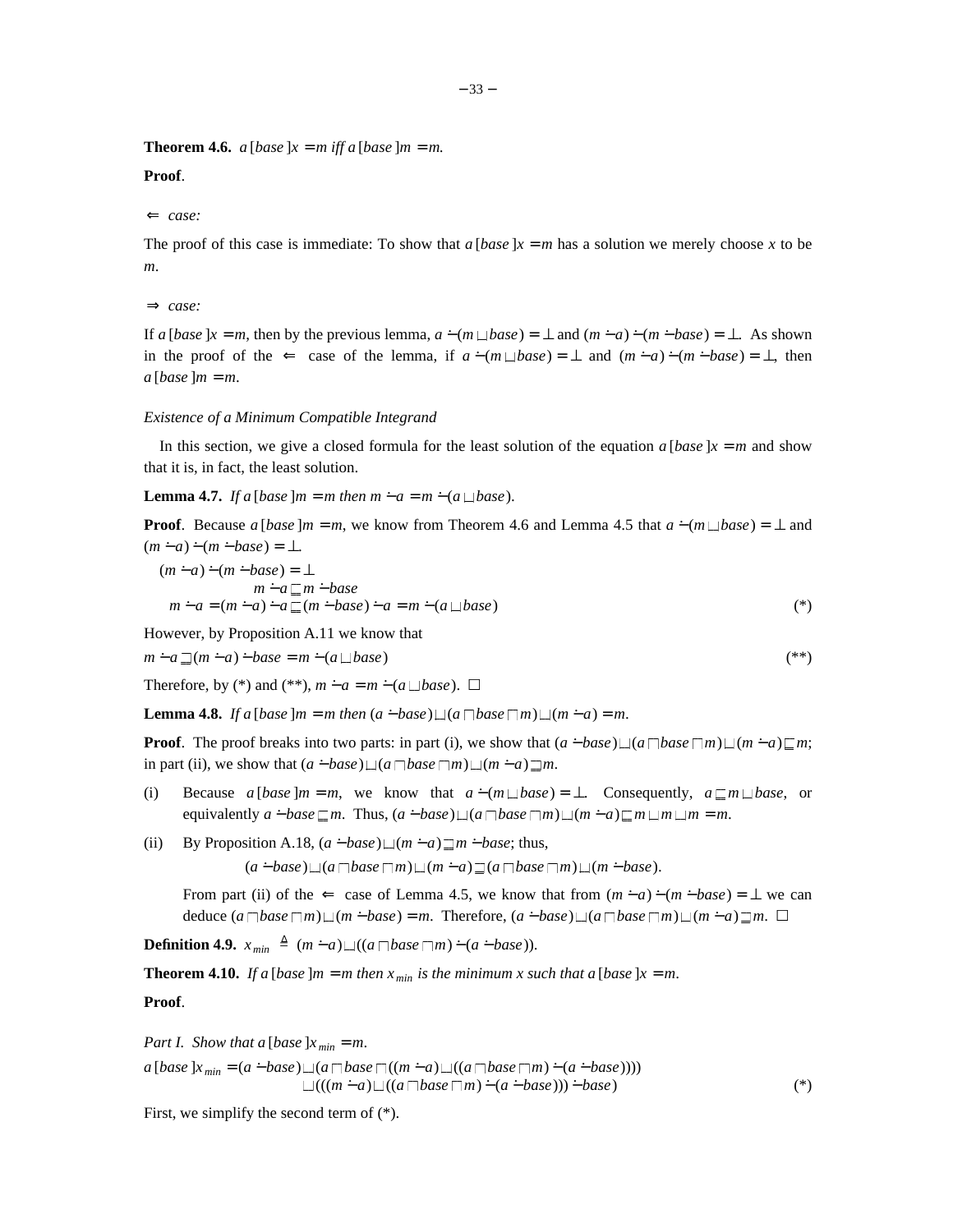## **Theorem 4.6.**  $a$  [base ] $x = m$  *iff*  $a$  [base ] $m = m$ .

#### **Proof**.

⇐ *case:*

The proof of this case is immediate: To show that  $a$  [*base* ] $x = m$  has a solution we merely choose  $x$  to be *m*.

⇒ *case:*

If *a* [*base* ] $x = m$ , then by the previous lemma,  $a \div (m \Box base) = \bot$  and  $(m \div a) \div (m \div base) = \bot$ . As shown in the proof of the  $\Leftarrow$  case of the lemma, if  $a$  − ( $m \perp base$ ) = ⊥ and  $(m - a)$  − ( $m - base$ ) = ⊥, then *a* [*base* ]*m* = *m*.

#### *Existence of a Minimum Compatible Integrand*

In this section, we give a closed formula for the least solution of the equation *a* [*base* ] $x = m$  and show that it is, in fact, the least solution.

**Lemma 4.7.** *If a* [*base* ]*m* = *m then*  $m \div a = m \div (a \sqcup base)$ .

**Proof.** Because *a* [*base* ]*m* = *m*, we know from Theorem 4.6 and Lemma 4.5 that  $a \div (m \Box base) = \bot$  and  $(m \div a) \div (m \div base) = \bot.$ 

$$
(m \dot{-} a) \dot{-} (m \dot{-} base) = \bot
$$
  
\n
$$
m \dot{-} a \sqsubseteq m \dot{-} base
$$
  
\n
$$
m \dot{-} a = (m \dot{-} a) \dot{-} a \sqsubseteq (m \dot{-} base) \dot{-} a = m \dot{-} (a \sqcup base)
$$
 (\*)

However, by Proposition A.11 we know that

$$
m \div a \sqsupseteq (m \div a) \div base = m \div (a \sqcup base)
$$
\n<sup>(\*)\*</sup>

Therefore, by (\*) and (\*\*),  $m \div a = m \div (a \sqcup base)$ .  $\Box$ 

**Lemma 4.8.** *If a* [*base* ]*m* = *m then*  $(a - base) \sqcup (a \sqcap base \sqcap m) \sqcup (m - a) = m$ .

**Proof**. The proof breaks into two parts: in part (i), we show that  $(a - base) \sqcup (a \sqcap base \sqcap m) \sqcup (m - a) \sqsubseteq m$ ; in part (ii), we show that  $(a - base) \sqcup (a \sqcap base \sqcap m) \sqcup (m - a) \sqsupseteq m$ .

- (i) Because  $a[base]m = m$ , we know that  $a \div (m \sqcup base) = \bot$ . Consequently,  $a \sqsubseteq m \sqcup base$ , or equivalently  $a - base \square m$ . Thus,  $(a - base) \square (a \square base \square m) \square (m - a) \square m \square m \square m = m$ .
- (ii) By Proposition A.18,  $(a \div base) \sqcup (m \div a) \sqsupseteq m \div base$ ; thus,

 $(a - base) \sqcup (a \sqcap base \sqcap m) \sqcup (m - a) \sqsupseteq (a \sqcap base \sqcap m) \sqcup (m - base).$ 

From part (ii) of the  $\Leftarrow$  case of Lemma 4.5, we know that from  $(m \div a) \div (m \div base) = \bot$  we can deduce  $(a \cap base \cap m) \sqcup (m - base) = m$ . Therefore,  $(a - base) \sqcup (a \cap base \cap m) \sqcup (m - a) \sqsupseteq m$ .  $\square$ 

**Definition 4.9.**  $x_{min} \triangleq (m \div a) \sqcup ((a \sqcap base \sqcap m) \div (a \div base)).$ 

**Theorem 4.10.** If a [base ]m = m then  $x_{min}$  is the minimum x such that a [base ]x = m.

**Proof**.

Part I. Show that a [base ]
$$
x_{min} = m
$$
.  
\na [base ] $x_{min} = (a - base) \sqcup (a \sqcap base \sqcap ((m - a) \sqcup ((a \sqcap base \sqcap m) - (a - base))))$   
\n $\sqcup (((m - a) \sqcup ((a \sqcap base \sqcap m) - (a - base))) - base)$  (\*)

First, we simplify the second term of (\*).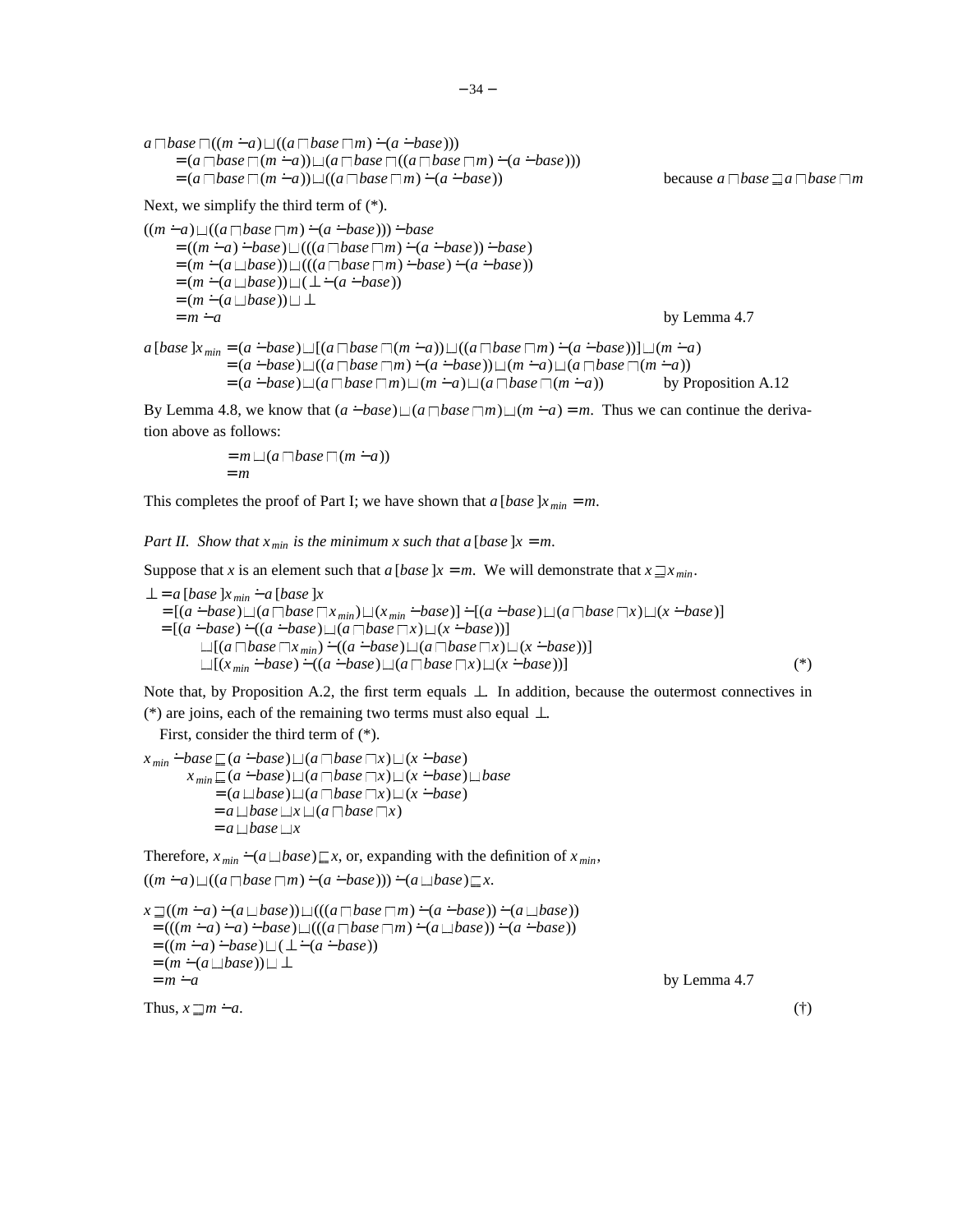$$
a \Box base \Box ((m \dot{-} a) \Box ((a \Box base \Box m) \dot{-} (a \dot{-} base)))
$$
  
\n
$$
= (a \Box base \Box (m \dot{-} a)) \Box ((a \Box base \Box (a \Box base \Box m) \dot{-} (a \dot{-} base)))
$$
  
\n
$$
= (a \Box base \Box (m \dot{-} a)) \Box ((a \Box base \Box m) \dot{-} (a \dot{-} base))
$$
  
\nNext, we simplify the third term of (\*).  
\n
$$
((m \dot{-} a) \Box ((a \Box base \Box m) \dot{-} (a \dot{-} base))) \dot{-} base
$$
  
\n
$$
= ((m \dot{-} a) \dot{-} base) \Box ((a \Box base \Box m) \dot{-} (a \dot{-} base) \dot{-} base)
$$
  
\n
$$
= (m \dot{-} (a \Box base)) \Box ((a \Box base \Box m) \dot{-} base) \dot{-} (a \dot{-} base))
$$
  
\n
$$
= (m \dot{-} (a \Box base)) \Box (\bot \dot{-} (a \dot{-} base))
$$
  
\n
$$
= (m \dot{-} (a \Box base)) \Box \bot
$$
  
\n
$$
= m \dot{-} a
$$
  
\nby Lemma 4.7  
\n
$$
a [base ]x_{min} = (a \dot{-} base) \Box [(a \Box base \Box (m \dot{-} a)) \Box ((a \Box base \Box m) \dot{-} (a \dot{-} base))]] \Box (m \dot{-} a)
$$
  
\n
$$
= (a \dot{-} base) \Box ((a \Box base \Box m) \dot{-} (a \dot{-} base)) \Box (m \dot{-} a))
$$
  
\n
$$
= (a \dot{-} base) \Box ((a \Box base \Box m) \dot{-} (a \dot{-} base)) \Box (a \Box base \Box (m \dot{-} a)) )
$$
  
\nby Proposition A.12

By Lemma 4.8, we know that  $(a - base) \sqcup (a \sqcap base \sqcap m) \sqcup (m - a) = m$ . Thus we can continue the derivation above as follows:

> $=m \sqcup (a \sqcap base \sqcap (m \doteq a))$ = *m*

This completes the proof of Part I; we have shown that  $a$  [*base* ] $x_{min} = m$ .

*Part II. Show that*  $x_{min}$  *is the minimum*  $x$  *such that*  $a$  [*base* ] $x = m$ *.* 

Suppose that *x* is an element such that *a* [*base* ]*x* = *m*. We will demonstrate that  $x \sqsupseteq x_{min}$ .

$$
\perp = a [base]x_{min} - a [base]x
$$
  
\n= [(a - base) \sqcup (a \sqcap base \sqcap x\_{min}) \sqcup (x\_{min} - base)] - [(a - base) \sqcup (a \sqcap base \sqcap x) \sqcup (x - base)]  
\n= [(a - base) - ((a - base) \sqcup (a \sqcap base \sqcap x) \sqcup (x - base))]  
\n
$$
\sqcup [(a \sqcap base \sqcap x_{min}) - ((a - base) \sqcup (a \sqcap base \sqcap x) \sqcup (x - base))]
$$
  
\n
$$
\sqcup [(x_{min} - base) - ((a - base) \sqcup (a \sqcap base \sqcap x) \sqcup (x - base))]
$$
  
\n(\*)

Note that, by Proposition A.2, the first term equals ⊥. In addition, because the outermost connectives in (\*) are joins, each of the remaining two terms must also equal ⊥.

First, consider the third term of (\*).

$$
x_{min} \doteq base \sqsubseteq (a \doteq base) \sqcup (a \sqcap base \sqcap x) \sqcup (x \doteq base)
$$
  
\n
$$
x_{min} \sqsubseteq (a \doteq base) \sqcup (a \sqcap base \sqcap x) \sqcup (x \doteq base) \sqcup base
$$
  
\n
$$
= (a \sqcup base) \sqcup (a \sqcap base \sqcap x) \sqcup (x \doteq base)
$$
  
\n
$$
= a \sqcup base \sqcup x \sqcup (a \sqcap base \sqcap x)
$$
  
\n
$$
= a \sqcup base \sqcup x
$$

Therefore,  $x_{min} \div (a \sqcup base) \sqsubseteq x$ , or, expanding with the definition of  $x_{min}$ ,  $((m \div a) \sqcup ((a \sqcap base \sqcap m) \div (a \div base))) \div (a \sqcup base) \sqsubseteq x.$ 

$$
x \underline{\Box}((m-a)-(a \bot base)) \sqcup (((a \top base \top m)-(a - base))-(a \bot base))=(((m-a)-a)-base) \sqcup (((a \top base \top m)-(a \bot base))-(a - base))=(m-a)-base) \sqcup (\bot -(a - base))=(m-(a \bot base)) \sqcup \bot=m-a
$$

Thus,  $x \sqsupseteq m$   $\stackrel{\sim}{\cdot}$ − *a*. (†)

− *a* by Lemma 4.7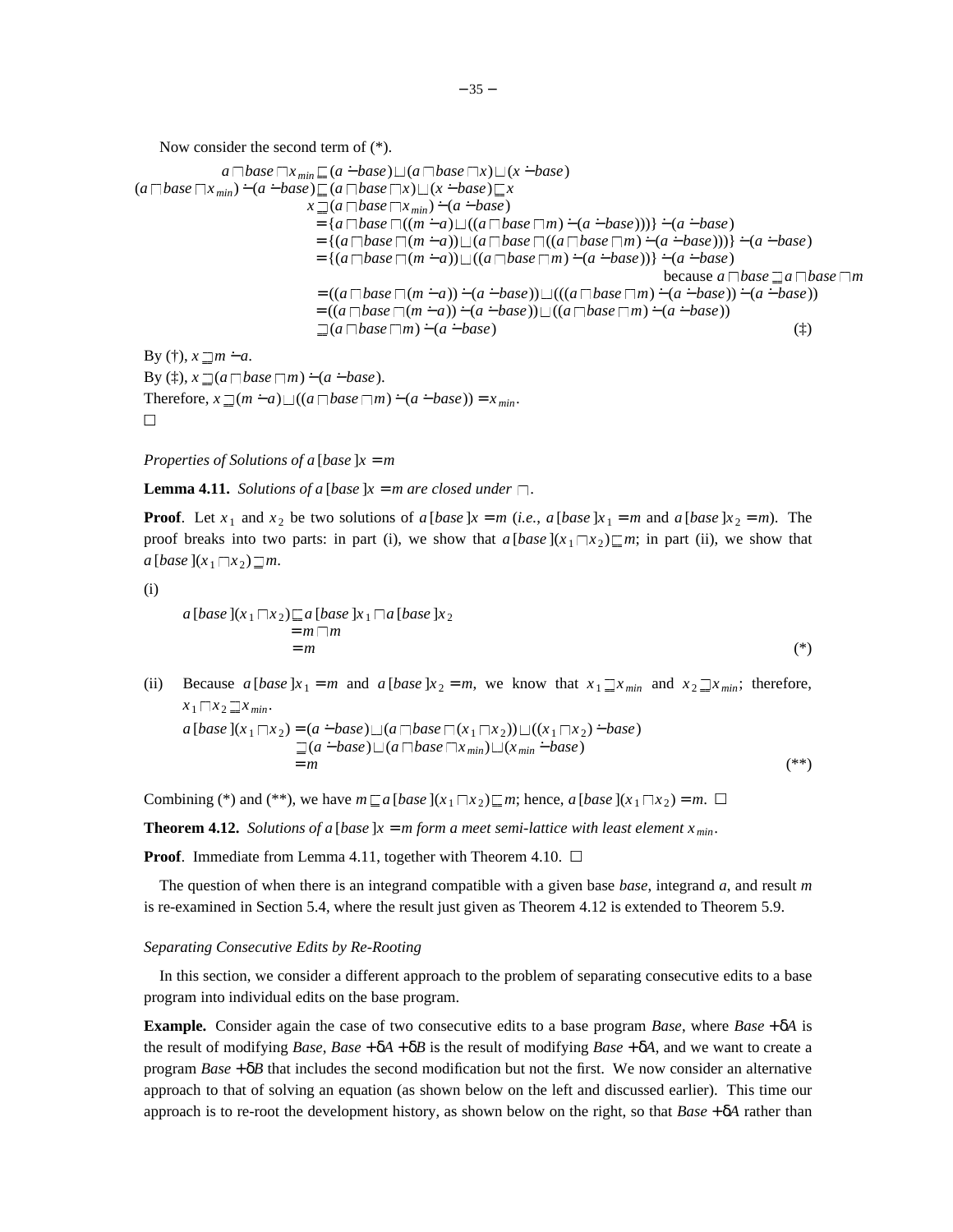Now consider the second term of (\*).

$$
a \sqcap base \sqcap x_{min} \sqsubseteq (a - base) \sqcup (a \sqcap base \sqcap x) \sqcup (x - base)
$$
\n
$$
(a \sqcap base \sqcap x_{min}) \doteq (a \sqcap base \sqcap x) \sqcup (x - base) \sqsubseteq x
$$
\n
$$
x \sqsupseteq (a \sqcap base \sqcap x_{min}) \doteq (a \sqcap base)
$$
\n
$$
= \{a \sqcap base \sqcap ((m - a) \sqcup ((a \sqcap base \sqcap m) \sqcup (a - base)))\} \doteq (a - base)
$$
\n
$$
= \{(a \sqcap base \sqcap (m - a)) \sqcup (a \sqcap base \sqcap ((a \sqcap base \sqcap m) \sqcap (a - base)))\} \doteq (a - base)
$$
\n
$$
= \{(a \sqcap base \sqcap (m - a)) \sqcup ((a \sqcap base \sqcap m) \sqcap (a - base))\} \doteq (a - base)
$$
\n
$$
= ((a \sqcap base \sqcap (m - a)) \sqcap (a - base)) \sqcup (((a \sqcap base \sqcap m) \sqcap (a - base)) \sqcap (a - base))
$$
\n
$$
= ((a \sqcap base \sqcap (m - a)) \sqcap (a - base)) \sqcup ((a \sqcap base \sqcap m) \sqcap (a - base))
$$
\n
$$
\sqcup (a \sqcap base \sqcap m) \sqcap (a - base)
$$
\n
$$
\sqcup (a \sqcap base \sqcap m) \sqcap (a - base)
$$
\n
$$
\sqcup (a \sqcap base \sqcap m) \sqcap (a - base)
$$
\n
$$
\sqcup (a \sqcap base \sqcap m) \sqcap (a - base)
$$
\n
$$
\sqcup (a \sqcap base \sqcap m) \sqcap (a - base)
$$
\n
$$
\sqcup (a \sqcap base \sqcap (a - base))
$$
\n
$$
\sqcap (a \sqcap base \sqcap (a - base))
$$
\n
$$
\sqcap (a \sqcap base \sqcap (a - base))
$$
\n
$$
\sqcap (a \sqcap base \sqcap (a - base))
$$
\n
$$
\sqcap (a \sqcap base \sqcap (a - base))
$$
\n
$$
\sqcap (a \sqcap base \sqcap (a - base))
$$
\n
$$
\sqcap (a \sqcap (a - base))
$$

 $\overline{B}$ y ( $\downarrow$ ),  $x \sqsupseteq (a \sqcap base \sqcap m) \negthinspace \doteq (a \neg base)$ . Therefore,  $x \sqsupseteq (m - a) \sqcup ((a \sqcap base \sqcap m) - (a - base)) = x_{min}$ .  $\Box$ 

*Properties of Solutions of a* [*base* ]*x* = *m*

**Lemma 4.11.** *Solutions of a* [*base* ] $x = m$  *are closed under*  $\Box$ .

**Proof**. Let  $x_1$  and  $x_2$  be two solutions of *a* [*base* ] $x = m$  (*i.e.*, *a* [*base* ] $x_1 = m$  and *a* [*base* ] $x_2 = m$ ). The proof breaks into two parts: in part (i), we show that  $a \in \text{base} \, (x_1 \cap x_2) \subseteq m$ ; in part (ii), we show that  $a$  [*base* ]( $x_1 \sqcap x_2$ )  $\sqsupseteq$  *m*.

(i)

 $a$  [*base* ]( $x_1 \sqcap x_2$ )  $\sqsubseteq a$  [*base* ] $x_1 \sqcap a$  [*base* ] $x_2$  $= m \sqcap m$ = *m* (\*)

(ii) Because *a* [*base* ] $x_1 = m$  and *a* [*base* ] $x_2 = m$ , we know that  $x_1 \supseteq x_{min}$  and  $x_2 \supseteq x_{min}$ ; therefore,  $x_1 \square x_2 \square x_{\text{min}}.$ 

$$
a [base ](x_1 \sqcap x_2) = (a - base) \sqcup (a \sqcap base \sqcap (x_1 \sqcap x_2)) \sqcup ((x_1 \sqcap x_2) - base)
$$
  
\n
$$
\sqsupseteq (a - base) \sqcup (a \sqcap base \sqcap x_{min}) \sqcup (x_{min} - base)
$$
  
\n
$$
= m
$$
\n
$$
(**)
$$

Combining (\*) and (\*\*), we have  $m \sqsubseteq a$  [*base* ]( $x_1 \sqcap x_2$ ) $\sqsubseteq m$ ; hence,  $a$  [*base* ]( $x_1 \sqcap x_2$ ) =  $m$ .  $\square$ 

**Theorem 4.12.** *Solutions of a* [*base* ] $x = m$  *form a meet semi-lattice with least element*  $x_{min}$ .

**Proof.** Immediate from Lemma 4.11, together with Theorem 4.10. □

The question of when there is an integrand compatible with a given base *base*, integrand *a*, and result *m* is re-examined in Section 5.4, where the result just given as Theorem 4.12 is extended to Theorem 5.9.

## *Separating Consecutive Edits by Re-Rooting*

In this section, we consider a different approach to the problem of separating consecutive edits to a base program into individual edits on the base program.

**Example.** Consider again the case of two consecutive edits to a base program *Base*, where *Base* + δ*A* is the result of modifying *Base*,  $Base + \delta A + \delta B$  is the result of modifying *Base* +  $\delta A$ , and we want to create a program  $Base + \delta B$  that includes the second modification but not the first. We now consider an alternative approach to that of solving an equation (as shown below on the left and discussed earlier). This time our approach is to re-root the development history, as shown below on the right, so that *Base* + δ*A* rather than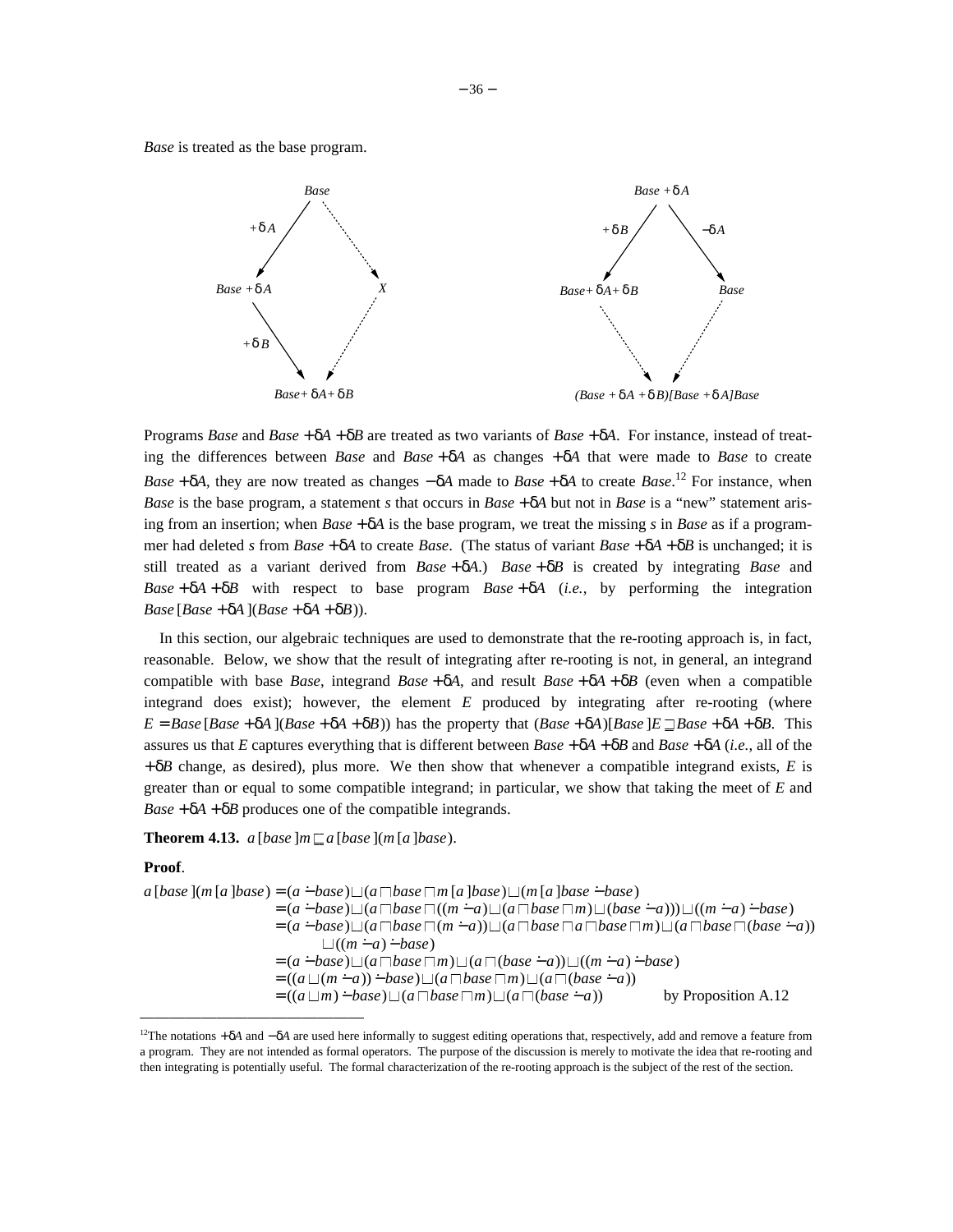*Base* is treated as the base program.



Programs *Base* and *Base* +  $\delta A$  +  $\delta B$  are treated as two variants of *Base* +  $\delta A$ . For instance, instead of treating the differences between *Base* and *Base* + δ*A* as changes + δ*A* that were made to *Base* to create  $Base + \delta A$ , they are now treated as changes  $-\delta A$  made to  $Base + \delta A$  to create  $Base$ .<sup>12</sup> For instance, when *Base* is the base program, a statement *s* that occurs in *Base* + δ*A* but not in *Base* is a "new" statement arising from an insertion; when *Base* + δ*A* is the base program, we treat the missing *s* in *Base* as if a programmer had deleted *s* from *Base* +  $\delta$ *A* to create *Base*. (The status of variant *Base* +  $\delta$ *A* +  $\delta$ *B* is unchanged; it is still treated as a variant derived from *Base* + δ*A*.) *Base* + δ*B* is created by integrating *Base* and  $Base + \delta A + \delta B$  with respect to base program  $Base + \delta A$  (*i.e.*, by performing the integration  $Base$  [*Base* +  $\delta$ *A* ](*Base* +  $\delta$ *A* +  $\delta$ *B*)).

In this section, our algebraic techniques are used to demonstrate that the re-rooting approach is, in fact, reasonable. Below, we show that the result of integrating after re-rooting is not, in general, an integrand compatible with base *Base*, integrand  $Base + \delta A$ , and result  $Base + \delta A + \delta B$  (even when a compatible integrand does exist); however, the element *E* produced by integrating after re-rooting (where  $E = Base [Base + \delta A](Base + \delta A + \delta B)$  has the property that  $(Base + \delta A)[Base]E \supseteq Base + \delta A + \delta B$ . This assures us that *E* captures everything that is different between *Base* + δ*A* + δ*B* and *Base* + δ*A* (*i.e.*, all of the + δ*B* change, as desired), plus more. We then show that whenever a compatible integrand exists, *E* is greater than or equal to some compatible integrand; in particular, we show that taking the meet of *E* and  $Base + \delta A + \delta B$  produces one of the compatible integrands.

**Theorem 4.13.**  $a$  [base ] $m \sqsubseteq a$  [base ]( $m$  [a ]base).

## **Proof**.

------------------

 $a$  [*base* ](*m* [*a* ]*base*) =  $(a - base) \sqcup (a \sqcap base \sqcap m$  [*a* ]*base*) $\sqcup (m$  [*a* ]*base*  $\div base)$  $=(a - base) \square (a \square base \square ((m - a) \square (a \square base \square m) \square (base - a))) \square ((m - a) - base)$  $=(a - base) \Box (a \Box base \Box (m - a)) \Box (a \Box base \Box m) \Box (a \Box base \Box (n - a))$  $\Box((m \div a) \div base)$  $=(a - base) \sqcup (a \sqcap base \sqcap m) \sqcup (a \sqcap (base - a)) \sqcup ((m - a) - base)$  $= ((a \sqcup (m - a)) - base) \sqcup (a \sqcap base \sqcap m) \sqcup (a \sqcap (base - a))$  $= ((a \perp m) - base) \perp (a \sqcap base \sqcap m) \perp (a \sqcap (base \rightarrow m))$ by Proposition A.12

and the contract of the contract of the contract of the contract of the contract of the contract of the contract of the contract of the contract of the contract of the contract of the contract of the contract of the contra

<sup>&</sup>lt;sup>12</sup>The notations +  $\delta A$  and −  $\delta A$  are used here informally to suggest editing operations that, respectively, add and remove a feature from a program. They are not intended as formal operators. The purpose of the discussion is merely to motivate the idea that re-rooting and then integrating is potentially useful. The formal characterization of the re-rooting approach is the subject of the rest of the section.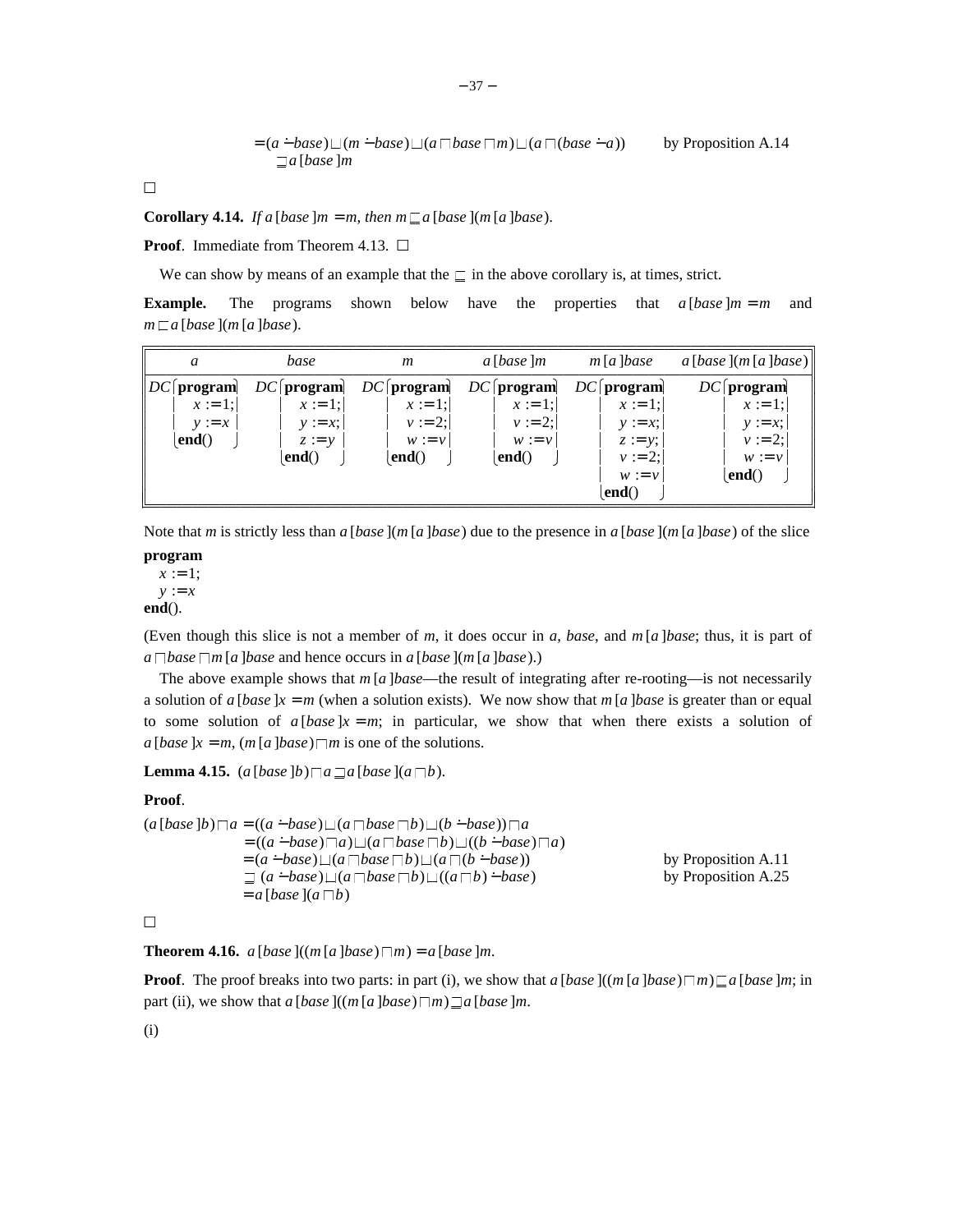$$
= (a - base) \sqcup (m - base) \sqcup (a \sqcap base \sqcap m) \sqcup (a \sqcap (base - a))
$$
 by Proposition A.14  

$$
\sqsupseteq a [base]m
$$

 $\Box$ 

**Corollary 4.14.** *If a* [*base* ]*m* = *m*, *then*  $m \sqsubseteq a$  [*base* ](*m* [*a* ]*base*).

**Proof.** Immediate from Theorem 4.13. □

We can show by means of an example that the  $\sqsubseteq$  in the above corollary is, at times, strict.

**Example.** The programs shown below have the properties that  $a \left[ base \right] m = m$  and  $m \sqsubseteq a$  [*base* ](*m* [*a* ]*base*).

|                | base                                                    | $\boldsymbol{m}$ |           |           | $a[base]$ m $[a]base$ a $[base]$ $(m[a]base)$ |
|----------------|---------------------------------------------------------|------------------|-----------|-----------|-----------------------------------------------|
| $DC$ [program] | $DC[program]$ $DC[program]$ $DC[program]$ $DC[program]$ |                  |           |           | $DC$ [program]                                |
| $x := 1;$      | $x := 1;$                                               | $x := 1;$        | $x := 1;$ | $x := 1;$ | $x := 1;$                                     |
| $y := x$       | $y := x$ ;                                              | $ v := 2;$       | $v := 2;$ | $y := x;$ | $y := x$ ;                                    |
| end()          | $z := y$                                                | $w := v$         | $w := v$  | $z := y;$ | $v := 2;$                                     |
|                | end()                                                   | end()            | end()     | $v := 2:$ | $w := v$                                      |
|                |                                                         |                  |           | $w := v$  | end()                                         |
|                |                                                         |                  |           | end()     |                                               |

Note that *m* is strictly less than *a* [*base* ](*m* [*a* ]*base*) due to the presence in *a* [*base* ](*m* [*a* ]*base*) of the slice

## **program**

 $x := 1;$ *y* := *x*

**end**().

(Even though this slice is not a member of *m*, it does occur in *a*, *base*, and *m* [*a* ]*base*; thus, it is part of  $a \Box base \Box m$  [*a* ]*base* and hence occurs in *a* [*base* ](*m* [*a* ]*base*).)

The above example shows that *m* [*a* ]*base*—the result of integrating after re-rooting—is not necessarily a solution of  $a$  [*base* ] $x = m$  (when a solution exists). We now show that  $m$  [ $a$  ]*base* is greater than or equal to some solution of  $a [base]x = m$ ; in particular, we show that when there exists a solution of  $a$  [*base* ] $x = m$ ,  $(m [a] base) \sqcap m$  is one of the solutions.

**Lemma 4.15.**  $(a [base]b) \sqcap a \sqsupseteq a [base](a \sqcap b)$ .

## **Proof**.

 $(a [base]b) \sqcap a = ((a \div base) \sqcup (a \sqcap base \sqcap b) \sqcup (b \div base)) \sqcap a$  $=( (a - base) \square a) \square (a \square base \square b) \square ((b - base) \square a)$  $= (a - base) \sqcup (a \sqcap base \sqcap b) \sqcup (a \sqcap (b - a))$ by Proposition A.11  $\Box$   $(a - base) \Box (a \Box base \Box b) \Box ((a \Box b) \Box (a \Box b))$ by Proposition A.25  $= a$  [*base* ]( $a \sqcap b$ )

 $\Box$ 

**Theorem 4.16.**  $a$  [*base* ]((*m* [*a* ]*base*) $\Box$ *m*) =  $a$  [*base*]*m*.

**Proof**. The proof breaks into two parts: in part (i), we show that *a* [*base* ]((*m* [*a* ]*base*)  $\sqcap$ *m*)  $\sqsubseteq$  *a* [*base* ]*m*; in part (ii), we show that *a* [*base* ]((*m* [*a* ]*base*) $\Box$ *m*) $\Box$ *a* [*base*]*m*.

(i)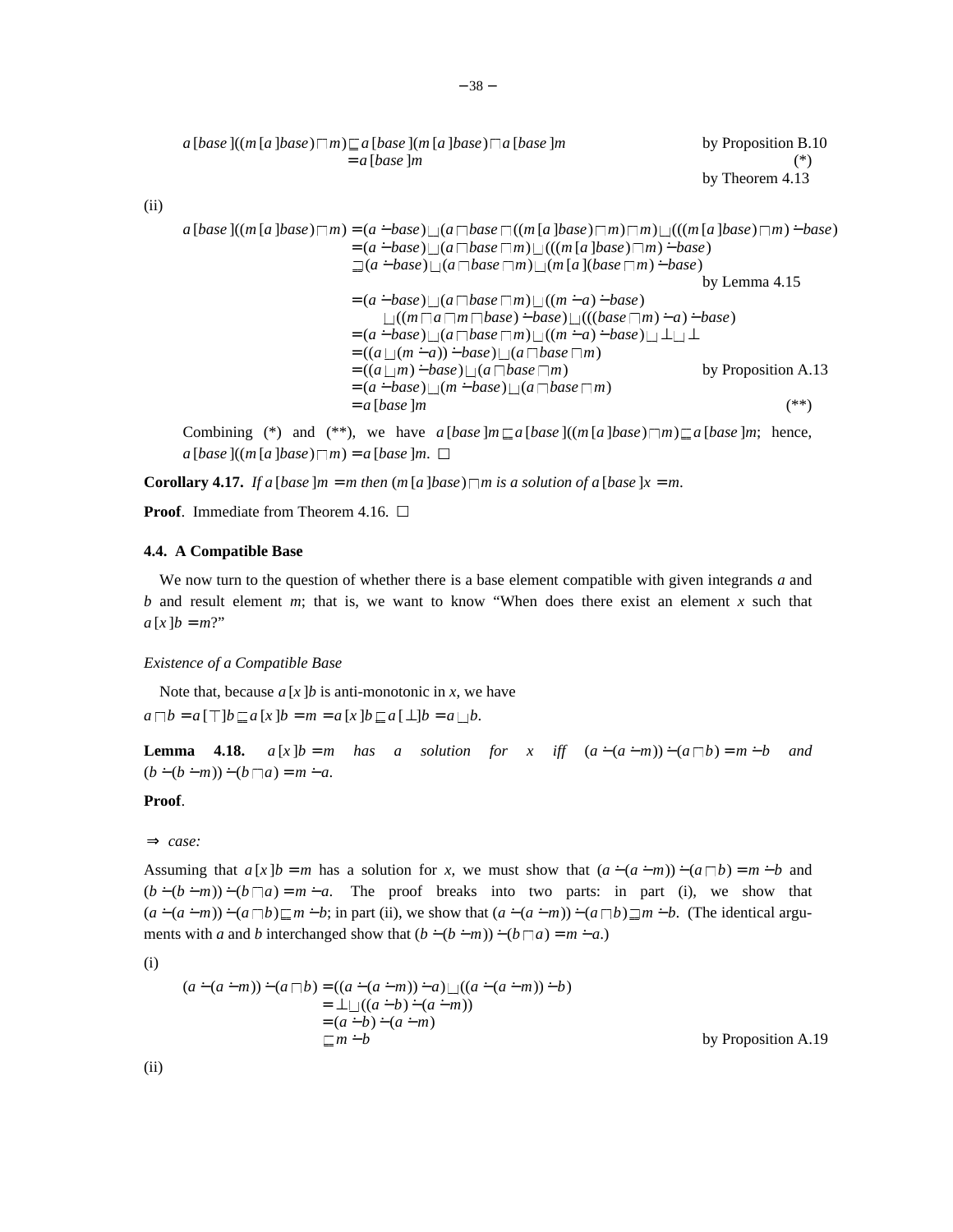|      | a [base ]((m [a ]base) $\sqcap m$ ) $\sqsubseteq a$ [base ](m [a ]base) $\sqcap a$ [base ]m<br>$= a$ [ <i>base</i> ] <i>m</i>                | by Proposition B.10<br>(*) |
|------|----------------------------------------------------------------------------------------------------------------------------------------------|----------------------------|
|      |                                                                                                                                              | by Theorem 4.13            |
| (ii) |                                                                                                                                              |                            |
|      | a [base]((m [a ]base) $\sqcap m$ ) = (a - base)   (a $\sqcap$ base $\sqcap$ ((m [a ]base) $\sqcap m$ )   (((m [a ]base) $\sqcap m$ ) - base) |                            |
|      | $=(a - base) \mid (a \sqcap base \sqcap m) \mid (((m \ulcorner a \urcorner base) \sqcap m) - base)$                                          |                            |
|      | $\Box(a \div base) \Box (a \Box base \Box m) \Box (m \Box (base \Box m) \div base)$                                                          |                            |
|      |                                                                                                                                              | by Lemma 4.15              |
|      | $=(a - base) \mid (a \cap base \cap m) \mid ((m - a) - base)$                                                                                |                            |
|      | $\Box ((m \Box a \Box m \Box base) \div base) \Box ((base \Box m) \div a) \div base)$                                                        |                            |
|      | $=(a - base) \mid (a \cap base \cap m) \mid ((m - a) - base) \mid \perp \mid \perp$                                                          |                            |
|      | $= ((a \mid ((m \dot{-} a)) \dot{-} base) \mid ((a \sqcap base \sqcap m))$                                                                   |                            |
|      | $= ((a \mid m) \div base) \mid (a \sqcap base \sqcap m)$                                                                                     | by Proposition A.13        |
|      | $=(a - base) \mid ((m - base) \mid ((a - base - m))$                                                                                         |                            |

Combining (\*) and (\*\*), we have  $a \in \mathbb{R}$  *a*  $[base \in \mathbb{R} \setminus \mathbb{R}$  *((m*  $[a \cdot \mathbb{R} \cdot \mathbb{R} \setminus \mathbb{R} \setminus \mathbb{R}$  *a*  $[base \cdot \mathbb{R} \cdot \mathbb{R} \cdot \mathbb{R} \cdot \mathbb{R} \cdot \mathbb{R} \cdot \mathbb{R} \cdot \mathbb{R} \cdot \mathbb{R} \cdot \mathbb{R} \cdot \mathbb{R} \cdot \mathbb{R} \cdot \mathbb{R} \cdot \math$  $a$  [*base* ]((*m* [*a* ]*base*) $\sqcap$ *m*) = *a* [*base*]*m*.  $\square$ 

 $= a$  [*base* ]*m* (\*\*)

**Corollary 4.17.** *If a* [*base* ]*m* = *m then* (*m* [*a* ]*base*)  $\Box$ *m is a solution of a* [*base* ]*x* = *m*.

**Proof.** Immediate from Theorem 4.16. □

## **4.4. A Compatible Base**

We now turn to the question of whether there is a base element compatible with given integrands *a* and *b* and result element *m*; that is, we want to know "When does there exist an element *x* such that  $a[x]b = m$ ?"

#### *Existence of a Compatible Base*

Note that, because  $a[x]b$  is anti-monotonic in *x*, we have  $a \Box b = a [\top] b \sqsubseteq a [x] b = m = a [x] b \sqsubseteq a [\bot] b = a \sqcup b.$ 

**Lemma 4.18.**  $a[x]b = m$  has a solution for x iff  $(a \div (a \div m)) \div (a \cap b) = m \div b$  and  $(b \div (b \div m)) \div (b \Box a) = m \div a.$ 

## **Proof**.

⇒ *case:*

Assuming that  $a[x]b = m$  has a solution for *x*, we must show that  $(a \div (a \div m)) \div (a \cap b) = m \div b$  and  $(b-(b-m)) - (b \cap a) = m-a$ . The proof breaks into two parts: in part (i), we show that  $(a-(a-m)) - (a \square b) \square m - b$ ; in part (ii), we show that  $(a-(a-m)) - (a \square b) \square m - b$ . (The identical arguments with *a* and *b* interchanged show that  $(b \div (b \div m)) \div (b \cap a) = m \div a$ .

$$
\rm(i)
$$

$$
(a \div (a \div m)) \div (a \cap b) = ((a \div (a \div m)) \div a) \sqcup ((a \div (a \div m)) \div b)
$$
  
=  $\bot \sqcup ((a \div b) \div (a \div m))$   
=  $(a \div b) \div (a \div m)$   
 $\sqsubseteq m \div b$  by Proposition A.19

(ii)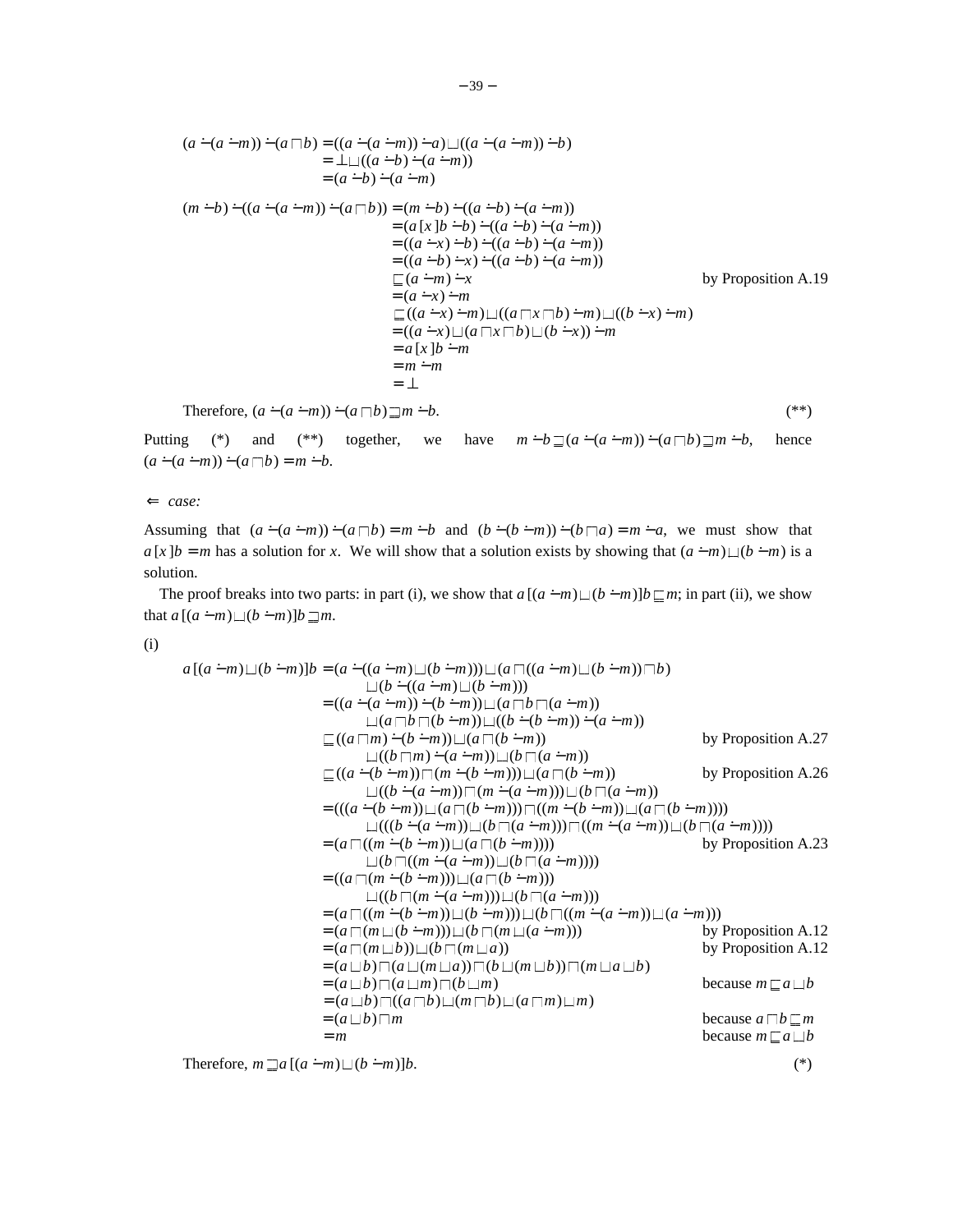$$
(a \div (a \div m)) \div (a \cap b) = ((a \div (a \div m)) \div a) \sqcup ((a \div (a \div m)) \div b)
$$
  
\n
$$
= \bot \sqcup ((a \div b) \div (a \div m))
$$
  
\n
$$
= (a \div b) \div (a \div m)
$$
  
\n
$$
(m \div b) \div ((a \div (a \div m)) \div (a \cap b)) = (m \div b) \div ((a \div b) \div (a \div m))
$$
  
\n
$$
= (a [x]b \div b) \div ((a \div b) \div (a \div m))
$$
  
\n
$$
= ((a \div x) \div b) \div ((a \div b) \div (a \div m))
$$
  
\n
$$
= ((a \div b) \div x) \div ((a \div b) \div (a \div m))
$$
  
\n
$$
\sqcup ((a \div b) \div x) \div ((a \div b) \div (a \div m))
$$
  
\n
$$
= (a \div x) \div m
$$
  
\n
$$
\sqcup ((a \div x) \div m) \sqcup ((a \top x \top b) \div m) \sqcup ((b \div x) \div m)
$$
  
\n
$$
= ((a \div x) \bot m) \sqcup ((a \top x \top b) \bot m) \sqcup ((b \div x) \div m)
$$
  
\n
$$
= a [x]b \div m
$$
  
\n
$$
= m \div m
$$
  
\n
$$
= \bot
$$

Therefore, 
$$
(a \div (a \div m)) \div (a \sqcap b) \sqsupseteq m \div b
$$
.  $(^{**})$ 

Putting (\*) and (\*\*) together, we  $\div b \sqsupseteq (a \div (a \div m)) \div (a \sqcap b) \sqsupseteq m \div$ − *b*, hence  $(a \div (a \div m)) \div (a \Box b) = m \div b.$ 

⇐ *case:*

Assuming that  $(a \div (a \div m)) \div (a \cap b) = m \div b$  and  $(b \div (b \div m)) \div (b \cap a) = m \div a$ , we must show that  $a[x]b = m$  has a solution for *x*. We will show that a solution exists by showing that  $(a \div m) \sqcup (b \div m)$  is a solution.

The proof breaks into two parts: in part (i), we show that  $a[(a-m)\sqcup(b-m)]b\sqsubseteq m$ ; in part (ii), we show that  $a[(a-m)\sqcup(b-m)]b \sqsupseteq m$ .

(i)

$$
a[(a-m) \sqcup (b-m)]b = (a-(a-m) \sqcup (b-m)) \sqcup (a \sqcap ((a-m) \sqcup (b-m)) \sqcap b)
$$
  
\n
$$
= ((a-(a-m) \rightarrow (b-m)) \sqcup (a \sqcap b \sqcap (a-m))
$$
  
\n
$$
\sqcup (a \sqcap b \sqcap (b-m)) \sqcup (a \sqcap (b \sqcap a))
$$
  
\n
$$
\sqcup ((a \sqcap m) \rightarrow (b-m)) \sqcup (a \sqcap (b-m))
$$
  
\n
$$
\sqcup ((b \sqcap m) \rightarrow (a-m)) \sqcup (b \sqcap (a-m))
$$
  
\n
$$
\sqcup ((b \vdash (a-m)) \sqcap (m-(b-m)) \sqcap (b-m))
$$
  
\n
$$
\sqcup ((b \vdash (a-m)) \sqcap (m-(a-m)) \sqcap (b-m))
$$
  
\n
$$
= ((a \rightarrow (b-m)) \sqcap (m-(a-m)) \sqcap (b-m))
$$
  
\n
$$
= ((a \rightarrow (b-m)) \sqcup (a \sqcap (b-m)) \sqcap ((m-(a-m)) \sqcup (b \sqcap (a-m)))
$$
  
\n
$$
= (a \sqcap ((m \rightarrow (b-m)) \sqcup (a \sqcap (b-m)))
$$
  
\n
$$
= (a \sqcap ((m \rightarrow (b-m)) \sqcup (a \sqcap (b-m)))
$$
  
\n
$$
= (a \sqcap (m \rightarrow (b-m)) \sqcup (a \sqcap (b-m)))
$$
  
\n
$$
= (a \sqcap (m \sqcup (b-m)) \sqcup (a \sqcap (b-m)))
$$
  
\n
$$
= (a \sqcap (m \sqcup (b-m)) \sqcup (a \sqcap (b-m)))
$$
  
\n
$$
= (a \sqcap (m \sqcup b)) \sqcup (a \sqcap (b-m))
$$
  
\n
$$
= (a \sqcap (m \sqcup b)) \sqcup (b \sqcap (m \sqcup a))
$$
  
\n
$$
= (a \sqcap (m \sqcup b)) \sqcup (b \sqcap (m \sqcup a))
$$
  
\n
$$
= (a \sqcap (m \sqcup b)) \sqcap (b \sqcap (m \sqcup a))
$$
  
\n
$$
= (a \sqcap (m \sqcup b)) \sqcap (
$$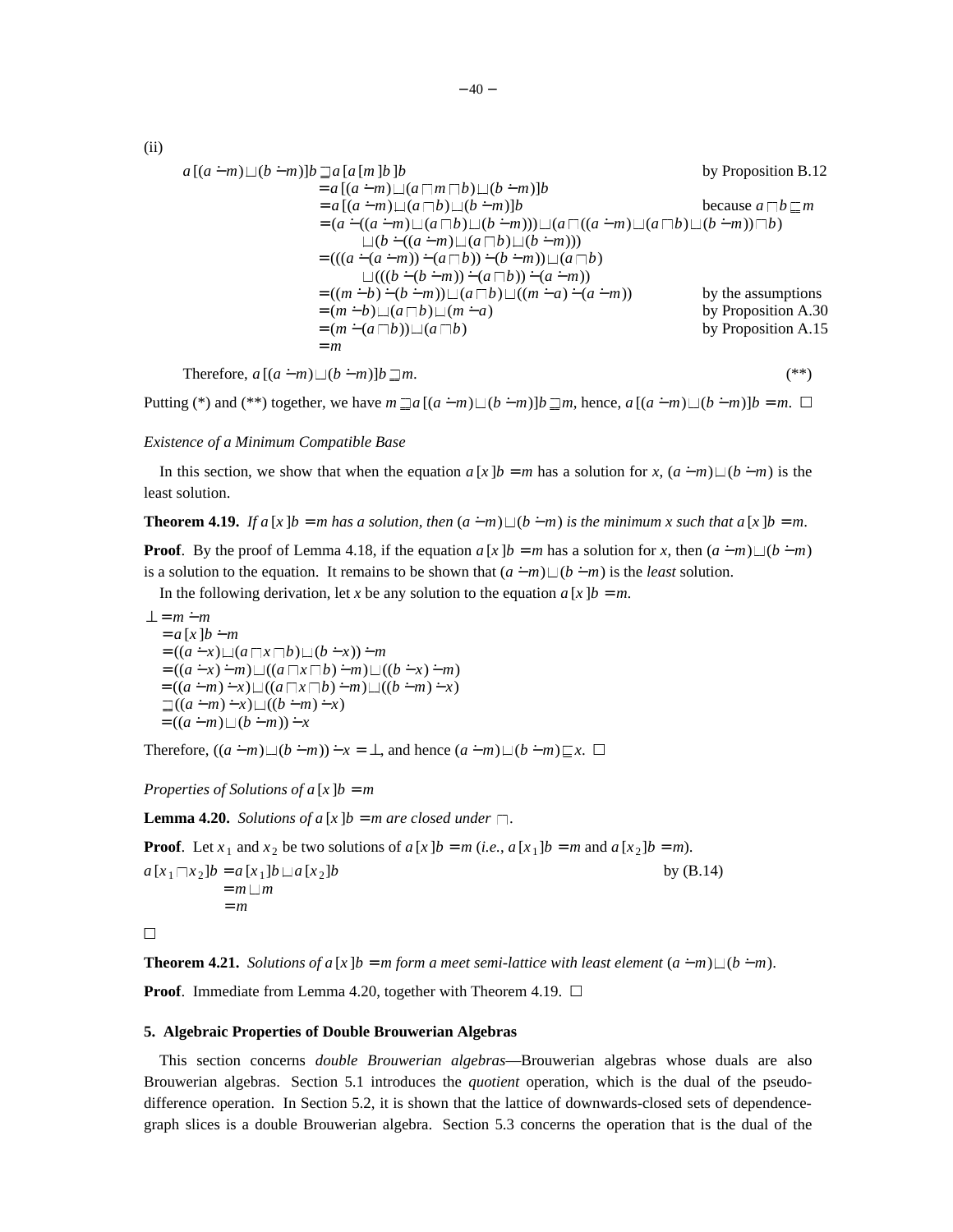(ii)

$$
a[(a-m)\sqcup (b-m)]b \sqsupseteq a[a[m]b]b
$$
by Proposition B.12  
\n
$$
= a[(a-m)\sqcup (a\sqcap m\sqcap b)\sqcup (b-m)]b
$$
  
\n
$$
= a[(a-m)\sqcup (a\sqcap b)\sqcup (b-m)]b
$$
  
\n
$$
= (a-(a-m)\sqcup (a\sqcap b)\sqcup (b-m)))\sqcup (a\sqcap ((a-m)\sqcup (a\sqcap b)\sqcup (b-m))\sqcap b)
$$
  
\n
$$
\sqcup (b-(a-m)\sqcup (a\sqcap b)\sqcup (b-m)))
$$
  
\n
$$
= (((a-(a-m))-(a\sqcap b))-(b-m))\sqcup (a\sqcap b)
$$
  
\n
$$
\sqcup (((b-(b-m))-(a\sqcap b))-(a-m))
$$
  
\n
$$
= ((m-b)\sqcup (a\sqcap b)\sqcup (m-a)
$$
  
\n
$$
= (m-b)\sqcup (a\sqcap b)\sqcup (m-a)
$$
  
\n
$$
= (m-(a\sqcap b))\sqcup (a\sqcap b)
$$
  
\n
$$
= m
$$
by Proposition A.15  
\nby Proposition A.15  
\nby Proposition A.15

Therefore,  $a[(a-m)\sqcup(b-m)]b \sqsupseteq m$ . (\*\*)

Putting (\*) and (\*\*) together, we have  $m \sqsupseteq a$   $[(a \div m) \sqcup (b \div m)]b \sqsupseteq m$ , hence,  $a$   $[(a \div m) \sqcup (b \div m)]b = m$ .  $\Box$ 

#### *Existence of a Minimum Compatible Base*

In this section, we show that when the equation  $a[x]b = m$  has a solution for  $x$ ,  $(a-m) \sqcup (b-m)$  is the least solution.

**Theorem 4.19.** If  $a[x]b = m$  has a solution, then  $(a-m) \sqcup (b-m)$  is the minimum x such that  $a[x]b = m$ .

**Proof**. By the proof of Lemma 4.18, if the equation  $a[x]b = m$  has a solution for *x*, then  $(a \div m) \sqcup (b \div m)$ is a solution to the equation. It remains to be shown that  $(a-m) \sqcup (b-m)$  is the *least* solution.

In the following derivation, let *x* be any solution to the equation  $a[x]b = m$ .

 $\perp$  =  $m \div m$ = *a* [*x* ]*b .* − *m*  $=(a \pm x) \sqcup (a \sqcap x \sqcap b) \sqcup (b \pm x)) \div m$  $= ((a - x) - m) \square ((a \square x \square b) - m) \square ((b - x) - m)$  $= ((a - m) - x) \sqcup ((a \sqcap x \sqcap b) - m) \sqcup ((b - m) - x)$  $\Box((a-m)-x)\Box((b-m)-x)$  $=( (a-m) \sqcup (b-m)) \doteq x$ <br>=  $( (a-m) \sqcup (b-m)) \doteq x$ 

Therefore,  $((a \div m) \sqcup (b \div m)) \div x = \bot$ , and hence  $(a \div m) \sqcup (b \div m) \sqsubseteq x$ .  $\square$ 

*Properties of Solutions of a*  $[x]$ *b* = *m* 

**Lemma 4.20.** *Solutions of a*  $[x]$ *b* = *m are closed under*  $\Box$ .

**Proof**. Let  $x_1$  and  $x_2$  be two solutions of  $a[x]b = m$  (*i.e.*,  $a[x_1]b = m$  and  $a[x_2]b = m$ ).  $a[x_1 \sqcap x_2]b = a[x_1]b \sqcup a[x_2]$  $b$ y (B.14)  $= m \sqcup m$ = *m*

 $\Box$ 

**Theorem 4.21.** Solutions of a [x]  $b = m$  form a meet semi-lattice with least element  $(a - m) \Box (b - m)$ .

**Proof.** Immediate from Lemma 4.20, together with Theorem 4.19. □

#### **5. Algebraic Properties of Double Brouwerian Algebras**

This section concerns *double Brouwerian algebras*—Brouwerian algebras whose duals are also Brouwerian algebras. Section 5.1 introduces the *quotient* operation, which is the dual of the pseudodifference operation. In Section 5.2, it is shown that the lattice of downwards-closed sets of dependencegraph slices is a double Brouwerian algebra. Section 5.3 concerns the operation that is the dual of the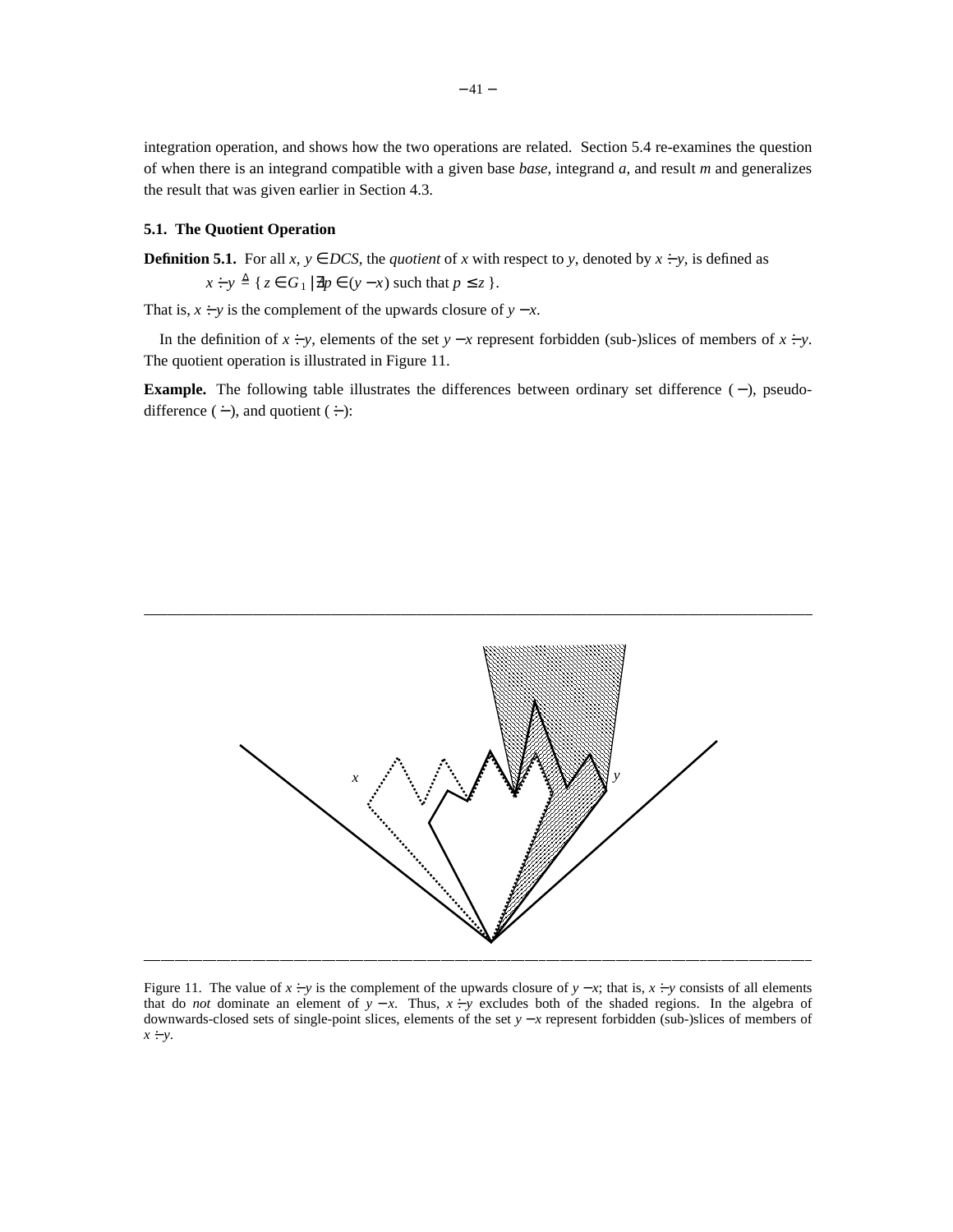integration operation, and shows how the two operations are related. Section 5.4 re-examines the question of when there is an integrand compatible with a given base *base*, integrand *a*, and result *m* and generalizes the result that was given earlier in Section 4.3.

## **5.1. The Quotient Operation**

-

**Definition 5.1.** For all *x*,  $y \in DCS$ , the *quotient* of *x* with respect to *y*, denoted by  $x \div y$ , is defined as *.* <sup>∆</sup>*=* { *z* ∈ *G*<sup>1</sup> | ∃*/ p* ∈ (*y* − *x*) such that *p* ≤ *z* }.

$$
x \div y \triangleq \{ z \in G_1 \mid \exists p \in (y - x) \text{ such that } p \leq z \}
$$

That is,  $x \div y$  is the complement of the upwards closure of  $y - x$ .

In the definition of  $x \div y$ , elements of the set  $y - x$  represent forbidden (sub-)slices of members of  $x \div y$ . The quotient operation is illustrated in Figure 11.

**Example.** The following table illustrates the differences between ordinary set difference (−), pseudodifference  $(\div)$ , and quotient  $(\div)$ :



Figure 11. The value of  $x \div y$  is the complement of the upwards closure of  $y - x$ ; that is,  $x \div y$  consists of all elements that do *not* dominate an element of *y* − *x*. Thus,  $x \div y$  excludes both of the shaded regions. In the algebra of downwards-closed sets of single-point slices, elements of the set *y* − *x* represent forbidden (sub-)slices of members of  $x \div y$ .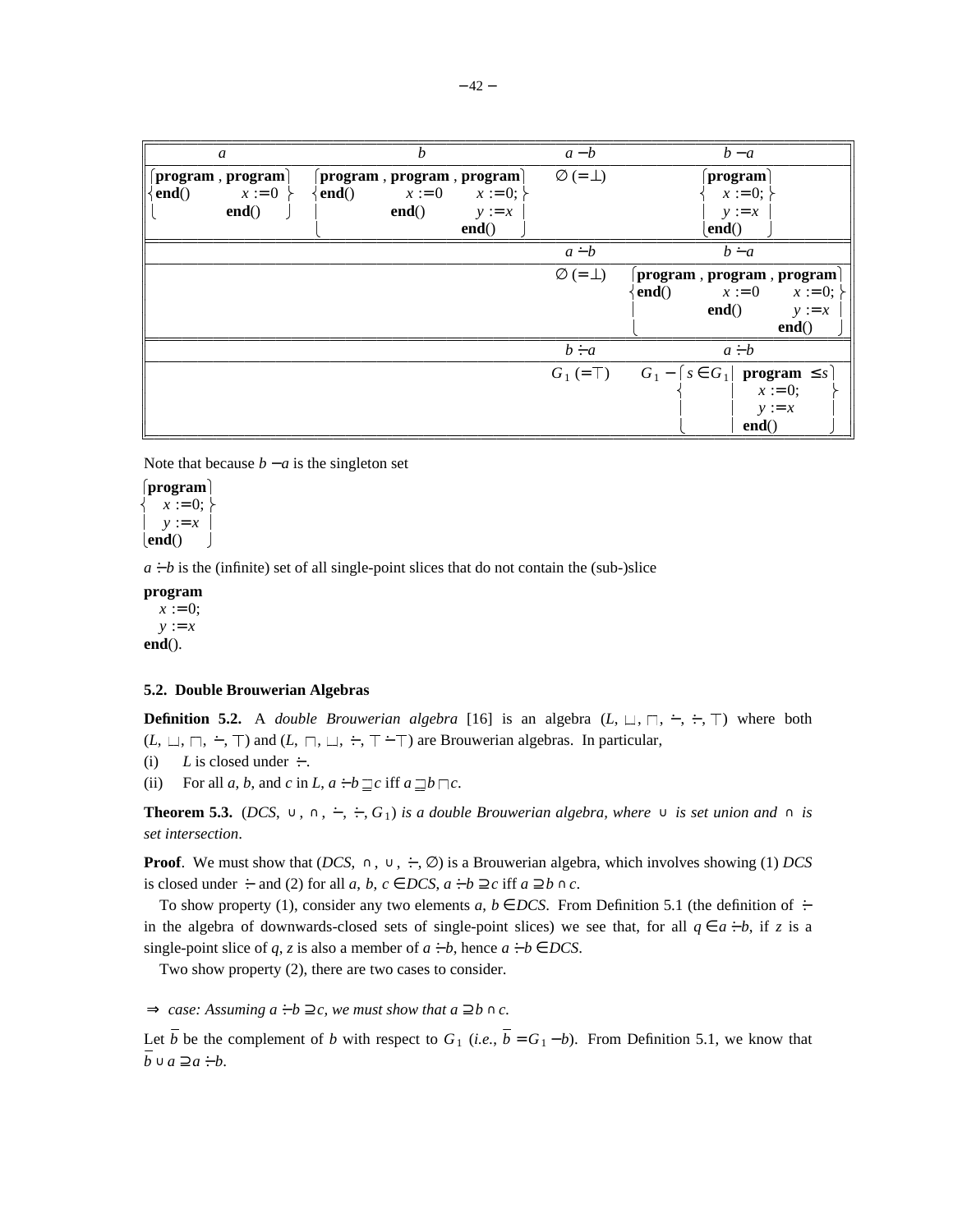| $b-a$                                                                                             | $a-b$                      | b                                                                                                                       | $\boldsymbol{a}$                                  |
|---------------------------------------------------------------------------------------------------|----------------------------|-------------------------------------------------------------------------------------------------------------------------|---------------------------------------------------|
| program]<br>$x := 0;$<br>$y := x$<br>$\mathbf{end}()$                                             | $\varnothing$ (= $\perp$ ) | program , program , program  <br>$x := 0$<br>$x := 0;$<br>$\langle$ end $\langle \rangle$<br>end()<br>$y := x$<br>end() | program , program  <br>$x := 0$<br>end()<br>end() |
| $b \div a$                                                                                        | $a - b$                    |                                                                                                                         |                                                   |
| program, program, program<br>end()<br>$x := 0$<br>$x := 0;$<br>end()<br>$y := x$<br>end()         | $\varnothing$ (= $\perp$ ) |                                                                                                                         |                                                   |
| $a \div b$                                                                                        | $b \div a$                 |                                                                                                                         |                                                   |
| $G_1 (= \top)$ $G_1 - \lceil s \in G_1 \rceil$ program $\leq s$<br>$x := 0;$<br>$y := x$<br>end() |                            |                                                                                                                         |                                                   |

-Note that because  $b - a$  is the singleton set

------------------------------------------------

 **program**  $\left\{ x := 0; \right\}$  *y* := *x* **end**()

----------

 $a \div b$  is the (infinite) set of all single-point slices that do not contain the (sub-)slice

**program**  $x := 0;$ *y* := *x* **end**().

### **5.2. Double Brouwerian Algebras**

**Definition 5.2.** A *double Brouwerian algebra* [16] is an algebra  $(L, \Box, \Box, \div, \div, \top)$  where both  $(L, \Box, \Box, \div, \top)$  and  $(L, \Box, \Box, \div, \top \div \top)$  are Brouwerian algebras. In particular,

(i)  $L$  is closed under  $\div$ .

(ii) For all *a*, *b*, and *c* in *L*,  $a \div b \sqsupseteq c$  iff  $a \sqsupseteq b \sqcap c$ .

**Theorem 5.3.** (DCS,  $\cup$ ,  $\cap$ ,  $\div$ ,  $\div$ ,  $G_1$ ) is a double Brouwerian algebra, where  $\cup$  is set union and  $\cap$  is *set intersection*.

**Proof.** We must show that  $(DCS, \cap, \cup, \div, \emptyset)$  is a Brouwerian algebra, which involves showing (1) *DCS* is closed under  $\div$  and (2) for all *a*, *b*, *c*  $\in$  *DCS*, *a* $\div$ *b* $\supseteq$ *c* iff *a* $\supseteq$ *b* $\cap$ *c*.

To show property (1), consider any two elements  $a, b \in DCS$ . From Definition 5.1 (the definition of  $\div$ in the algebra of downwards-closed sets of single-point slices) we see that, for all  $q \in a \div b$ , if *z* is a single-point slice of *q*, *z* is also a member of  $a \div b$ , hence  $a \div b \in DCS$ .

Two show property (2), there are two cases to consider.

 $\Rightarrow$  *case:* Assuming  $a \div b \supseteq c$ , we must show that  $a \supseteq b \cap c$ .

Let *b* be the complement of *b* with respect to  $G_1$  (*i.e.*,  $b = G_1 - b$ ). From Definition 5.1, we know that  $\overline{b}$  ∪ *a* ⊇ *a* ÷ *b*.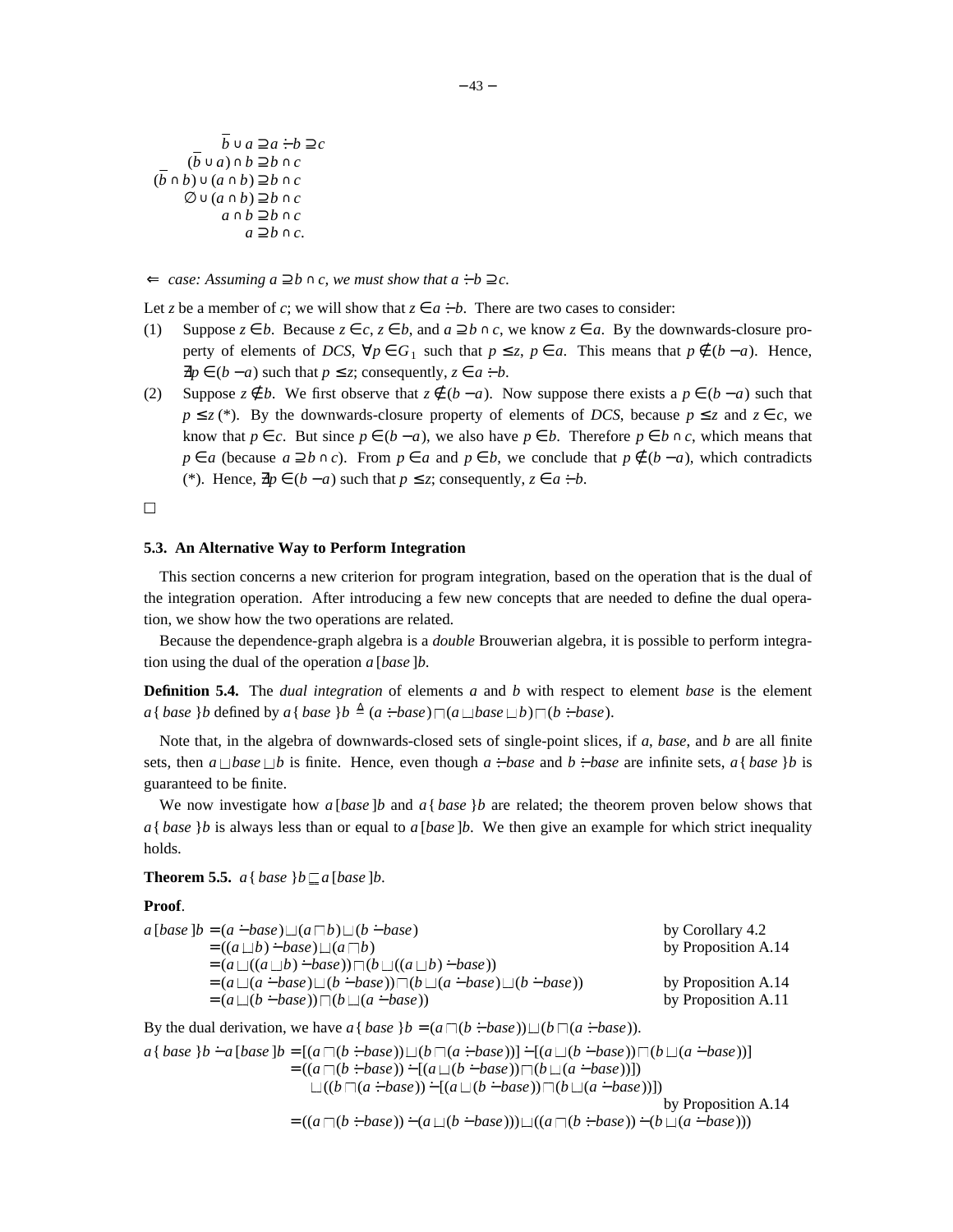$$
\bar{b} \cup a \supseteq a \div b \supseteq c
$$
\n
$$
(\bar{b} \cup a) \cap b \supseteq b \cap c
$$
\n
$$
(\bar{b} \cap b) \cup (a \cap b) \supseteq b \cap c
$$
\n
$$
\emptyset \cup (a \cap b) \supseteq b \cap c
$$
\n
$$
a \cap b \supseteq b \cap c
$$
\n
$$
a \supseteq b \cap c.
$$
\n
$$
a \supseteq b \cap c.
$$

 $\Leftarrow$  *case:* Assuming  $a \supseteq b \cap c$ , we must show that  $a \div b \supseteq c$ .

Let *z* be a member of *c*; we will show that  $z \in a \div b$ . There are two cases to consider:

- (1) Suppose  $z \in b$ . Because  $z \in c$ ,  $z \in b$ , and  $a \supseteq b \cap c$ , we know  $z \in a$ . By the downwards-closure property of elements of *DCS*,  $\forall p \in G_1$  such that  $p \leq z$ ,  $p \in a$ . This means that  $p \notin (b-a)$ . Hence,  $\exists p \in (b - a)$  such that  $p \leq z$ ; consequently,  $z \in a \div b$ .
- (2) Suppose  $z \notin b$ . We first observe that  $z \notin (b-a)$ . Now suppose there exists a  $p \in (b-a)$  such that  $p \leq z$  (\*). By the downwards-closure property of elements of *DCS*, because  $p \leq z$  and  $z \in c$ , we know that  $p \in c$ . But since  $p \in (b - a)$ , we also have  $p \in b$ . Therefore  $p \in b \cap c$ , which means that *p* ∈ *a* (because  $a ⊇ b ∩ c$ ). From  $p ∈ a$  and  $p ∈ b$ , we conclude that  $p ∉ (b - a)$ , which contradicts (\*). Hence,  $\overline{z}p \in (b-a)$  such that  $p \leq z$ ; consequently,  $z \in a \div b$ .

 $\Box$ 

## **5.3. An Alternative Way to Perform Integration**

This section concerns a new criterion for program integration, based on the operation that is the dual of the integration operation. After introducing a few new concepts that are needed to define the dual operation, we show how the two operations are related.

Because the dependence-graph algebra is a *double* Brouwerian algebra, it is possible to perform integration using the dual of the operation *a* [*base* ]*b*.

**Definition 5.4.** The *dual integration* of elements *a* and *b* with respect to element *base* is the element  $a\{ \text{base } \}b \text{ defined by } a\{ \text{base } \}b \triangleq (a \div base) \cap (a \sqcup base \sqcup b) \cap (b \div base).$ 

Note that, in the algebra of downwards-closed sets of single-point slices, if *a*, *base*, and *b* are all finite sets, then  $a \perp b$  *ase*  $\perp b$  is finite. Hence, even though  $a \div b$  ase and  $b \div b$  ase are infinite sets,  $a \up\{ \text{base } \}$ *b* is guaranteed to be finite.

We now investigate how  $a$  [*base* ]*b* and  $a$ { *base* }*b* are related; the theorem proven below shows that  $a\{\text{base}\}\$ b is always less than or equal to  $a\{\text{base}\}\$ b. We then give an example for which strict inequality holds.

**Theorem 5.5.**  $a \{ base \} b \sqsubseteq a [base] b$ .

## **Proof**.

$$
a [base ]b = (a - base) \sqcup (a \sqcap b) \sqcup (b - base)
$$
  
\n
$$
= ((a \sqcup b) - base) \sqcup (a \sqcap b)
$$
  
\n
$$
= (a \sqcup ((a \sqcup b) - base)) \sqcap (b \sqcup ((a \sqcup b) - base))
$$
  
\n
$$
= (a \sqcup (a - base) \sqcup (b - base)) \sqcap (b \sqcup (a - base)) \sqcup (b - base))
$$
  
\n
$$
= (a \sqcup (b - base)) \sqcap (b \sqcup (a - base))
$$
  
\nby Proposition A.14  
\nby Proposition A.11  
\nby Proposition A.11

By the dual derivation, we have  $a\{base\}b = (a \sqcap (b \div base)) \sqcup (b \sqcap (a \div base)).$ 

$$
a\{ \text{ base } \}b \doteq a\{ \text{ base } \}b = [(a \sqcap (b \div base)) \sqcup (b \sqcap (a \div base))] \doteq [(a \sqcup (b \div base)) \sqcap (b \sqcup (a \div base))]
$$
  
\n
$$
= ((a \sqcap (b \div base)) \doteq [(a \sqcup (b \div base)) \sqcap (b \sqcup (a \div base))])
$$
  
\n
$$
\sqcup ((b \sqcap (a \div base)) \doteq [(a \sqcup (b \div base)) \sqcap (b \sqcup (a \div base))])
$$
  
\nby Proposition A.14  
\n
$$
= ((a \sqcap (b \div base)) \doteq (a \sqcup (b \div base)) \sqcup ((a \sqcap (b \div base)) \doteq (b \sqcup (a \div base)))
$$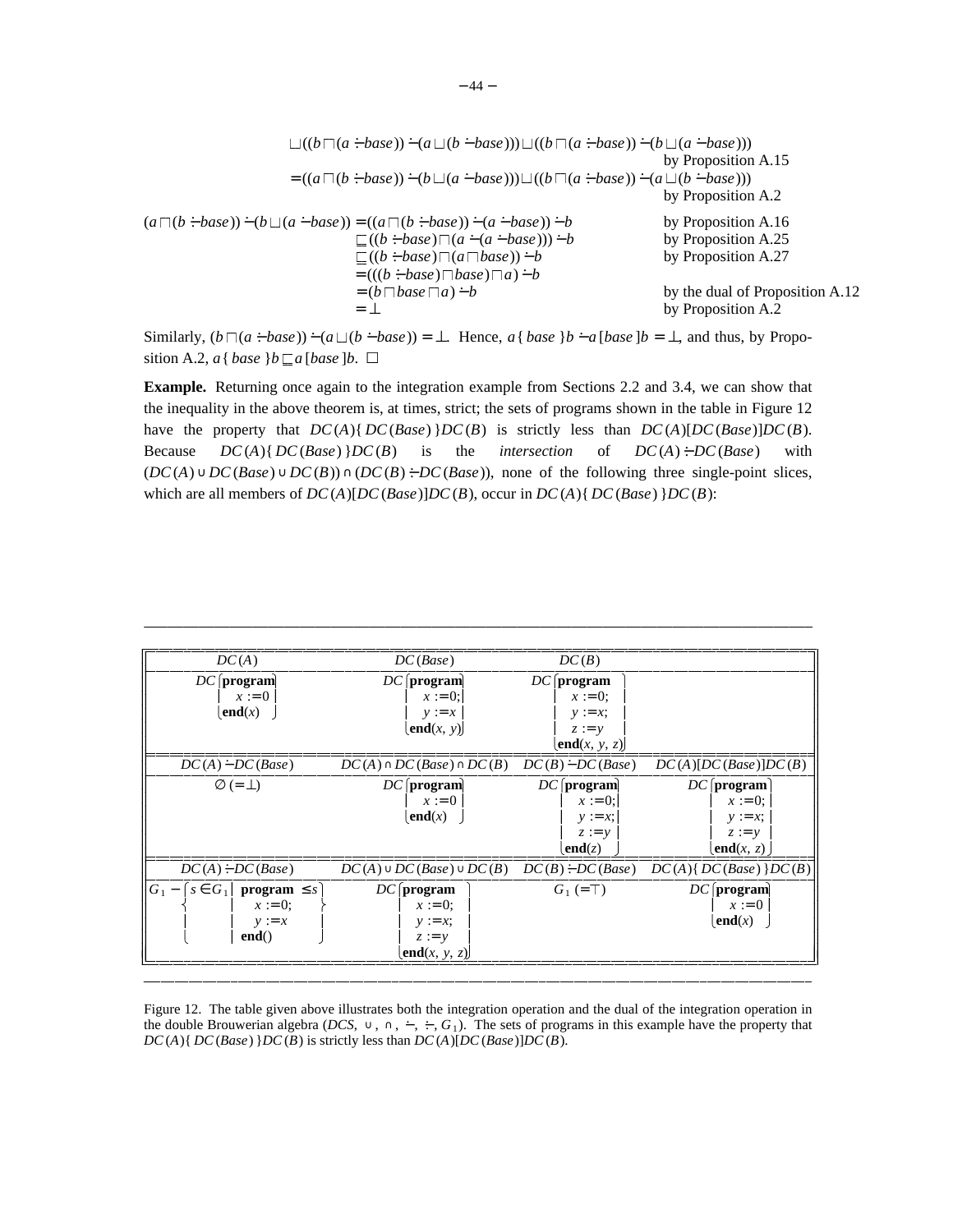$$
\Box((b \Box (a \div base)) \div (a \Box (b \div base))) \Box((b \Box (a \div base)) \div (b \Box (a \div base)))
$$
\nby Proposition A.15  
\n
$$
= ((a \Box (b \div base)) \div (b \Box (a \div base))) \Box((b \Box (a \div base)) \div (a \Box (b \div base)))
$$
\nby Proposition A.2  
\n
$$
(a \Box (b \div base)) \div (b \Box (a \div base)) = ((a \Box (b \div base)) \div (a \div base)) \div b
$$
\nby Proposition A.16  
\n
$$
\Box((b \div base) \Box (a \div base)) \Box((a \Box base)) \div b
$$
\nby Proposition A.25  
\n
$$
\Box((b \div base) \Box (a \Box base)) \div b
$$
\nby Proposition A.27  
\n
$$
= ((b \div base) \Box base) \Box b
$$
\nby the dual of Proposition A.12  
\n
$$
= \bot
$$
\nby Proposition A.22

Similarly,  $(b \sqcap (a \div base)) \div (a \sqcup (b \div base)) = \bot$ . Hence,  $a \{ base \} b \div a [base] b = \bot$ , and thus, by Proposition A.2,  $a\{\text{base } \}b \sqsubseteq a\{\text{base } \}b$ .  $\square$ 

**Example.** Returning once again to the integration example from Sections 2.2 and 3.4, we can show that the inequality in the above theorem is, at times, strict; the sets of programs shown in the table in Figure 12 have the property that  $DC(A)$ { $DC(Base)$ } $DC(B)$  is strictly less than  $DC(A)[DC(Base)]DC(B)$ . Because  $DC(A) \{ DC(Base) \} DC(B)$  is the *intersection* of *.* −*. DC*(*Base*) with  $(DC(A) \cup DC(Base) \cup DC(B)) \cap (DC(B) \div DC(Base))$ , none of the following three single-point slices, which are all members of *DC*(*A*)[*DC*(*Base*)]*DC*(*B*), occur in *DC*(*A*){ *DC*(*Base*) }*DC*(*B*):

-----------------------------------------------------

| DC(A)                                   | DC(Base)                           | DC(B)            |                                                  |
|-----------------------------------------|------------------------------------|------------------|--------------------------------------------------|
| $DC$ [program]                          | $DC$ [program]                     | $DC$ program     |                                                  |
| $x := 0$                                | $x := 0$ ;                         | $x := 0$ :       |                                                  |
| end(x)                                  | $y := x$                           | $y := x$ ;       |                                                  |
|                                         | end(x, y)                          | $z := y$         |                                                  |
|                                         |                                    | end $(x, y, z)$  |                                                  |
| $DC(A) \div DC(Base)$                   | $DC(A) \cap DC(Base) \cap DC(B)$   | $DC(B)-DC(Base)$ | DC(A)[DC(Base)]DC(B)                             |
| $\varnothing$ (= $\perp$ )              | $DC$ [program]                     | $DC$ [program]   | $DC$ [program]                                   |
|                                         | $x := 0$                           | $x := 0;$        | $x := 0$ ;                                       |
|                                         | end(x)                             | $y := x$ ;       | $y := x$ ;                                       |
|                                         |                                    | $z := y$         | $z := y$                                         |
|                                         |                                    | end(z)           | end $(x, z)$                                     |
| $DC(A) \div DC(Base)$                   | $DC(A) \cup DC(Base) \cup DC(B)$   |                  | $DC(B) \div DC(Base)$ $DC(A) \{DC(Base) \}DC(B)$ |
| $G_1$ –<br>$s \in G_1$ program $\leq s$ | $DC$ [program]                     | $G_1 (= \top)$   | $DC$ [program]                                   |
| $x := 0$ ;                              | $x := 0$ :                         |                  | $x := 0$                                         |
| $y := x$                                | $y := x$ ;                         |                  | end(x)                                           |
| end()                                   | $z := y$                           |                  |                                                  |
|                                         | $\left(\text{end}(x, y, z)\right)$ |                  |                                                  |

the contract of the contract of the contract of the contract of the contract of the contract of the contract of

Figure 12. The table given above illustrates both the integration operation and the dual of the integration operation in the double Brouwerian algebra (*DCS*,  $\cup$ ,  $\cap$ ,  $\div$ ,  $\div$ ,  $G$ <sub>1</sub>). The sets of programs in this example have the property that *DC*(*A*){ *DC*(*Base*) }*DC*(*B*) is strictly less than *DC*(*A*)[*DC* (*Base*)]*DC* (*B*).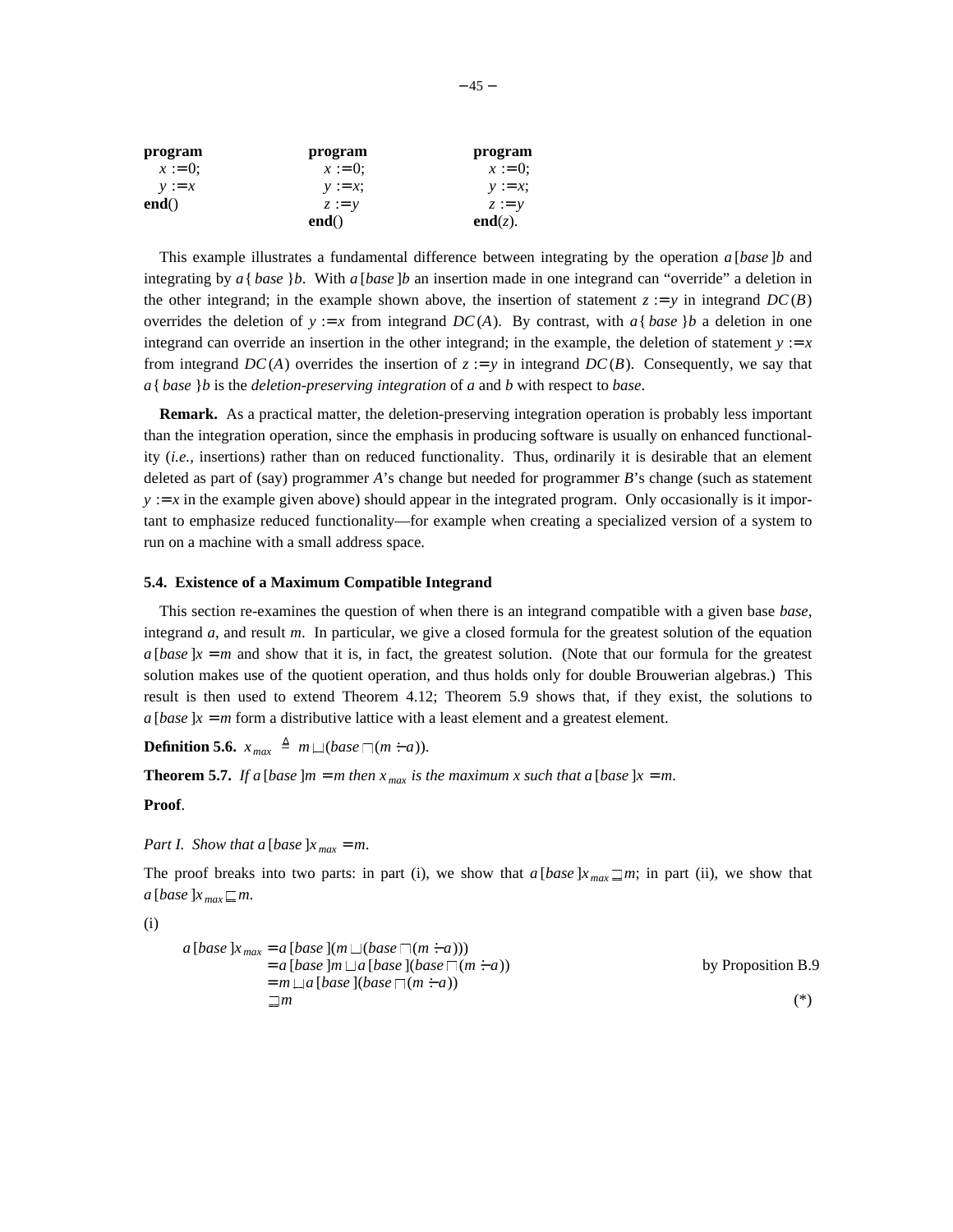| program    | program    | program    |
|------------|------------|------------|
| $x := 0$ : | $x := 0$ ; | $x := 0$ ; |
| $v := x$   | $y := x$ ; | $y := x$ ; |
| end()      | $z := y$   | $z := y$   |
|            | end()      | $end(z)$ . |

This example illustrates a fundamental difference between integrating by the operation *a* [*base* ]*b* and integrating by *a*{ *base* }*b*. With *a* [*base* ]*b* an insertion made in one integrand can "override" a deletion in the other integrand; in the example shown above, the insertion of statement  $z := y$  in integrand  $DC(B)$ overrides the deletion of  $y := x$  from integrand *DC*(*A*). By contrast, with  $a\{base\}b$  a deletion in one integrand can override an insertion in the other integrand; in the example, the deletion of statement  $y := x$ from integrand  $DC(A)$  overrides the insertion of  $z := y$  in integrand  $DC(B)$ . Consequently, we say that *a*{ *base* }*b* is the *deletion-preserving integration* of *a* and *b* with respect to *base*.

**Remark.** As a practical matter, the deletion-preserving integration operation is probably less important than the integration operation, since the emphasis in producing software is usually on enhanced functionality (*i.e.*, insertions) rather than on reduced functionality. Thus, ordinarily it is desirable that an element deleted as part of (say) programmer *A*'s change but needed for programmer *B*'s change (such as statement  $y := x$  in the example given above) should appear in the integrated program. Only occasionally is it important to emphasize reduced functionality—for example when creating a specialized version of a system to run on a machine with a small address space.

#### **5.4. Existence of a Maximum Compatible Integrand**

This section re-examines the question of when there is an integrand compatible with a given base *base*, integrand *a*, and result *m*. In particular, we give a closed formula for the greatest solution of the equation  $a$  [*base* ] $x = m$  and show that it is, in fact, the greatest solution. (Note that our formula for the greatest solution makes use of the quotient operation, and thus holds only for double Brouwerian algebras.) This result is then used to extend Theorem 4.12; Theorem 5.9 shows that, if they exist, the solutions to  $a$  [*base* ] $x = m$  form a distributive lattice with a least element and a greatest element.

**Definition 5.6.**  $x_{max} \triangleq m \sqcup (base \sqcap (m \div a)).$ 

**Theorem 5.7.** *If a* [*base* ]*m* = *m then*  $x_{max}$  *is the maximum x such that a* [*base* ] $x = m$ .

**Proof**.

*Part I. Show that a* [*base* ] $x_{max} = m$ .

The proof breaks into two parts: in part (i), we show that  $a$  [*base* ] $x_{max} \equiv m$ ; in part (ii), we show that  $a$  [*base* ] $x_{max}$   $\sqsubseteq$  *m*.

(i)

$$
a [base]x_{max} = a [base] (m \sqcup (base \sqcap (m \div a)))
$$
  
= a [base]m \sqcup a [base] (base \sqcap (m \div a))  
= m \sqcup a [base] (base \sqcap (m \div a))  
\sqsupset m by Proposition B.9  
(\*)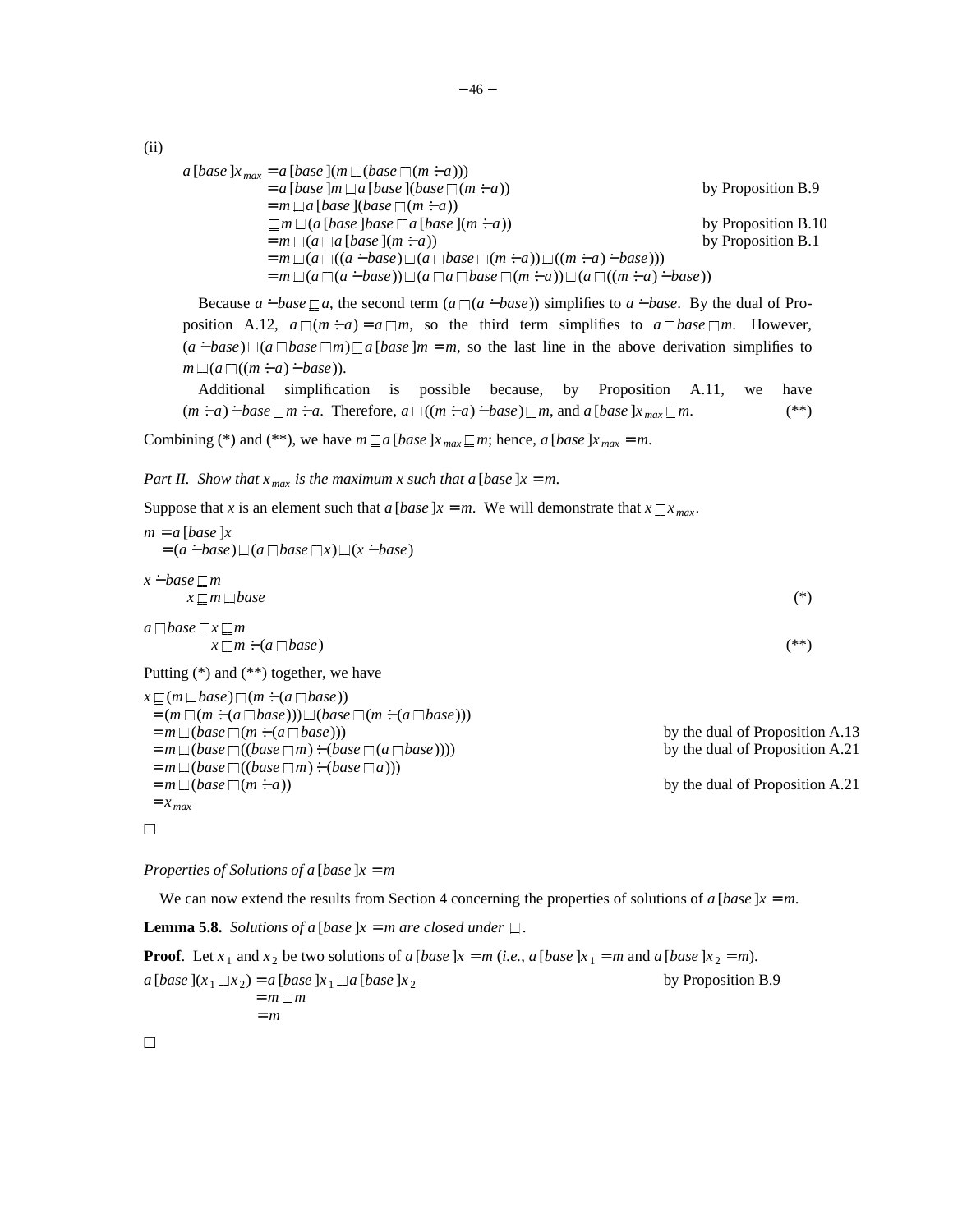(ii)

```
a [base ]x_{max} = a [base ](m \sqcup (base \sqcap (m \div a)))= a [base ]m \sqcup a [base ](base \sqcap (m \div a)−. a)) by Proposition B.9
                        = m \bigsqcup a [base ](base \sqcap (m \div a))
                        \equiv m \sqcup (a [base ] base \sqcap a [base ](m \div−. a)) by Proposition B.10
                        \equiv m \sqcup (a \sqcap a [base ](m \div−. a)) by Proposition B.1
                        =\lim_{m\to\infty} \frac{|\alpha| \cdot |\alpha| \cdot \alpha}{\alpha - \text{base}} \lim_{m\to\infty} \frac{|\alpha|}{\alpha - \text{base}} \lim_{m\to\infty} \frac{|\alpha| \cdot \alpha}{\alpha - \text{base}}= m \Box (a \Box (a - base)) \Box (a \Box a \Box base \Box (m \div a)) \Box (a \Box (m \div a) \div base))
```
Because  $a - base \sqsubseteq a$ , the second term  $(a \sqcap (a - base))$  simplifies to  $a - base$ . By the dual of Proposition A.12,  $a \sqcap (m \div a) = a \sqcap m$ , so the third term simplifies to  $a \sqcap base \sqcap m$ . However,  $(a - base) \sqcup (a \sqcap base \sqcap m) \sqsubseteq a [base]$  *m* = *m*, so the last line in the above derivation simplifies to  $m \sqcup (a \sqcap ((m \div a) \div base)).$ 

Additional simplification is possible because, by Proposition A.11, we have  $(m \div a) \div base \sqsubseteq m \div a$ . Therefore,  $a \sqcap ((m \div a) \div base) \sqsubseteq m$ , and a [base ] $x_{max}$ *m*. (\*\*)

Combining (\*) and (\*\*), we have  $m \sqsubseteq a$  [*base* ] $x_{max} \sqsubseteq m$ ; hence, *a* [*base* ] $x_{max} = m$ .

*Part II. Show that*  $x_{max}$  *is the maximum*  $x$  *such that*  $a$  [*base* ] $x = m$ .

Suppose that *x* is an element such that *a* [*base* ]*x* = *m*. We will demonstrate that  $x \subseteq x_{max}$ .

$$
m = a [base ]x
$$
  
\n
$$
= (a - base) \sqcup (a \sqcap base \sqcap x) \sqcup (x - base)
$$
  
\n
$$
x \sqsubseteq m
$$
  
\n
$$
x \sqsubseteq m \sqcup base
$$
  
\n
$$
a \sqcap base \sqcap x \sqsubseteq m
$$
  
\n
$$
x \sqsubseteq m \div (a \sqcap base)
$$
  
\nPutting (\*) and (\*\*) together, we have  
\n
$$
x \sqsubseteq (m \sqcup base) \sqcap (m \div (a \sqcap base))
$$
  
\n
$$
= (m \sqcap (m \div (a \sqcap base))) \sqcup (base \sqcap (m \div (a \sqcap base)))
$$
  
\n
$$
= m \sqcup (base \sqcap (m \div (a \sqcap base)))
$$
  
\n
$$
= m \sqcup (base \sqcap (base \sqcap m) \div (base \sqcap a))
$$
  
\n
$$
= m \sqcup (base \sqcap (base \sqcap m) \div (base \sqcap a)))
$$
  
\n
$$
= m \sqcup (base \sqcap ((base \sqcap m) \div (base \sqcap a)))
$$
  
\n
$$
= m \sqcup (base \sqcap (m \div a))
$$
  
\nby the dual of Proposition A.21  
\nby the dual of Proposition A.21  
\nby the dual of Proposition A.21  
\nby the dual of Proposition A.21

$$
\exists ((base \sqcap m) \div (base \sqcap a)))
$$
  
by the dual of Proposition A.21  
by the dual of Proposition A.21

 $\Box$ 

 $=x_{max}$ 

*Properties of Solutions of a* [*base* ]*x* = *m*

We can now extend the results from Section 4 concerning the properties of solutions of  $a$  [*base* ] $x = m$ .

**Lemma 5.8.** *Solutions of a* [*base* ] $x = m$  *are closed under*  $\sqcup$ .

**Proof**. Let  $x_1$  and  $x_2$  be two solutions of *a* [*base* ] $x = m$  (*i.e.*, *a* [*base* ] $x_1 = m$  and *a* [*base* ] $x_2 = m$ ).  $a [base](x_1 \sqcup x_2) = a [base]x_1 \sqcup$ *by Proposition B.9*  $= m \sqcup m$ = *m*

 $\Box$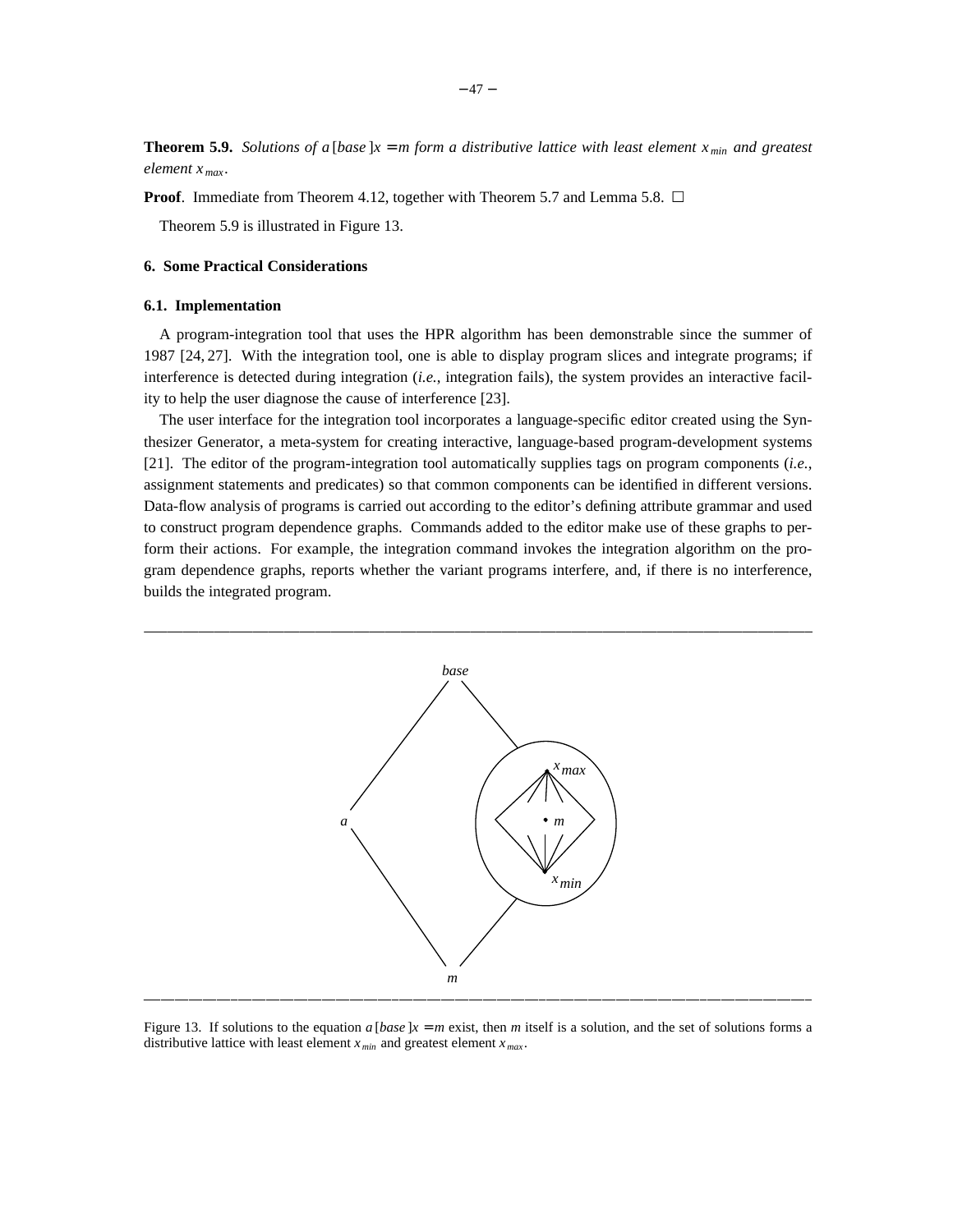**Theorem 5.9.** Solutions of a [base ]x = m form a distributive lattice with least element  $x_{min}$  and greatest *element x max*.

**Proof.** Immediate from Theorem 4.12, together with Theorem 5.7 and Lemma 5.8.  $\Box$ 

Theorem 5.9 is illustrated in Figure 13.

# **6. Some Practical Considerations**

## **6.1. Implementation**

A program-integration tool that uses the HPR algorithm has been demonstrable since the summer of 1987 [24, 27]. With the integration tool, one is able to display program slices and integrate programs; if interference is detected during integration (*i.e.*, integration fails), the system provides an interactive facility to help the user diagnose the cause of interference [23].

The user interface for the integration tool incorporates a language-specific editor created using the Synthesizer Generator, a meta-system for creating interactive, language-based program-development systems [21]. The editor of the program-integration tool automatically supplies tags on program components (*i.e.*, assignment statements and predicates) so that common components can be identified in different versions. Data-flow analysis of programs is carried out according to the editor's defining attribute grammar and used to construct program dependence graphs. Commands added to the editor make use of these graphs to perform their actions. For example, the integration command invokes the integration algorithm on the program dependence graphs, reports whether the variant programs interfere, and, if there is no interference, builds the integrated program.



Figure 13. If solutions to the equation *a* [*base* ] $x = m$  exist, then *m* itself is a solution, and the set of solutions forms a distributive lattice with least element  $x_{min}$  and greatest element  $x_{max}$ .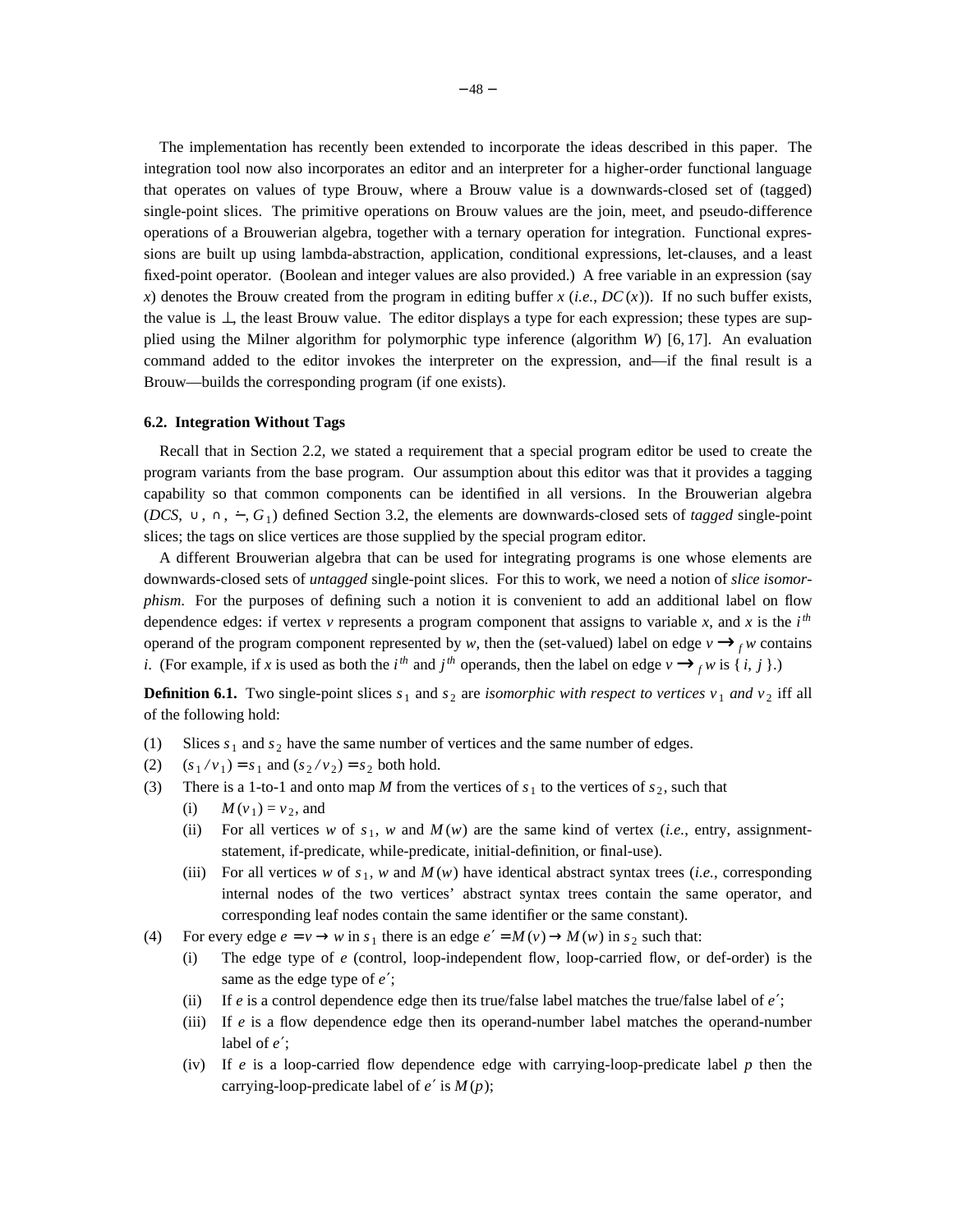The implementation has recently been extended to incorporate the ideas described in this paper. The integration tool now also incorporates an editor and an interpreter for a higher-order functional language that operates on values of type Brouw, where a Brouw value is a downwards-closed set of (tagged) single-point slices. The primitive operations on Brouw values are the join, meet, and pseudo-difference operations of a Brouwerian algebra, together with a ternary operation for integration. Functional expressions are built up using lambda-abstraction, application, conditional expressions, let-clauses, and a least fixed-point operator. (Boolean and integer values are also provided.) A free variable in an expression (say *x*) denotes the Brouw created from the program in editing buffer *x* (*i.e.*,  $DC(x)$ ). If no such buffer exists, the value is ⊥, the least Brouw value. The editor displays a type for each expression; these types are supplied using the Milner algorithm for polymorphic type inference (algorithm *W*) [6, 17]. An evaluation command added to the editor invokes the interpreter on the expression, and—if the final result is a Brouw—builds the corresponding program (if one exists).

#### **6.2. Integration Without Tags**

Recall that in Section 2.2, we stated a requirement that a special program editor be used to create the program variants from the base program. Our assumption about this editor was that it provides a tagging capability so that common components can be identified in all versions. In the Brouwerian algebra (*DCS*, ∪ , ∩ , *.* − , *G*<sup>1</sup> ) defined Section 3.2, the elements are downwards-closed sets of *tagged* single-point slices; the tags on slice vertices are those supplied by the special program editor.

A different Brouwerian algebra that can be used for integrating programs is one whose elements are downwards-closed sets of *untagged* single-point slices. For this to work, we need a notion of *slice isomorphism*. For the purposes of defining such a notion it is convenient to add an additional label on flow dependence edges: if vertex *v* represents a program component that assigns to variable *x*, and *x* is the *i th* operand of the program component represented by *w*, then the (set-valued) label on edge  $v \rightarrow$ <sub>*f*</sub> *w* contains *i*. (For example, if *x* is used as both the *i*<sup>th</sup> and *j*<sup>th</sup> operands, then the label on edge  $v \rightarrow f w$  is { *i*, *j* }.)

**Definition 6.1.** Two single-point slices  $s_1$  and  $s_2$  are *isomorphic with respect to vertices*  $v_1$  *and*  $v_2$  iff all of the following hold:

- (1) Slices  $s_1$  and  $s_2$  have the same number of vertices and the same number of edges.
- (2)  $(s_1/v_1) = s_1$  and  $(s_2/v_2) = s_2$  both hold.
- (3) There is a 1-to-1 and onto map M from the vertices of  $s_1$  to the vertices of  $s_2$ , such that
	- (i)  $M(v_1) = v_2$ , and
	- (ii) For all vertices *w* of  $s_1$ , *w* and  $M(w)$  are the same kind of vertex (*i.e.*, entry, assignmentstatement, if-predicate, while-predicate, initial-definition, or final-use).
	- (iii) For all vertices *w* of  $s_1$ , *w* and  $M(w)$  have identical abstract syntax trees (*i.e.*, corresponding internal nodes of the two vertices' abstract syntax trees contain the same operator, and corresponding leaf nodes contain the same identifier or the same constant).
- (4) For every edge  $e = v \rightarrow w$  in  $s_1$  there is an edge  $e' = M(v) \rightarrow M(w)$  in  $s_2$  such that:
	- (i) The edge type of *e* (control, loop-independent flow, loop-carried flow, or def-order) is the same as the edge type of *e*′;
	- (ii) If *e* is a control dependence edge then its true/false label matches the true/false label of *e*′;
	- (iii) If *e* is a flow dependence edge then its operand-number label matches the operand-number label of *e*′;
	- (iv) If *e* is a loop-carried flow dependence edge with carrying-loop-predicate label *p* then the carrying-loop-predicate label of *e*′ is *M* (*p*);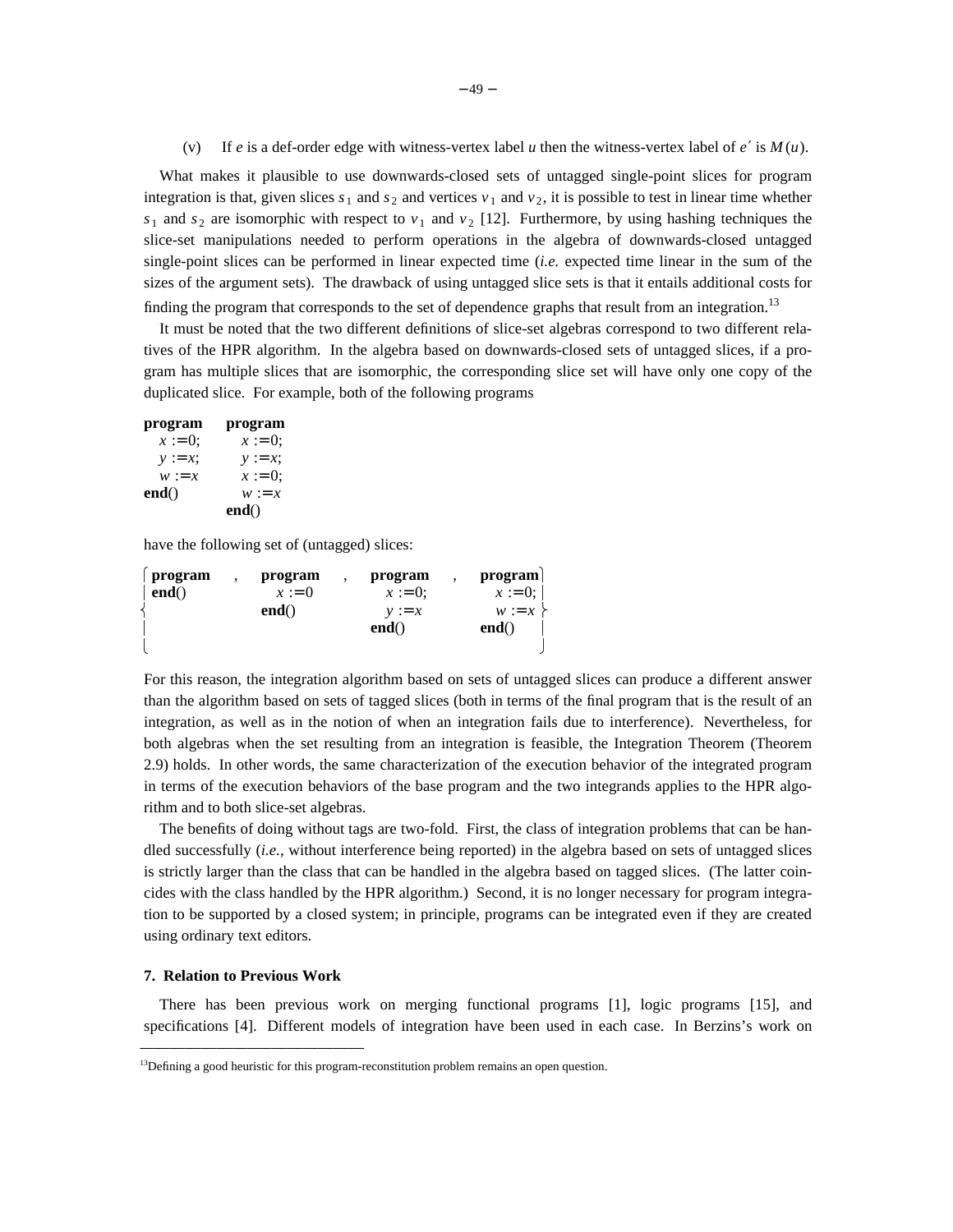(v) If *e* is a def-order edge with witness-vertex label *u* then the witness-vertex label of *e'* is  $M(u)$ .

What makes it plausible to use downwards-closed sets of untagged single-point slices for program integration is that, given slices  $s_1$  and  $s_2$  and vertices  $v_1$  and  $v_2$ , it is possible to test in linear time whether  $s_1$  and  $s_2$  are isomorphic with respect to  $v_1$  and  $v_2$  [12]. Furthermore, by using hashing techniques the slice-set manipulations needed to perform operations in the algebra of downwards-closed untagged single-point slices can be performed in linear expected time (*i.e.* expected time linear in the sum of the sizes of the argument sets). The drawback of using untagged slice sets is that it entails additional costs for finding the program that corresponds to the set of dependence graphs that result from an integration.<sup>13</sup>

It must be noted that the two different definitions of slice-set algebras correspond to two different relatives of the HPR algorithm. In the algebra based on downwards-closed sets of untagged slices, if a program has multiple slices that are isomorphic, the corresponding slice set will have only one copy of the duplicated slice. For example, both of the following programs

```
program
  x := 0;y := x;
  w := x
end()
            program
              x := 0;y := x;
               x := 0;
               w := xend()
```
have the following set of (untagged) slices:

| $\mid$ program | program  | program    | ٠ | program   |
|----------------|----------|------------|---|-----------|
| end()          | $x := 0$ | $x := 0$ ; |   | $x := 0;$ |
|                | end()    | $v := x$   |   | $W := x$  |
|                |          | end()      |   | end()     |
|                |          |            |   |           |

For this reason, the integration algorithm based on sets of untagged slices can produce a different answer than the algorithm based on sets of tagged slices (both in terms of the final program that is the result of an integration, as well as in the notion of when an integration fails due to interference). Nevertheless, for both algebras when the set resulting from an integration is feasible, the Integration Theorem (Theorem 2.9) holds. In other words, the same characterization of the execution behavior of the integrated program in terms of the execution behaviors of the base program and the two integrands applies to the HPR algorithm and to both slice-set algebras.

The benefits of doing without tags are two-fold. First, the class of integration problems that can be handled successfully (*i.e.*, without interference being reported) in the algebra based on sets of untagged slices is strictly larger than the class that can be handled in the algebra based on tagged slices. (The latter coincides with the class handled by the HPR algorithm.) Second, it is no longer necessary for program integration to be supported by a closed system; in principle, programs can be integrated even if they are created using ordinary text editors.

## **7. Relation to Previous Work**

------------------

There has been previous work on merging functional programs [1], logic programs [15], and specifications [4]. Different models of integration have been used in each case. In Berzins's work on

and the contract of the contract of the contract of the contract of the contract of the contract of the contract of the contract of the contract of the contract of the contract of the contract of the contract of the contra

<sup>&</sup>lt;sup>13</sup>Defining a good heuristic for this program-reconstitution problem remains an open question.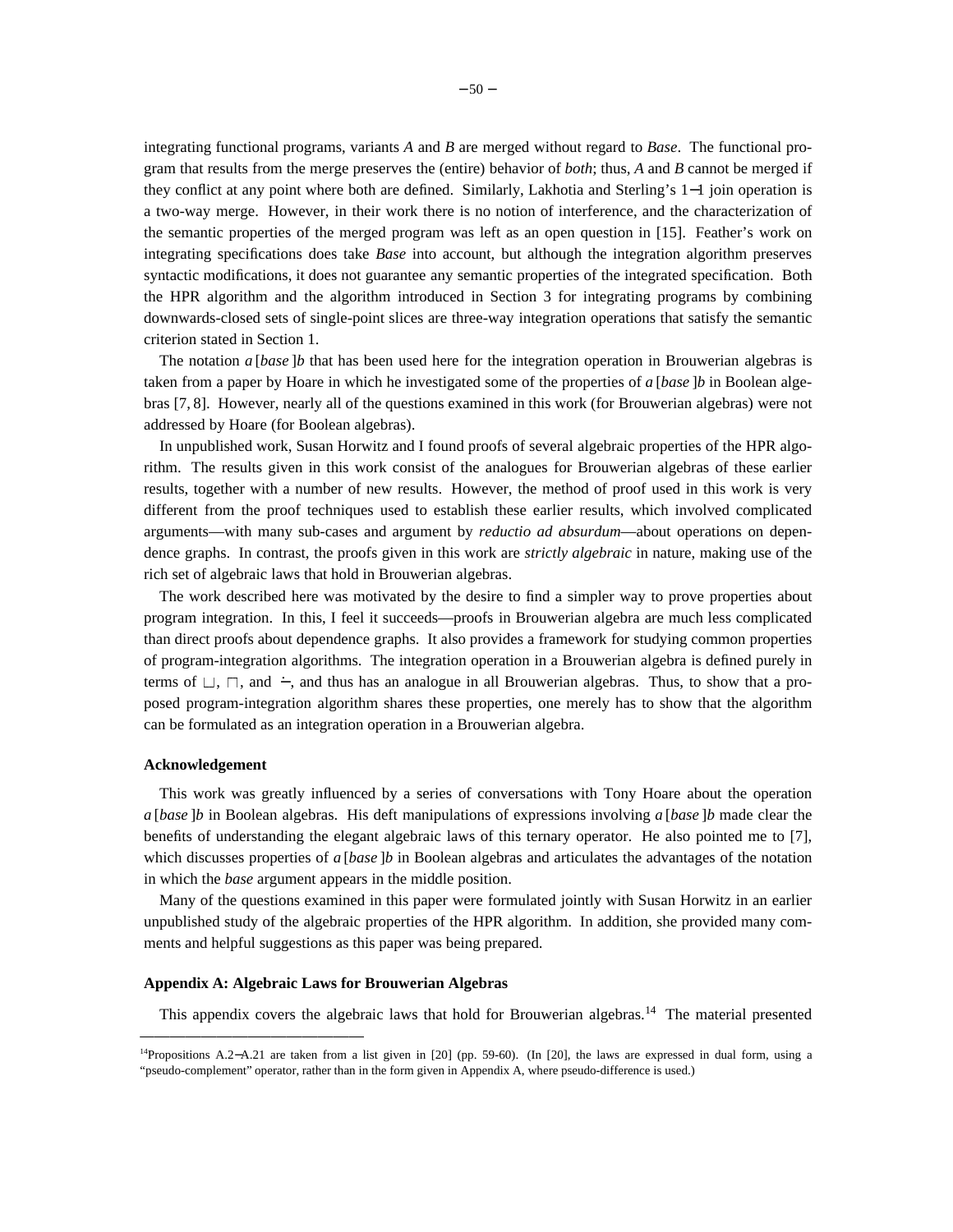integrating functional programs, variants *A* and *B* are merged without regard to *Base*. The functional program that results from the merge preserves the (entire) behavior of *both*; thus, *A* and *B* cannot be merged if they conflict at any point where both are defined. Similarly, Lakhotia and Sterling's 1−1 join operation is a two-way merge. However, in their work there is no notion of interference, and the characterization of the semantic properties of the merged program was left as an open question in [15]. Feather's work on integrating specifications does take *Base* into account, but although the integration algorithm preserves syntactic modifications, it does not guarantee any semantic properties of the integrated specification. Both the HPR algorithm and the algorithm introduced in Section 3 for integrating programs by combining downwards-closed sets of single-point slices are three-way integration operations that satisfy the semantic criterion stated in Section 1.

The notation *a* [*base* ]*b* that has been used here for the integration operation in Brouwerian algebras is taken from a paper by Hoare in which he investigated some of the properties of *a* [*base* ]*b* in Boolean algebras [7, 8]. However, nearly all of the questions examined in this work (for Brouwerian algebras) were not addressed by Hoare (for Boolean algebras).

In unpublished work, Susan Horwitz and I found proofs of several algebraic properties of the HPR algorithm. The results given in this work consist of the analogues for Brouwerian algebras of these earlier results, together with a number of new results. However, the method of proof used in this work is very different from the proof techniques used to establish these earlier results, which involved complicated arguments—with many sub-cases and argument by *reductio ad absurdum*—about operations on dependence graphs. In contrast, the proofs given in this work are *strictly algebraic* in nature, making use of the rich set of algebraic laws that hold in Brouwerian algebras.

The work described here was motivated by the desire to find a simpler way to prove properties about program integration. In this, I feel it succeeds—proofs in Brouwerian algebra are much less complicated than direct proofs about dependence graphs. It also provides a framework for studying common properties of program-integration algorithms. The integration operation in a Brouwerian algebra is defined purely in terms of  $\Box$ ,  $\Box$ , and  $\div$ , and thus has an analogue in all Brouwerian algebras. Thus, to show that a proposed program-integration algorithm shares these properties, one merely has to show that the algorithm can be formulated as an integration operation in a Brouwerian algebra.

#### **Acknowledgement**

------------------

This work was greatly influenced by a series of conversations with Tony Hoare about the operation *a* [*base* ]*b* in Boolean algebras. His deft manipulations of expressions involving *a* [*base* ]*b* made clear the benefits of understanding the elegant algebraic laws of this ternary operator. He also pointed me to [7], which discusses properties of *a* [*base* ]*b* in Boolean algebras and articulates the advantages of the notation in which the *base* argument appears in the middle position.

Many of the questions examined in this paper were formulated jointly with Susan Horwitz in an earlier unpublished study of the algebraic properties of the HPR algorithm. In addition, she provided many comments and helpful suggestions as this paper was being prepared.

## **Appendix A: Algebraic Laws for Brouwerian Algebras**

This appendix covers the algebraic laws that hold for Brouwerian algebras.<sup>14</sup> The material presented

and the contract of the contract of the contract of the contract of the contract of the contract of the contract of the contract of the contract of the contract of the contract of the contract of the contract of the contra

<sup>&</sup>lt;sup>14</sup>Propositions A.2−A.21 are taken from a list given in [20] (pp. 59-60). (In [20], the laws are expressed in dual form, using a "pseudo-complement" operator, rather than in the form given in Appendix A, where pseudo-difference is used.)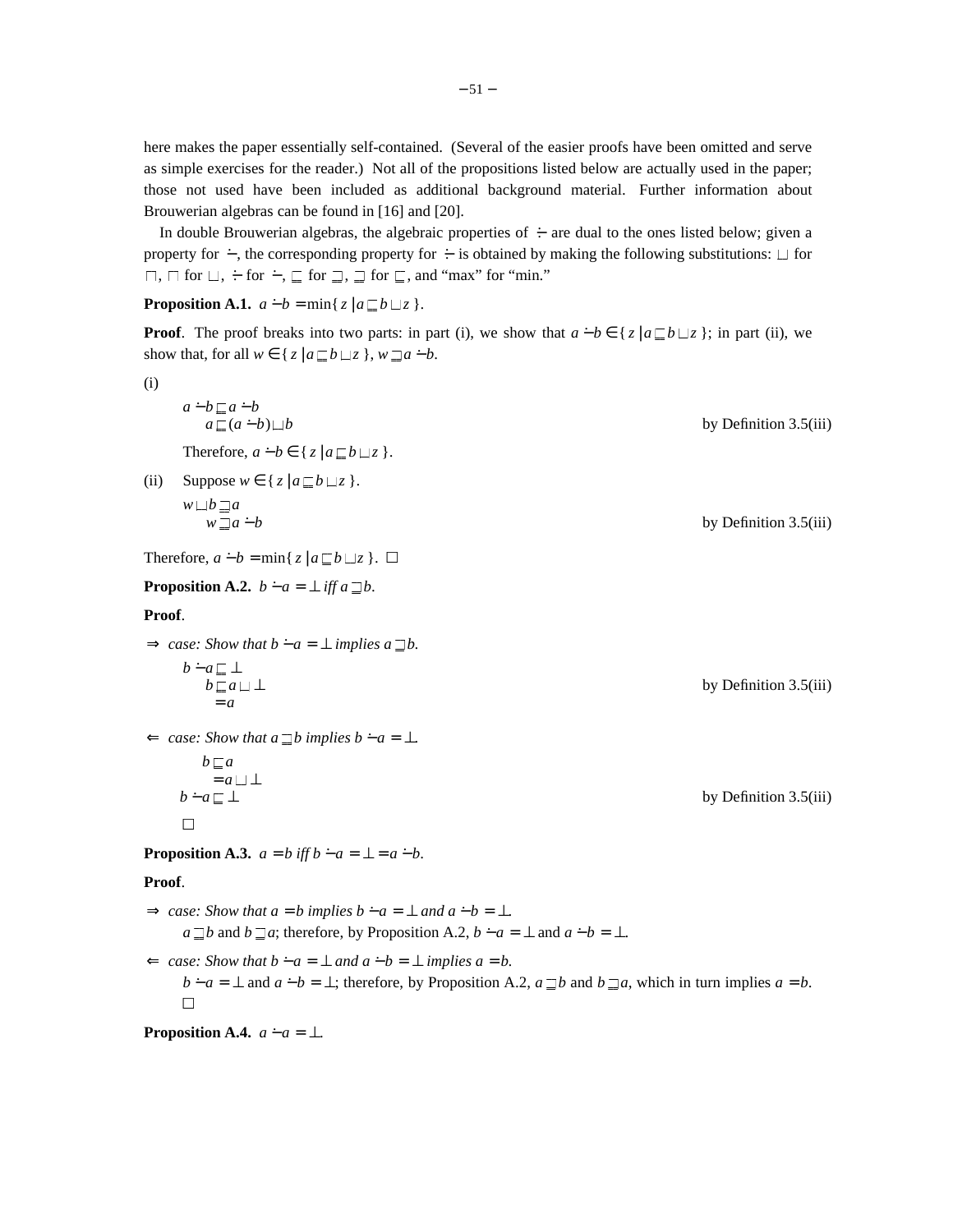here makes the paper essentially self-contained. (Several of the easier proofs have been omitted and serve as simple exercises for the reader.) Not all of the propositions listed below are actually used in the paper; those not used have been included as additional background material. Further information about Brouwerian algebras can be found in [16] and [20].

In double Brouwerian algebras, the algebraic properties of *.* −*.* are dual to the ones listed below; given a property for  $\div$ , the corresponding property for  $\div$  is obtained by making the following substitutions:  $\Box$  for  $\Box$ ,  $\Box$  for  $\Box$ ,  $\Box$  for  $\Box$ ,  $\Box$  for  $\Box$ , and "max" for "min."

**Proposition A.1.**  $a - b = \min\{z | a \sqsubseteq b \sqcup z \}.$ 

**Proof**. The proof breaks into two parts: in part (i), we show that  $a - b \in \{z | a \sqsubseteq b \sqcup z \}$ ; in part (ii), we show that, for all  $w \in \{z \mid a \sqsubseteq b \sqcup z \}$ ,  $w \sqsupseteq a - b$ .

(i)

 $a \div b \sqsubseteq a \div b$  $a \sqsubseteq (a - b) \sqcup$  *b* by Definition 3.5(iii) Therefore,  $a - b \in \{ z \mid a \sqsubseteq b \sqcup z \}.$ 

(ii) Suppose  $w \in \{ z \mid a \sqsubseteq b \sqcup z \}.$  $w \sqcup b \sqsupseteq a$  $\overline{a}$   $\overline{a}$   $\overline{a}$   $\overline{a}$   $\overline{a}$   $\overline{a}$   $\overline{a}$ 

Therefore,  $a - b = \min\{z \mid a \sqsubseteq b \sqcup z\}$ .  $\Box$ 

**Proposition A.2.**  $b \div a = \bot$  *iff*  $a \sqsupseteq b$ .

## **Proof**.

 $\Rightarrow$  *case: Show that*  $b \div a = \bot$  *implies*  $a \sqsupseteq b$ .  $b \div a \sqsubseteq \bot$  $b \sqsubseteq a \sqcup \perp$ <br>= *a* by Definition 3.5(iii)

 $\Leftarrow$  *case: Show that*  $a \sqsupseteq b$  *implies*  $b \div a = \bot$ *.* 

$$
b \sqsubseteq a
$$
  
=  $a \sqcup \perp$   
 $b \doteq a \sqsubseteq \perp$ 

by Definition  $3.5(iii)$ 

by Definition 3.5(iii)

**Proposition A.3.**  $a = b$  *iff*  $b \div a = \bot = a \div b$ .

### **Proof**.

```
\Rightarrow case: Show that a = b implies b \div a = \bot and a \div b = \bot.
       a \Box b and b \Box a; therefore, by Proposition A.2, b \div a = \bot and a \div b = \bot.
\Leftarrow case: Show that b \div a = \bot and a \div b = \bot implies a = b.
       b \div a = \bot and a \div b = \bot; therefore, by Proposition A.2, a \sqsupseteq b and b \sqsupseteq a, which in turn implies a = b.
       \Box
```
**Proposition A.4.**  $a \div a = \bot$ .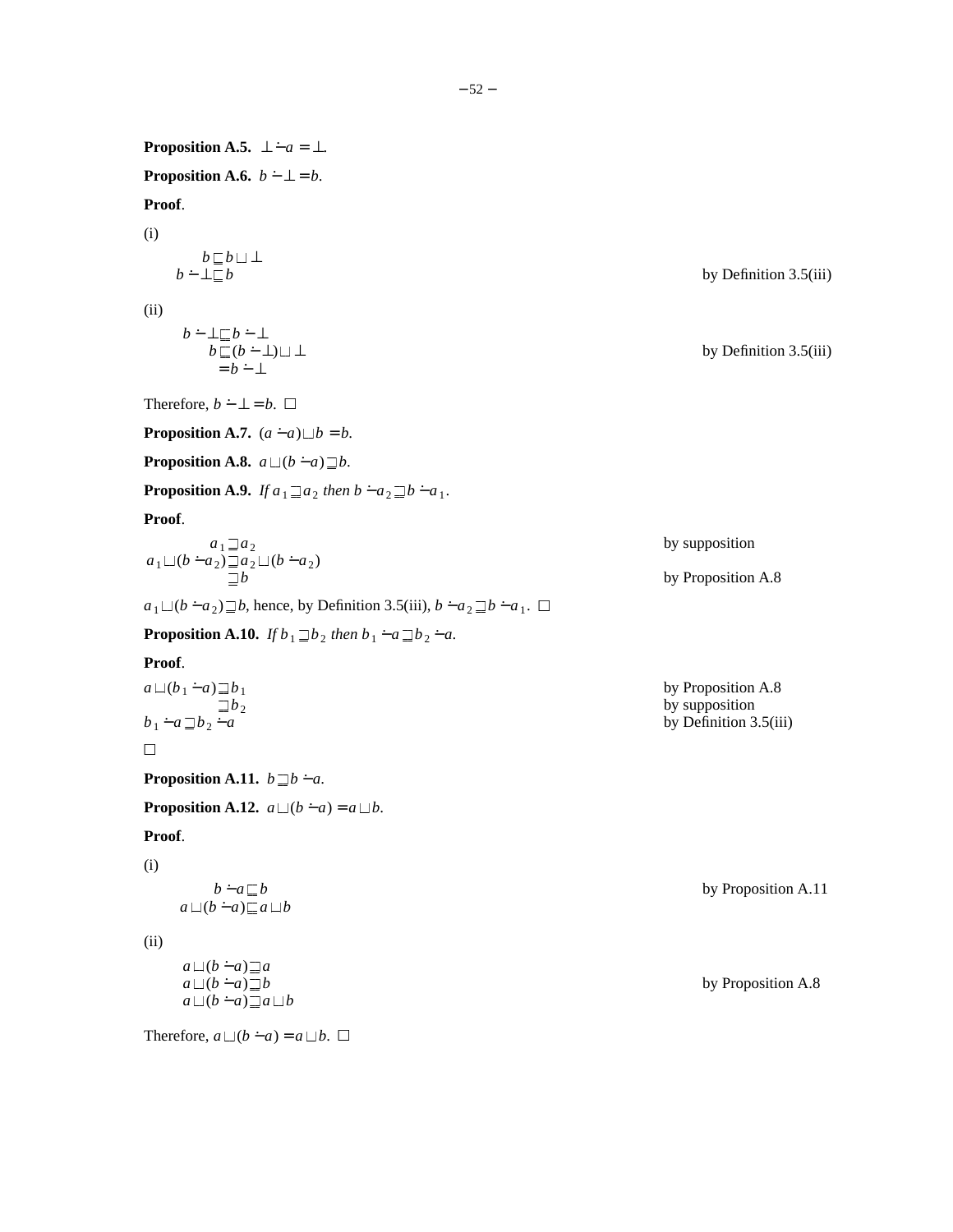**Proposition A.5.**  $\perp \div a = \perp$ .

**Proposition A.6.**  $b \div \bot = b$ .

**Proof**.

(i)

$$
b \mathop{\sqsubseteq} b \sqcup \bot \\ b \mathop{\perp} \mathop{\perp} \mathop{\sqsubseteq} b
$$

(ii)

$$
b - \perp b - \perp \n b - (b - \perp) \perp \n = b - \perp
$$

Therefore,  $b \stackrel{\perp}{-} \perp = b$ .  $\Box$ 

**Proposition A.7.**  $(a \div a) \sqcup b = b$ .

**Proposition A.8.**  $a \sqcup (b \div a) \sqsupseteq b$ .

**Proposition A.9.** *If*  $a_1 \square a_2$  *then*  $b \nightharpoonup a_2 \square b \nightharpoonup a_1$ *.* 

**Proof**.

| $a_1 \square a_2$                                   | by supposition     |
|-----------------------------------------------------|--------------------|
| $a_1 \sqcup (b-a_2) \sqsupseteq a_2 \sqcup (b-a_2)$ |                    |
|                                                     | by Proposition A.8 |

 $a_1 \sqcup (b \div a_2) \sqsupseteq b$ , hence, by Definition 3.5(iii),  $b \div a_2 \sqsupseteq b \div a_1$ .  $\square$ 

**Proposition A.10.** *If*  $b_1 \sqsupseteq b_2$  *then*  $b_1 \vdash a \sqsupseteq b_2 \vdash a$ .

## **Proof**.

 $a \sqcup (b_1 \div a) \sqsupseteq b_1$  $\Box b$ <sub>2</sub>  $b_1 \div a \sqsupset b_2 \stackrel{= 0}{\div a}$  $\Box$ 

**Proposition A.11.**  $b \square b \doteq a$ .

**Proposition A.12.**  $a \sqcup (b \div a) = a \sqcup b$ .

# **Proof**.

(i)

 $b \div a \sqsubseteq b$  $a \sqcup (b \div a) \sqsubseteq a \sqcup b$ 

# (ii)

 $a \sqcup (b \div a) \sqsupseteq a$  $a \sqcup (b-a) \sqsupseteq b$  $a \sqcup (b-a) \sqsupseteq a \sqcup b$ 

Therefore,  $a \sqcup (b \div a) = a \sqcup b$ .

*b* by Definition 3.5(iii)

# by Definition 3.5(iii)

## by Proposition A.8 by supposition by Definition 3.5(iii)

*b* by Proposition A.11

*b* by Proposition A.8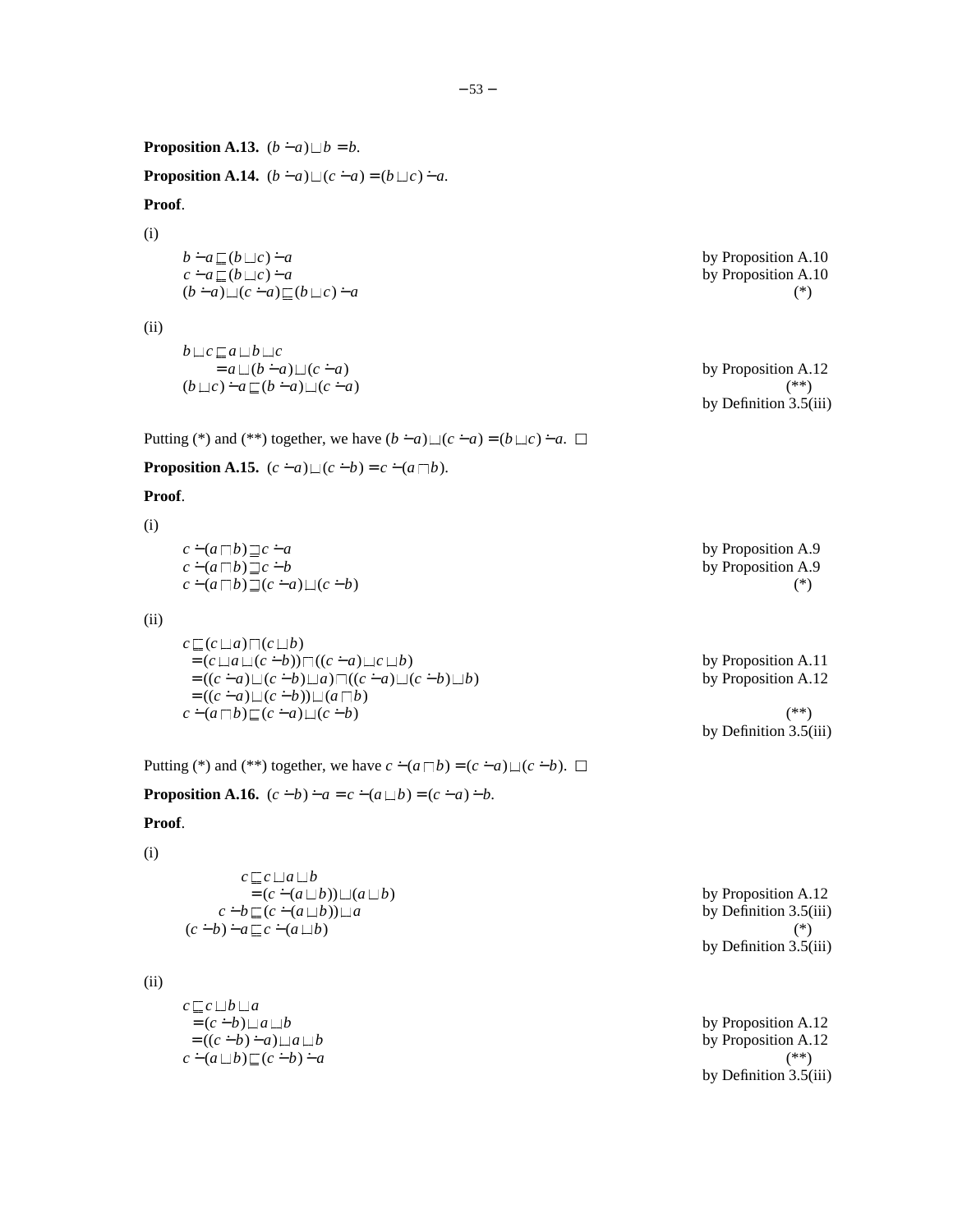# **Proposition A.13.**  $(b \div a) \sqcup b = b$ .

**Proposition A.14.**  $(b-a) \sqcup (c-a) = (b \sqcup c) - a$ .

## **Proof**.

(i)

 $b \div a \sqsubseteq (b \sqcup c) \div$  $c \div a \sqsubseteq (b \sqcup c) \div c$  $(b-a)\sqcup(c-a)\sqsubseteq(b\sqcup c)$ 

(ii)

| $b \sqcup c \sqsubseteq a \sqcup b \sqcup c$                  |
|---------------------------------------------------------------|
| $= a \sqcup (b \div a) \sqcup (c \div a)$                     |
| $(b \sqcup c)\div a \sqsubseteq (b \div a) \sqcup (c \div a)$ |

Putting (\*) and (\*\*) together, we have  $(b-a) \sqcup (c-a) = (b \sqcup c) - a$ .  $\square$ 

**Proposition A.15.**  $(c \div a) \sqcup (c \div b) = c \div (a \sqcap b)$ .

## **Proof**.

## (i)

 $c \div (a \Box b) \Box c \div$  $c \div (a \Box b) \Box c \div (a \Box b) \Box c$  $c \div (a \Box b) \Box (c \div a) \Box (c \div a)$ 

### (ii)

 $c \sqsubseteq (c \sqcup a) \sqcap (c \sqcup b)$  $=(c \sqcup a \sqcup (c - b)) \sqcap ((c - a) \sqcup c \sqcup$  $=(c - a) \Box (c - b) \Box a) \Box ((c - a) \Box (c - b) \Box a)$  $= ((c - a) \sqcup (c - b)) \sqcup (a \sqcap b)$  $c \div (a \Box b) \sqsubseteq (c \div a) \sqcup (c \div c)$ − *b*) (\*\*)

by Proposition A.10 by Proposition A.10 − *a* (\*)

by Proposition A.12 − *a*) (\*\*) by Definition 3.5(iii)

by Proposition A.9 by Proposition A.9 − *b*) (\*)

> *b*) by Proposition A.11 *b*) by Proposition A.12

by Definition 3.5(iii)

Putting (\*) and (\*\*) together, we have  $c \div (a \Box b) = (c \div a) \Box (c \div b)$ .  $\Box$ 

**Proposition A.16.**  $(c - b) - a = c - (a \Box b) = (c - a) - b$ .

# **Proof**.

(i)

 $c \sqsubseteq c \sqcup a \sqcup b$  $=(c - (a \sqcup b)) \sqcup (a \sqcup$  $c - b \sqsubseteq (c - (a \sqcup b)) \sqcup$  $(c - b) - a \sqsubseteq c - (a \sqsubseteq$ 

# (ii)

| $=( (c - b) - a) \sqcup a \sqcup b$                 |
|-----------------------------------------------------|
| $c \div (a \sqcup b) \sqsubseteq (c \div b) \div c$ |
|                                                     |

 *b*) by Proposition A.12 by Definition 3.5(iii) *b*) (\*) by Definition 3.5(iii)

by Proposition A.12 *b* by Proposition A.12 − *a* (\*\*) by Definition 3.5(iii)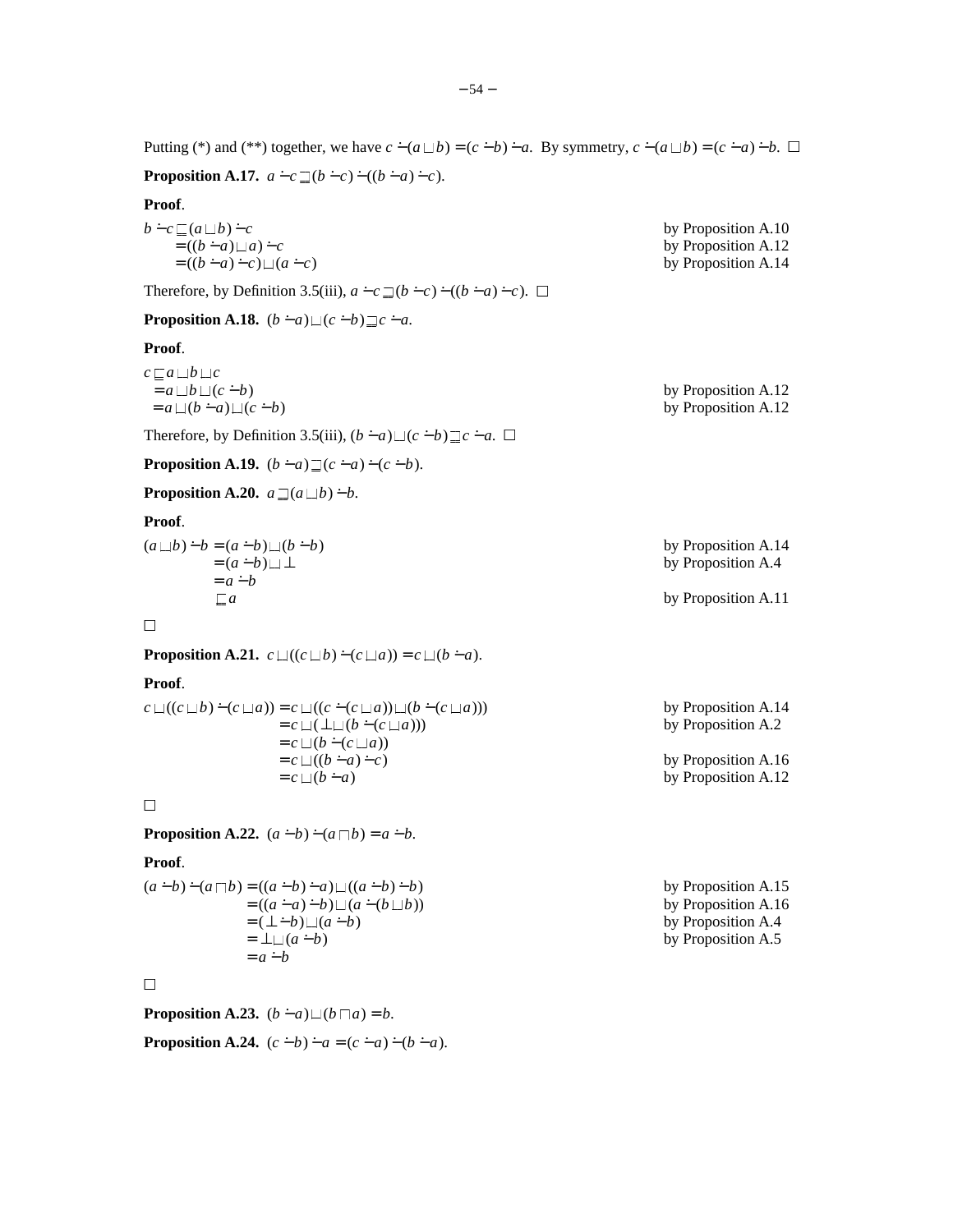**Proposition A.17.**  $a \div c \sqsupseteq (b \div c) \div ((b \div a) \div c)$ .

## **Proof**.

| $b \div c \sqsubset (a \sqcup b) \div c$ | by Proposition A.10 |
|------------------------------------------|---------------------|
| $=(\frac{b-a}{a})\sqcup a \cdot c$       | by Proposition A.12 |
| $=(b-a)-c)\sqcup(a-c)$                   | by Proposition A.14 |
|                                          |                     |

Therefore, by Definition 3.5(iii),  $a \div c \sqsupseteq (b \div c) \div ((b \div a) \div c)$ .  $\square$ 

**Proposition A.18.**  $(b \div a) \sqcup (c \div b) \sqsupseteq c \div a$ .

#### **Proof**.

 $c \sqsubseteq a \sqcup b \sqcup c$  $= a \Box b \Box c$ <br> $= a \Box b \Box (c$  $= a \Box (b - a) \Box (c - b)$ <br> $= a \Box (b - a) \Box (c - a)$ 

Therefore, by Definition 3.5(iii),  $(b \div a) \sqcup (c \div b) \sqsupseteq c \div a$ .  $\square$ 

**Proposition A.19.**  $(b \div a) \sqsupseteq (c \div a) \div (c \div b)$ .

**Proposition A.20.**  $a \sqsupseteq (a \sqcup b) \doteq b$ .

## **Proof**.

$$
(a \sqcup b)\doteq b = (a \doteq b) \sqcup (b \doteq b)
$$
  
\n
$$
= (a \doteq b) \sqcup \perp
$$
  
\n
$$
= a \doteq b
$$
  
\nby Proposition A.14  
\nby Proposition A.4  
\nby Proposition A.11  
\nby Proposition A.11

 $\Box$ 

**Proposition A.21.**  $c \sqcup ((c \sqcup b) \doteq (c \sqcup a)) = c \sqcup (b \doteq a)$ .

## **Proof**.

 $c \sqcup ((c \sqcup b) \dot{-} (c \sqcup a)) = c \sqcup ((c \dot{-} (c \sqcup a)) \sqcup (b \dot{-} (c \sqcup a))$  $= c \sqcup (L \sqcup (b \doteq (c \sqcup a))$  $= c \sqcup (b \div (c \sqcup a))$  $= c \sqcup (b \overset{\sim}{\cdot} a)$  $= c \sqcup (b)$ <br>=  $c \sqcup (b)$ 

 $\Box$ 

**Proposition A.22.**  $(a - b) - (a \square b) = a - b$ .

**Proof**.

$$
(a \div b) \div (a \sqcap b) = ((a \div b) \div a) \sqcup ((a \div b) \div b)
$$
  
= ((a \div a) \div b) \sqcup (a \div (b \sqcup b))  
= (\bot \div b) \sqcup (a \div b)  
= \bot \sqcup (a \div b)  
= a \div b

 $\Box$ 

**Proposition A.23.**  $(b-a) \sqcup (b \sqcap a) = b$ .

**Proposition A.24.**  $(c - b) - a = (c - a) - (b - a)$ .

by Proposition A.15 *b*)) by Proposition A.16 by Proposition A.4 by Proposition A.5

by Proposition A.14

by Proposition A.16

by Proposition A.12

by Proposition A.2

by Proposition A.12

by Proposition A.12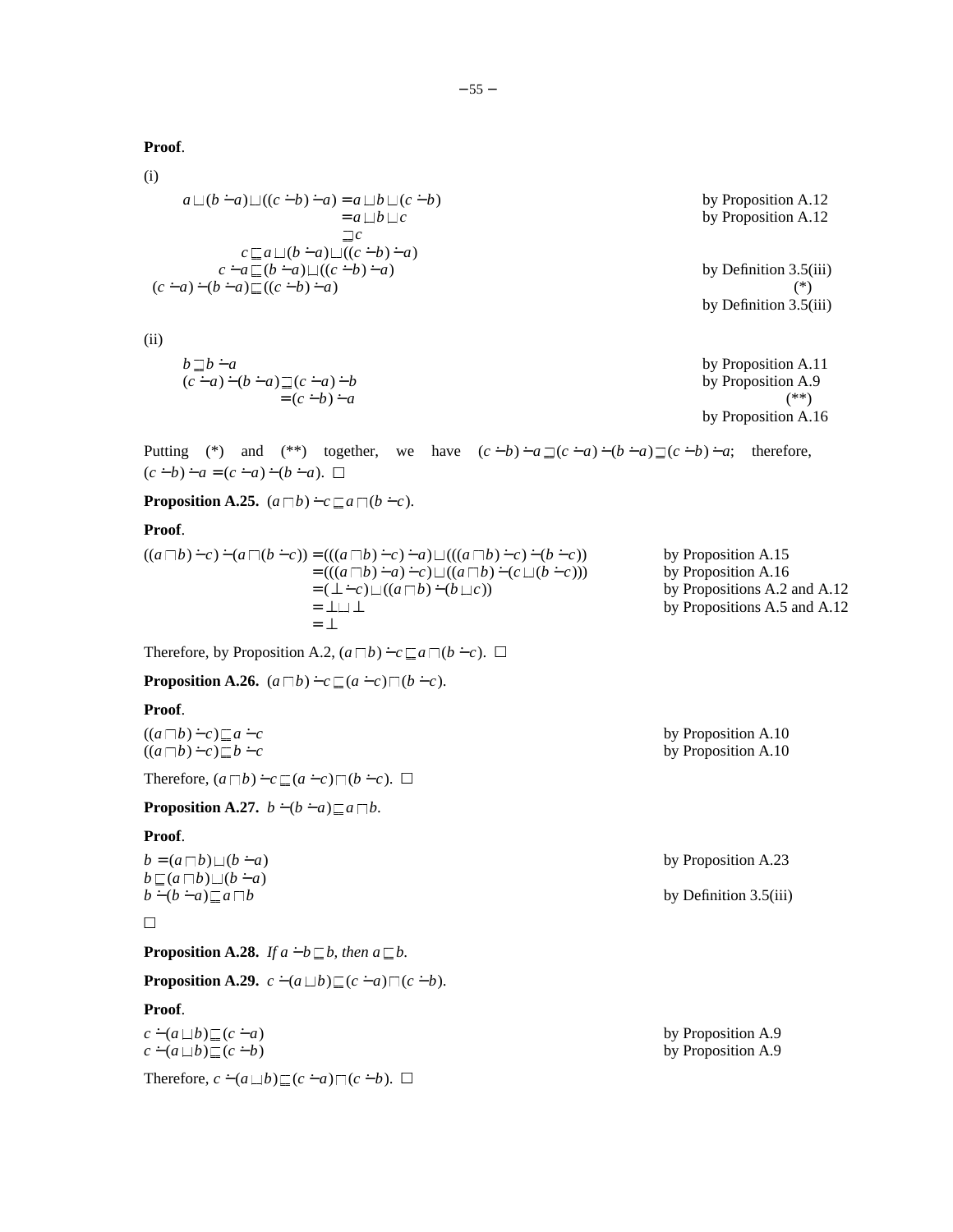**Proof**.

(i)  
\n
$$
a \sqcup (b \div a) \sqcup ((c \div b) \div a) = a \sqcup b \sqcup (c \div b)
$$
\n
$$
= a \sqcup b \sqcup c
$$
\nby Proposition A.  
\n
$$
\sqsupseteq c
$$
\n
$$
c \sqsubseteq a \sqcup (b \div a) \sqcup ((c \div b) \div a)
$$
\n
$$
c \div a \sqsubseteq (b \div a) \sqcup ((c \div b) \div a)
$$
\nby Definition 3.5(  
\n
$$
(c \div a) \div (b \div a) \sqsubseteq ((c \div b) \div a)
$$
\nby Definition 3.5(  
\n(\*)

(ii)

$$
b \Box b \dot{-} a
$$
  
(c-a)\dot{-}(b-a) \Box (c-a)\dot{-} a  
= (c-b)\dot{-} a

− *b*) by Proposition A.12 by Proposition A.12

by Definition 3.5(iii) by Definition 3.5(iii)

**a** by Proposition A.11 b<br>by Proposition A.9 by Proposition A.9 − *a* (\*\*) by Proposition A.16

Putting (\*) and (\*\*) together, we have  $(c - b) - a \sqsupseteq (c - a) - (b - a) \sqsupseteq (c - b) - a$ ; therefore,  $(c - b) - a = (c - a) - (b - a)$ .

**Proposition A.25.**  $(a \Box b) \div c \Box a \Box (b \div c)$ .

**Proof**.

$$
((a \sqcap b)\dot{-}c)\dot{-}(a \sqcap (b\dot{-}c)) = (((a \sqcap b)\dot{-}c)\dot{-}a) \sqcup (((a \sqcap b)\dot{-}c)\dot{-}(b\dot{-}c))
$$
  

$$
= (((a \sqcap b)\dot{-}a)\dot{-}c) \sqcup ((a \sqcap b)\dot{-}(c \sqcup (b\dot{-}c)))
$$
  

$$
= (\perp \dot{-}c) \sqcup ((a \sqcap b)\dot{-}(b \sqcup c))
$$
  

$$
= \perp \sqcup \perp
$$
  

$$
= \perp
$$

Therefore, by Proposition A.2,  $(a \Box b) \div c \sqsubseteq a \sqcap (b \div c)$ .  $\Box$ 

**Proposition A.26.**  $(a \Box b) \div c \sqsubseteq (a \div c) \Box (b \div c)$ .

## **Proof**.

 $((a \sqcap b) \div c) \sqsubseteq a \div c$  $((a \Box b) \div c) \sqsubseteq b \div c$ 

**Therefore,**  $(a \Box b) \div c \sqsubseteq (a \div c) \sqcap (b \div c)$ .  $\Box$ 

**Proposition A.27.**  $b \div (b \div a) \sqsubseteq a \sqcap b$ .

## **Proof**.

 $b = (a \Box b) \sqcup (b \div b)$  $b \sqsubseteq (a \sqcap b) \sqcup (b \vdash a)$  $b \stackrel{\perp}{\div} (b \stackrel{\perp}{\div} a) \stackrel{\perp}{\sqsubseteq} a \sqcap b$ 

# $\Box$

**Proposition A.28.** *If*  $a - b \square b$ *, then*  $a \square b$ *.* 

**Proposition A.29.**  $c \div (a \sqcup b) \sqsubseteq (c \div a) \sqcap (c \div b)$ .

## **Proof**.

 $c \div (a \sqcup b) \sqsubseteq (c \div a)$  $c \div (a \sqcup b) \sqsubseteq (c \div b)$ 

Therefore,  $c \div (a \sqcup b) \sqsubseteq (c \div a) \sqcap (c \div b)$ .

*c*)) by Propositions A.2 and A.12

by Propositions A.5 and A.12

by Proposition A.15

by Proposition A.16

$$
\begin{array}{l}\n \div c \\
 \hline\n \end{array}
$$
\nby Proposition A.10\nby Proposition A.10

by Proposition A.23

$$
\exists b
$$
 by Definition 3.5(iii)

by Proposition A.9 by Proposition A.9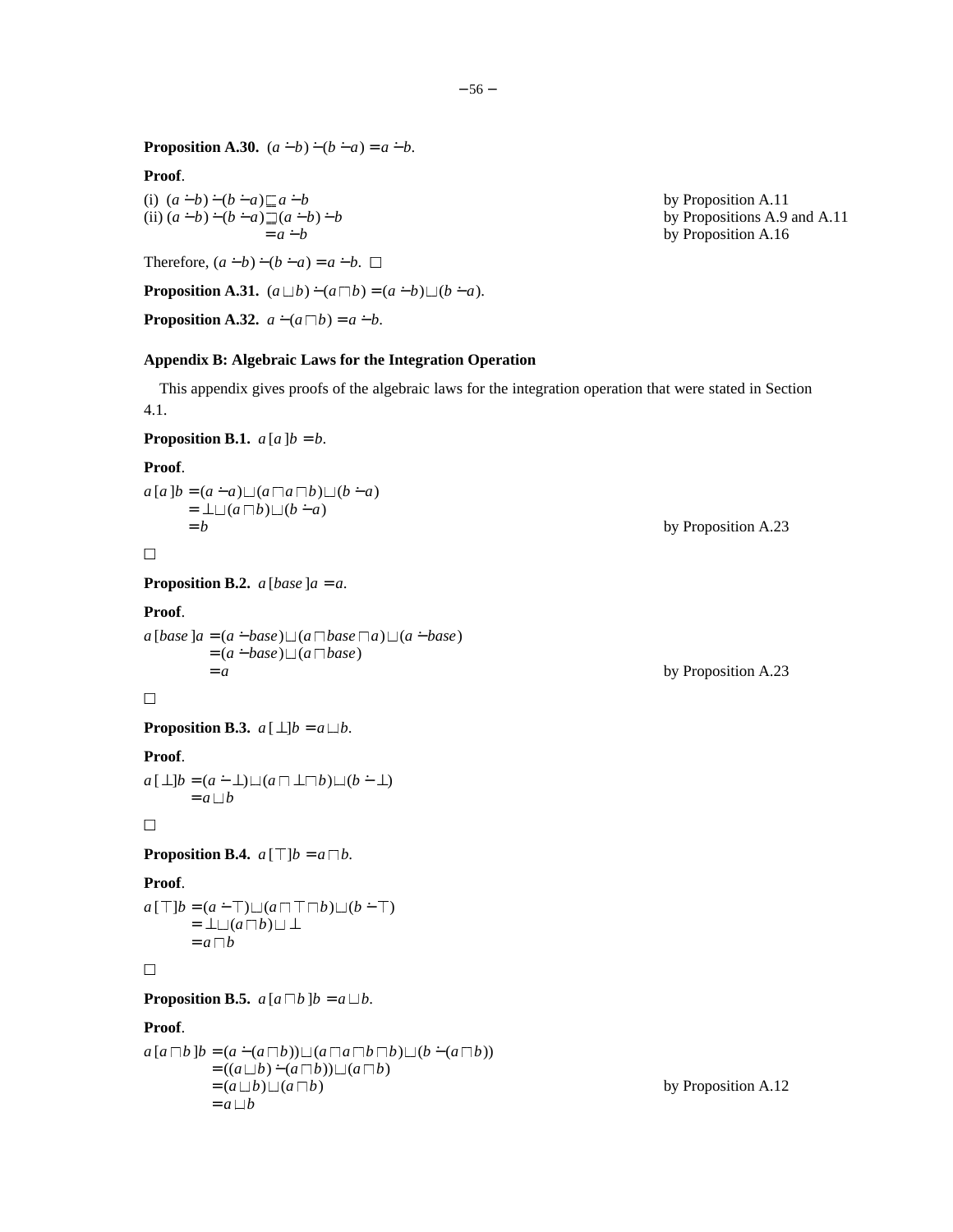**Proposition A.30.**  $(a - b) - (b - a) = a - b$ .

## **Proof**.

(i) 
$$
(a - b) \div (b - a) \sqsubseteq a \div b
$$
  
\n(ii)  $(a - b) \div (b - a) \sqsupseteq (a - b) \div b$   
\n $= a \div b$ 

Therefore,  $(a - b) - (b - a) = a - b$ .  $\square$ 

**Proposition A.31.**  $(a \Box b) \div (a \Box b) = (a \div b) \Box (b \div a)$ .

**Proposition A.32.**  $a \div (a \Box b) = a \div b$ .

## **Appendix B: Algebraic Laws for the Integration Operation**

This appendix gives proofs of the algebraic laws for the integration operation that were stated in Section 4.1.

## **Proposition B.1.**  $a[a]b = b$ .

#### **Proof**.

 $a[a]b = (a \div a) \sqcup (a \sqcap a \sqcap b) \sqcup (b \div a)$  $= \perp \sqcup (a \sqcap b) \sqcup (b \vdash a)$  $= b$  by Proposition A.23

# $\Box$

**Proposition B.2.**  $a \mid base \mid a = a$ .

### **Proof**.

 $a [base] a = (a - base) \sqcup (a \sqcap base \sqcap a) \sqcup (a - base)$  $=(a - base) \sqcup (a \sqcap base)$  $= a$  by Proposition A.23

## $\Box$

**Proposition B.3.**  $a \lfloor \perp \rfloor b = a \lfloor \perp b \rfloor$ .

## **Proof**.

 $a\left[\perp\right]b = (a - \perp) \sqcup (a \sqcap \perp \sqcap b) \sqcup (b - \perp)$  $= a \sqcup b$ 

 $\Box$ 

**Proposition B.4.**  $a \upharpoonright \exists b = a \sqcap b$ .

## **Proof**.

 $a[\top]b = (a - \top) \sqcup (a \sqcap \top \sqcap b) \sqcup (b - \top)$  $= \perp \sqcup (a \sqcap b) \sqcup \perp$  $= a \sqcap b$ 

 $\Box$ 

**Proposition B.5.**  $a[a \sqcap b]b = a \sqcup b$ .

## **Proof**.

 $a[a \sqcap b]b = (a \div (a \sqcap b)) \sqcup (a \sqcap a \sqcap b \sqcap b) \sqcup (b \div (a \sqcap b))$  $= ((a \sqcup b) \div (a \sqcap b)) \sqcup (a \sqcap b)$  $=(a \sqcup b)\sqcup (a \sqcap$  $= a \sqcup b$ 

by Proposition A.11 by Propositions A.9 and A.11 by Proposition A.16

*b*) by Proposition A.12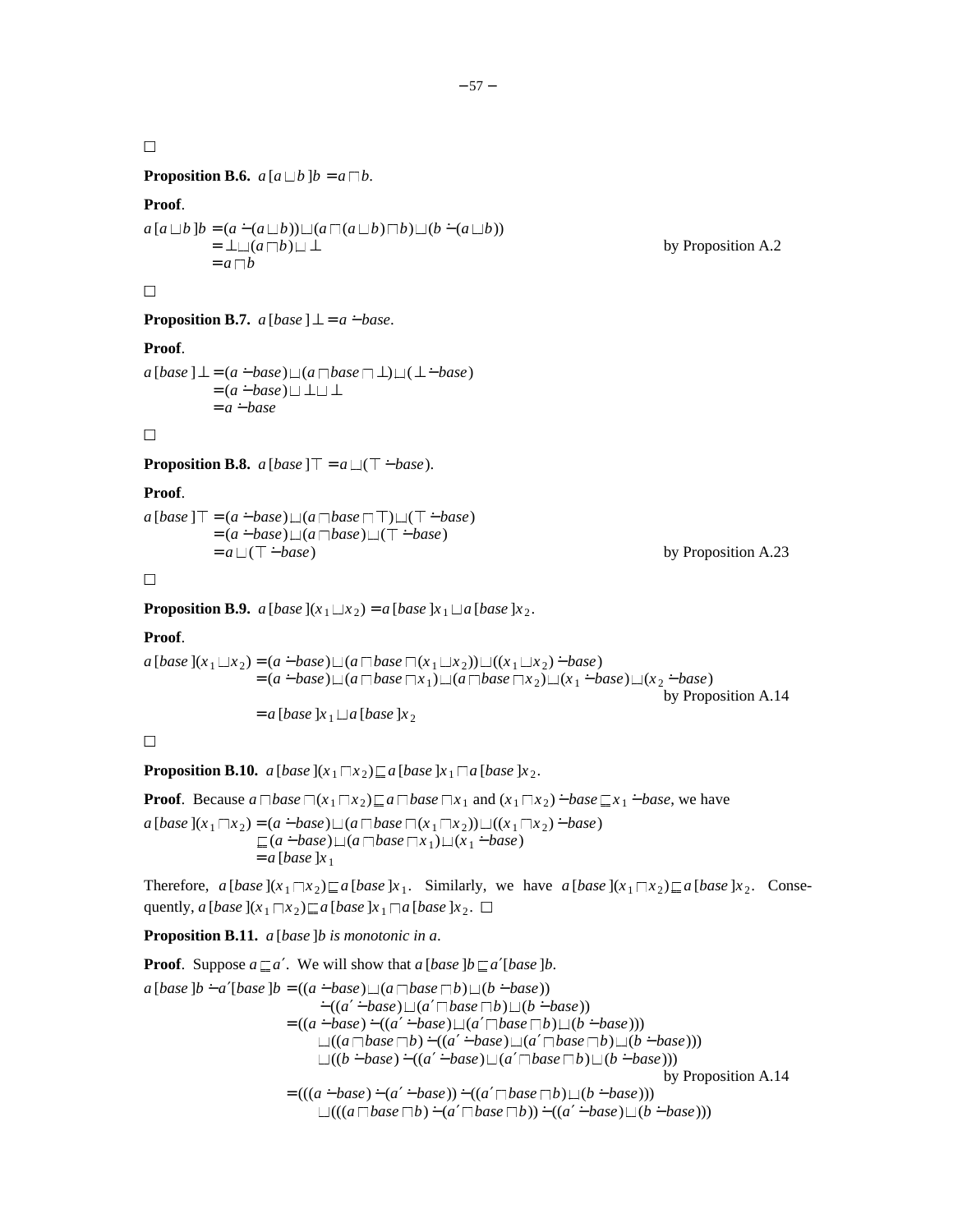$\Box$ 

**Proposition B.6.**  $a[a \sqcup b]b = a \sqcap b$ .

## **Proof**.

 $a[a \sqcup b]b = (a \div (a \sqcup b)) \sqcup (a \sqcap (a \sqcup b) \sqcap b) \sqcup (b \div (a \sqcup b))$  $= \perp \sqcup (a \sqcap b) \sqcup$  $= a \sqcap b$ 

 $\Box$ 

**Proposition B.7.**  $a [base] \perp = a \div base$ .

## **Proof**.

```
a [base] \perp = (a - base) \sqcup (a \sqcap base \sqcap \perp) \sqcup (\perp - base)=(a - base) \sqcup \perp \sqcup \perp= a
.
− base
```
 $\Box$ 

**Proposition B.8.**  $a$  [base ]  $\top = a \sqcup (\top \div base)$ .

**Proof**.

 $a [base]$   $\top = (a - base) \sqcup (a \sqcap base \sqcap \top) \sqcup (\top - base)$  $=(a - base) \sqcup (a \sqcap base) \sqcup (\top - base)$  $= a \sqcup (\top \div base)$ by Proposition A.23

 $\Box$ 

**Proposition B.9.**  $a$  [base ]( $x_1 \sqcup x_2$ ) =  $a$  [base ] $x_1 \sqcup a$  [base ] $x_2$ .

## **Proof**.

$$
a [base ](x_1 \sqcup x_2) = (a \div base) \sqcup (a \sqcap base \sqcap (x_1 \sqcup x_2)) \sqcup ((x_1 \sqcup x_2) \div base)
$$
  
=  $(a \div base) \sqcup (a \sqcap base \sqcap x_1) \sqcup (a \sqcap base \sqcap x_2) \sqcup (x_1 \div base) \sqcup (x_2 \div base)$   
by Proposition A.14

 $= a$  [*base* ] $x_1 \sqcup a$  [*base* ] $x_2$ 

 $\Box$ 

**Proposition B.10.**  $a$  [base ]( $x_1 \sqcap x_2$ )  $\sqsubseteq a$  [base ] $x_1 \sqcap a$  [base ] $x_2$ .

**Proof.** Because  $a \Box base \Box(x_1 \Box x_2) \Box a \Box base \Box x_1$  and  $(x_1 \Box x_2) \div base \Box x_1 \div base$ , we have  $a [base ] (x_1 \sqcap x_2) = (a - base) \sqcup (a \sqcap base \sqcap (x_1 \sqcap x_2)) \sqcup ((x_1 \sqcap x_2) - base)$  $\Box$ (*a* - *base*)  $\Box$ (*a*  $\Box$ *base*  $\Box$ *x*<sub>1</sub>)  $\Box$ (*x*<sub>1</sub> - *base*)  $\Box$ (*a*  $\Box$ *base*)  $\Box$ (*a*  $\Box$ *base*)  $= a$  [*base* ] $x_1$ 

Therefore,  $a [base] (x_1 \sqcap x_2) \sqsubseteq a [base] x_1$ . Similarly, we have  $a [base] (x_1 \sqcap x_2) \sqsubseteq a [base] x_2$ . Consequently,  $a$  [base ] $(x_1 \sqcap x_2) \sqsubseteq a$  [base ] $x_1 \sqcap a$  [base ] $x_2$ .  $\square$ 

**Proposition B.11.** *a* [*base* ]*b is monotonic in a*.

**Proof**. Suppose  $a \sqsubseteq a'$ . We will show that  $a$  [*base* ] $b \sqsubseteq a'$  [*base* ]*b*.  $a$  [*base* ] $b \div a'$  [*base* ] $b = ((a \div base) \sqcup (a \sqcap base \sqcap b) \sqcup (b \div base))$  $\therefore$   $((a' \div base) \sqcup (a' \sqcap base \sqcap b) \sqcup (b \div base))$  $= ((a - base) - ((a' - base) \sqcup (a' \sqcap base \sqcap b) \sqcup (b - base)))$  $\Box((a \Box base \Box b) \dot{-} ((a' \dot{-} base \Box (a' \Box base \Box b) \Box (b \dot{-} base)))$  $\Box((a + base + b) \cdot ((a - base) \Box (a' \Box base + b) \Box (b - base)))$ <br> $\Box((b - base) \div ((a' \Box base) \Box (a' \Box base \Box b) \Box (b - base)))$ by Proposition A.14  $=(((a - base) - (a' - base)) - ((a' \sqcap base \sqcap b) \sqcup (b - base)))$  $\Box$ (((a  $\Box$ base  $\Box$ b) − (a'  $\Box$ base  $\Box$ b)) – ((a' − base) $\Box$ (b − base)))

⊥by Proposition A.2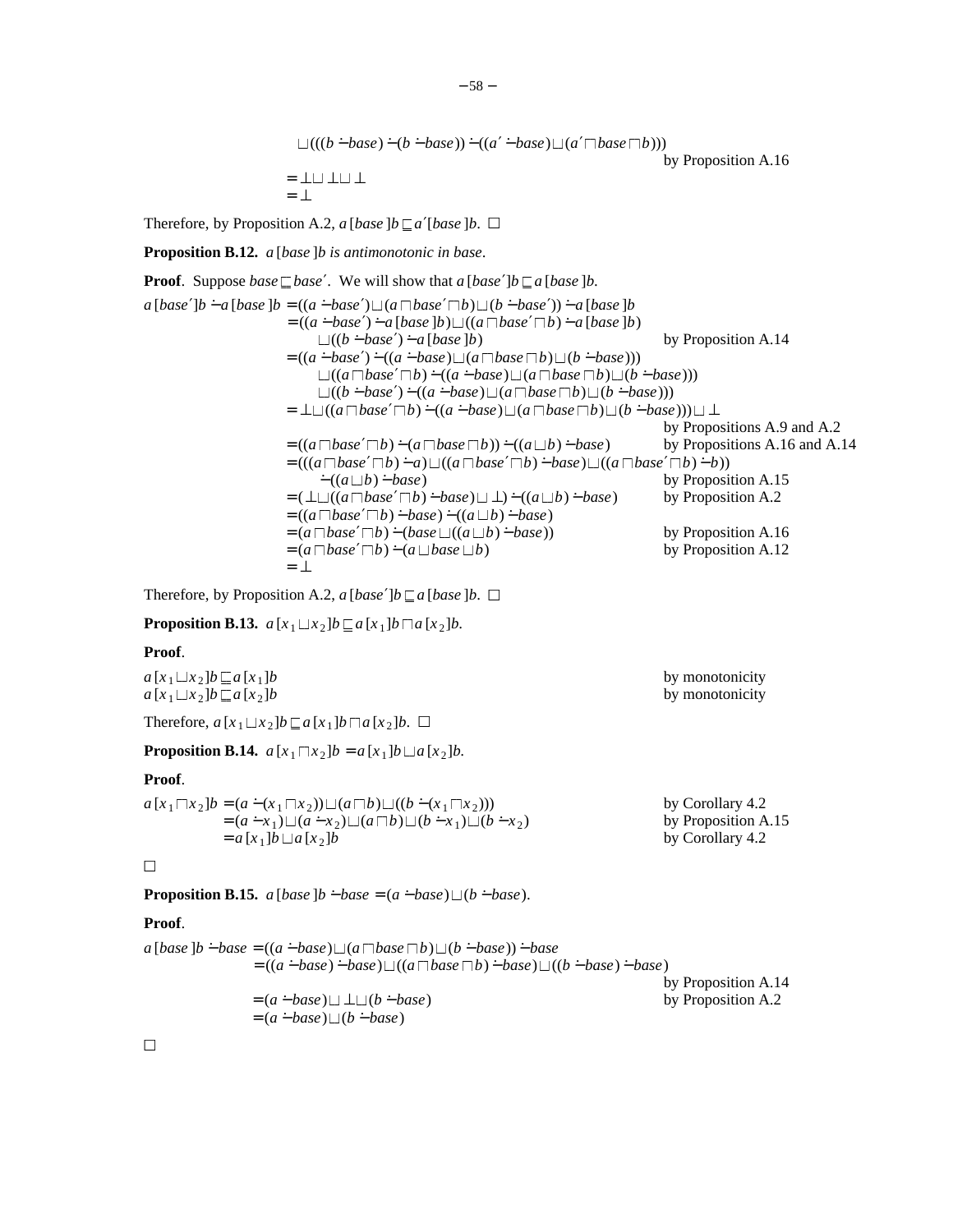$\Box((\cancel{(b - base) \div (b - base)) \div ((\cancel{a' - base}) \Box (\cancel{a' \sqcap base \sqcap b})}))$ by Proposition A.16  $=$   $\perp \sqcup \perp \sqcup \perp$ 

$$
= \pm \cup \pm \cup
$$

Therefore, by Proposition A.2,  $a$  [*base* ] $b \sqsubseteq a'$  [*base* ] $b$ .  $\square$ 

**Proposition B.12.** *a* [*base* ]*b is antimonotonic in base*.

**Proof**. Suppose *base*  $\subseteq$  *base'*. We will show that *a* [*base'*]*b*  $\subseteq$  *a* [*base*]*b*.

$$
a [base']b \div a [base]b = ((a \div base') \sqcup (a \top base' \top b) \sqcup (b \div base') \div a [base]b)
$$
  
\n
$$
= ((a \div base') \div a [base]b) \sqcup ((a \top base' \top b) \div a [base]b)
$$
  
\n
$$
= ((a \div base') \div (a \div base) \sqcup (a \top base \top b) \sqcup (b \div base)))
$$
  
\n
$$
\sqcup ((a \top base') \div ((a \div base) \sqcup (a \top base \top b) \sqcup (b \div base)))
$$
  
\n
$$
\sqcup ((b \div base') \div ((a \div base) \sqcup (a \top base \top b) \sqcup (b \div base)))
$$
  
\n
$$
= \bot \sqcup ((a \top base' \top b) \div ((a \div base) \sqcup (a \top base \top b) \sqcup (b \div base))) \sqcup \bot
$$
  
\n
$$
= ((a \top base' \top b) \div (a \top base \top b)) \div ((a \bot b) \div base)
$$
  
\n
$$
= ((a \top base' \top b) \div a) \sqcup ((a \top base \top b) \div (a \bot b) \div base)
$$
  
\n
$$
= ((a \top base' \top b) \div a) \sqcup ((a \top base' \top b) \div base) \sqcup ((a \top base' \top b) \div b))
$$
  
\n
$$
= ((a \bot b) \div base)
$$
  
\n
$$
= (\bot \sqcup ((a \top base' \top b) \div base) \sqcup \bot) \div ((a \bot b) \div base)
$$
  
\n
$$
= ((a \top base' \top b) \div base) \div ((a \bot b) \div base)
$$
  
\n
$$
= (a \top base' \top b) \div (base \sqcup ((a \bot b) \div base))
$$
  
\n
$$
= (a \top base' \top b) \div (a \sqcup base \sqcup b)
$$
  
\nby Proposition A.16  
\n
$$
= (a \top base' \top b) \div (a \sqcup base \sqcup b)
$$
  
\n
$$
= \bot
$$

by monotonicity

by monotonicity

Therefore, by Proposition A.2,  $a$  [*base'*] $b \sqsubseteq a$  [*base*] $b$ .  $\square$ 

**Proposition B.13.**  $a[x_1 \sqcup x_2]b \sqsubseteq a[x_1]b \sqcap a[x_2]b$ .

## **Proof**.

 $a[x_1 \sqcup x_2]$  $b \sqsubseteq a[x_1]$  $b$  $a[x_1 \sqcup x_2]$  $b \sqsubseteq a[x_2]$  $b$ 

Therefore,  $a[x_1 \sqcup x_2]b \sqsubseteq a[x_1]b \sqcap a[x_2]b$ .  $\square$ 

**Proposition B.14.**  $a [x_1 \sqcap x_2]b = a [x_1]b \sqcup a [x_2]b$ .

## **Proof**.

$$
a[x_1 \sqcap x_2]b = (a \div (x_1 \sqcap x_2)) \sqcup (a \sqcap b) \sqcup ((b \div (x_1 \sqcap x_2)))
$$
  
\n
$$
= (a \div x_1) \sqcup (a \div x_2) \sqcup (a \sqcap b) \sqcup (b \div x_1) \sqcup (b \div x_2)
$$
  
\n
$$
= a[x_1]b \sqcup a[x_2]b
$$
  
\nby Corollary 4.2  
\nby Corollary 4.2  
\nby Corollary 4.2

 $\Box$ 

**Proposition B.15.**  $a [base]b \div base = (a \div base) \sqcup (b \div base)$ .

## **Proof**.

$$
a [base]b \div base = ((a \div base) \sqcup (a \sqcap base \sqcap b) \sqcup (b \div base)) \div base
$$
  
= ((a \div base) \div base) \sqcup ((a \sqcap base \sqcap b) \div base) \sqcup ((b \div base) \div base)  
= (a \div base) \sqcup \perp \sqcup (b \div base)  
= (a \div base) \sqcup (b \div base)  
= (a \div base) \sqcup (b \div base)

 $\Box$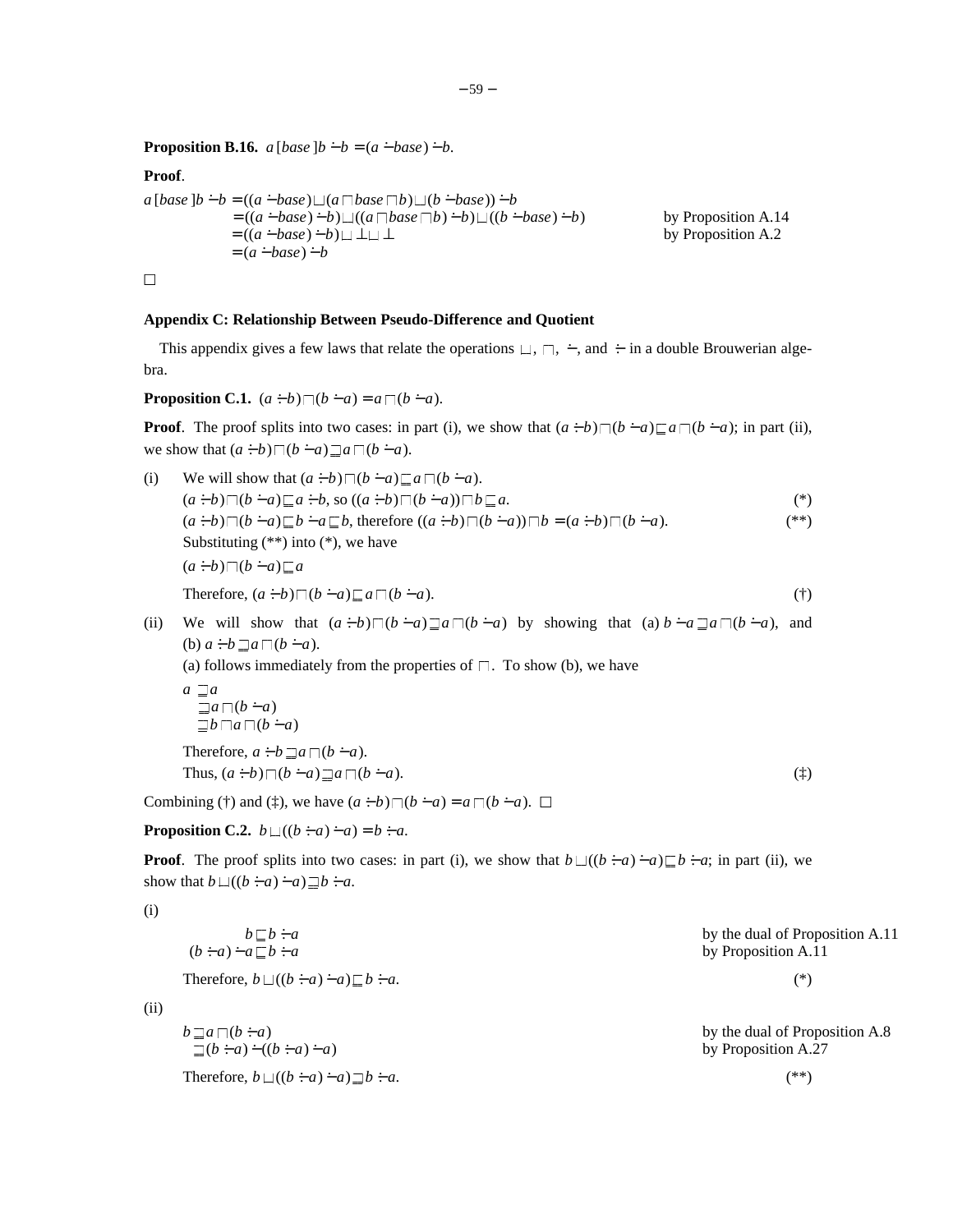− 59 −

**Proposition B.16.**  $a [base]b \div b = (a \div base) \div b$ .

## **Proof**.

$$
a [base ]b \div b = ((a \div base) \sqcup (a \sqcap base \sqcap b) \sqcup (b \div base)) \div b
$$
  
= ((a \div base) \div b) \sqcup ((a \sqcap base \sqcap b) \div b) \sqcup ((b \div base) \div b)   
= ((a \div base) \div b) \sqcup \sqcup \sqcup \sqcup  
= (a \div base) \div b  
= (a \div base) \div b

 $\Box$ 

#### **Appendix C: Relationship Between Pseudo-Difference and Quotient**

This appendix gives a few laws that relate the operations  $\Box$ ,  $\Box$ ,  $\div$ , and  $\div$  in a double Brouwerian algebra.

**Proposition C.1.**  $(a \div b) \Box (b \div a) = a \Box (b \div a)$ .

**Proof**. The proof splits into two cases: in part (i), we show that  $(a \div b) \Box (b \div a) \Box a \Box (b \div a)$ ; in part (ii), we show that  $(a \div b) \Box (b \div a) \Box a \Box (b \div a)$ .

- (i) We will show that  $(a \div b) \Box (b \div a) \Box a \Box (b \div a)$ .  $(a \div b) \Box (b \div a) \Box a \div b$ , so  $((a \div b) \Box (b \div a)) \Box b$  $\bar{a}$ . (\*)  $(a \div b) \cap (b \div a) \sqsubseteq b \div a \sqsubseteq b$ , therefore  $((a \div b) \cap (b \div a)) \cap b = (a \div b) \cap (b \div a)$ . (\*\*) Substituting  $(**)$  into  $(*)$ , we have  $(a \div b) \Box (b \div a) \Box a$ Therefore,  $(a \div b) \Box (b \div a) \Box a \Box (b \div b)$  $\dot{-}a$ ). (†)
- (ii) We will show that  $(a \div b) \Box (b \div a) \Box a \Box (b \div a)$  by showing that  $(a) b \div a \Box a \Box (b \div a)$ , and  $(a \div b \sqsupseteq a \sqcap (b \div a)).$

(a) follows immediately from the properties of  $\Box$ . To show (b), we have

$$
a \sqsupseteq a
$$
  
\n
$$
\sqsupseteq a \sqcap (b \dot{-} a)
$$
  
\n
$$
\sqsupseteq b \sqcap a \sqcap (b \dot{-} a)
$$

Therefore,  $a \div b \sqsupseteq a \sqcap (b \div a)$ . Thus,  $(a \div b) \Box (b \div a) \Box a \Box (b \div b)$  $\dot{-}a$ ). ( $\ddagger$ )

Combining (†) and ( $\ddagger$ ), we have  $(a \div b) \Box (b \div a) = a \Box (b \div a)$ .  $\Box$ 

**Proposition C.2.**  $b \sqcup ((b \div a) \div a) = b \div a$ .

**Proof**. The proof splits into two cases: in part (i), we show that  $b \Box ((b \div a) \div a) \Box b \div a$ ; in part (ii), we show that  $b \Box ((b \div a) \div a) \Box b \div a$ .

| (i)                                                                     |                                                        |
|-------------------------------------------------------------------------|--------------------------------------------------------|
| $b \Box b \div a$<br>$(b \div a) \div a \Box b \div a$                  | by the dual of Proposition A.11<br>by Proposition A.11 |
| Therefore, $b \Box ((b \div a) \div a) \Box b \div a$ .                 | $(*)$                                                  |
| (ii)                                                                    |                                                        |
| $b \Box a \Box (b \div a)$<br>$\Box(b \div a) \div ((b \div a) \div a)$ | by the dual of Proposition A.8<br>by Proposition A.27  |
| Therefore, $b \Box ((b \div a) \div a) \Box b \div a$ .                 | (**`                                                   |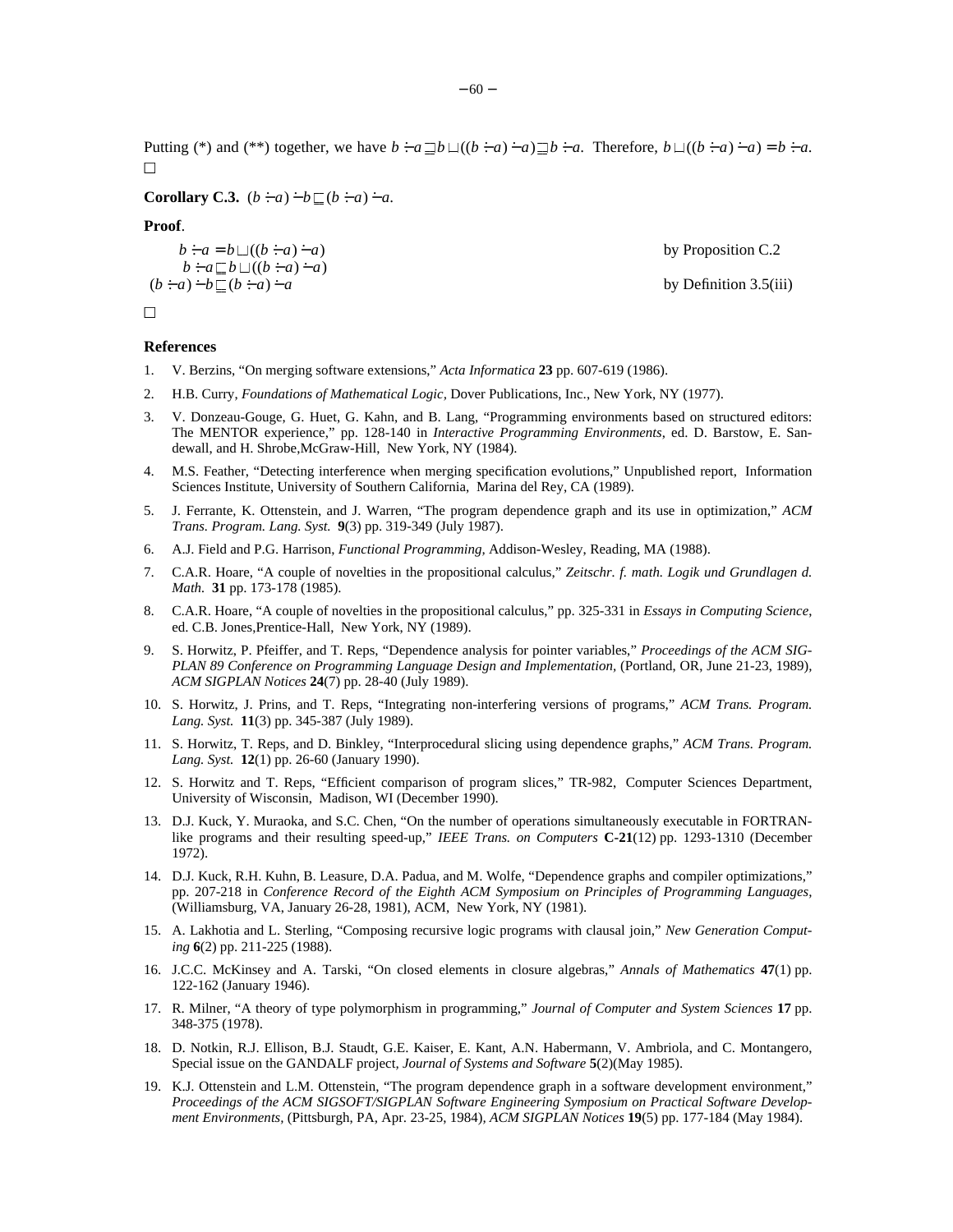Putting (\*) and (\*\*) together, we have  $b \div a \Box b \Box ((b \div a) \div a) \Box b \div a$ . Therefore,  $b \Box ((b \div a) \div a) = b \div a$ .  $\Box$ 

**Corollary C.3.**  $(b \div a) \div b \sqsubseteq (b \div a) \div a$ .

**Proof**.

 $b \div a = b \sqcup ((b \div a) \div b)$ by Proposition C.2  $b \div a \sqsubseteq b \sqcup ((b \div a) \div a)$  $(b \div a) \div b \sqsubseteq (b \div a) \div b$ − *a* by Definition 3.5(iii)

 $\Box$ 

#### **References**

- 1. V. Berzins, "On merging software extensions," *Acta Informatica* **23** pp. 607-619 (1986).
- 2. H.B. Curry, *Foundations of Mathematical Logic,* Dover Publications, Inc., New York, NY (1977).
- 3. V. Donzeau-Gouge, G. Huet, G. Kahn, and B. Lang, "Programming environments based on structured editors: The MENTOR experience," pp. 128-140 in *Interactive Programming Environments*, ed. D. Barstow, E. Sandewall, and H. Shrobe,McGraw-Hill, New York, NY (1984).
- 4. M.S. Feather, "Detecting interference when merging specification evolutions," Unpublished report, Information Sciences Institute, University of Southern California, Marina del Rey, CA (1989).
- 5. J. Ferrante, K. Ottenstein, and J. Warren, "The program dependence graph and its use in optimization," *ACM Trans. Program. Lang. Syst.* **9**(3) pp. 319-349 (July 1987).
- 6. A.J. Field and P.G. Harrison, *Functional Programming,* Addison-Wesley, Reading, MA (1988).
- 7. C.A.R. Hoare, "A couple of novelties in the propositional calculus," *Zeitschr. f. math. Logik und Grundlagen d. Math.* **31** pp. 173-178 (1985).
- 8. C.A.R. Hoare, "A couple of novelties in the propositional calculus," pp. 325-331 in *Essays in Computing Science*, ed. C.B. Jones,Prentice-Hall, New York, NY (1989).
- 9. S. Horwitz, P. Pfeiffer, and T. Reps, "Dependence analysis for pointer variables," *Proceedings of the ACM SIG-PLAN 89 Conference on Programming Language Design and Implementation,* (Portland, OR, June 21-23, 1989)*, ACM SIGPLAN Notices* **24**(7) pp. 28-40 (July 1989).
- 10. S. Horwitz, J. Prins, and T. Reps, "Integrating non-interfering versions of programs," *ACM Trans. Program. Lang. Syst.* **11**(3) pp. 345-387 (July 1989).
- 11. S. Horwitz, T. Reps, and D. Binkley, "Interprocedural slicing using dependence graphs," *ACM Trans. Program. Lang. Syst.* **12**(1) pp. 26-60 (January 1990).
- 12. S. Horwitz and T. Reps, "Efficient comparison of program slices," TR-982, Computer Sciences Department, University of Wisconsin, Madison, WI (December 1990).
- 13. D.J. Kuck, Y. Muraoka, and S.C. Chen, "On the number of operations simultaneously executable in FORTRANlike programs and their resulting speed-up," *IEEE Trans. on Computers* **C-21**(12) pp. 1293-1310 (December 1972).
- 14. D.J. Kuck, R.H. Kuhn, B. Leasure, D.A. Padua, and M. Wolfe, "Dependence graphs and compiler optimizations," pp. 207-218 in *Conference Record of the Eighth ACM Symposium on Principles of Programming Languages,* (Williamsburg, VA, January 26-28, 1981), ACM, New York, NY (1981).
- 15. A. Lakhotia and L. Sterling, "Composing recursive logic programs with clausal join," *New Generation Computing* **6**(2) pp. 211-225 (1988).
- 16. J.C.C. McKinsey and A. Tarski, "On closed elements in closure algebras," *Annals of Mathematics* **47**(1) pp. 122-162 (January 1946).
- 17. R. Milner, "A theory of type polymorphism in programming," *Journal of Computer and System Sciences* **17** pp. 348-375 (1978).
- 18. D. Notkin, R.J. Ellison, B.J. Staudt, G.E. Kaiser, E. Kant, A.N. Habermann, V. Ambriola, and C. Montangero, Special issue on the GANDALF project*, Journal of Systems and Software* **5**(2)(May 1985).
- 19. K.J. Ottenstein and L.M. Ottenstein, "The program dependence graph in a software development environment," *Proceedings of the ACM SIGSOFT/SIGPLAN Software Engineering Symposium on Practical Software Development Environments,* (Pittsburgh, PA, Apr. 23-25, 1984)*, ACM SIGPLAN Notices* **19**(5) pp. 177-184 (May 1984).